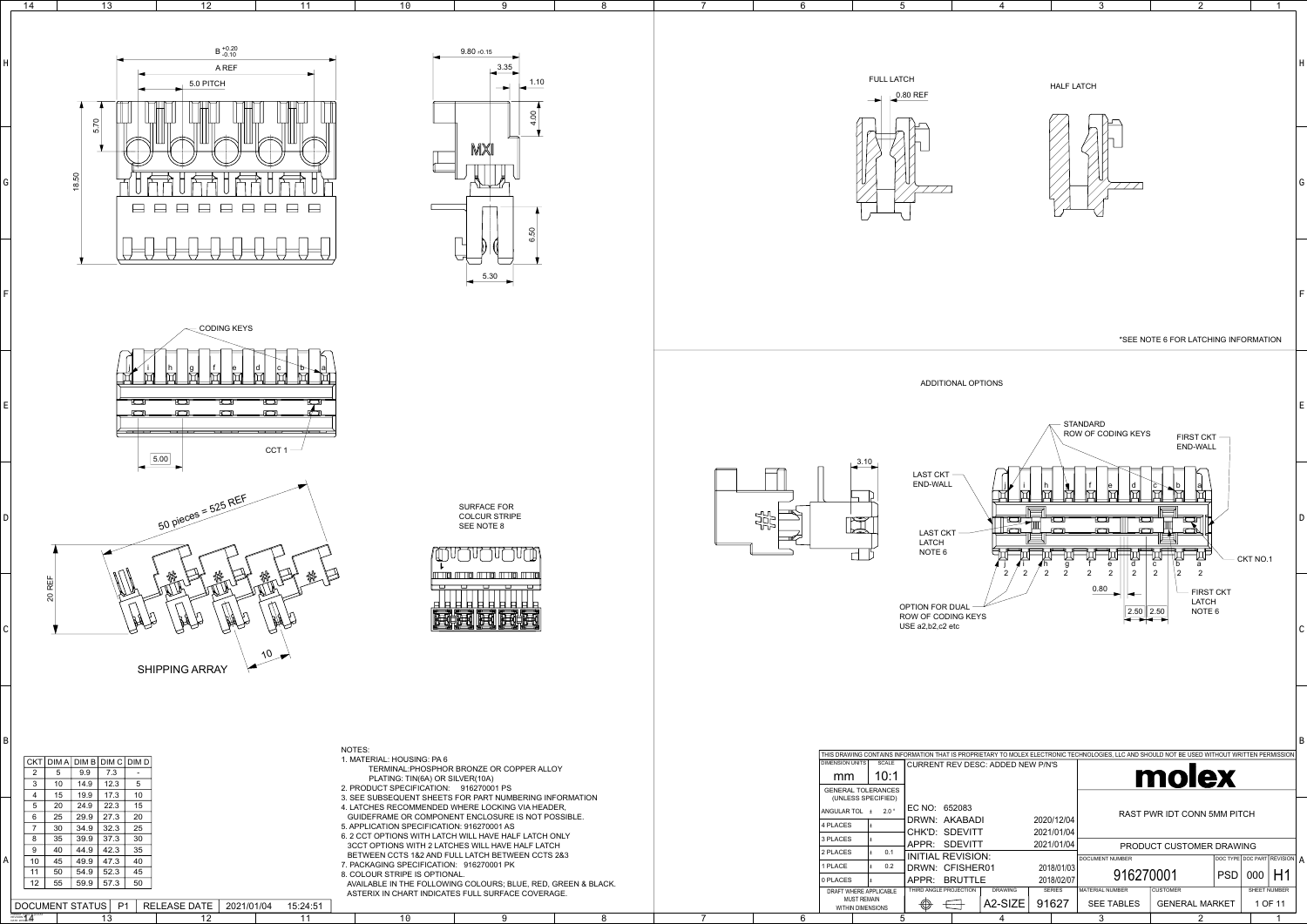



 $2$  PLACES  $\Big|$  ± 0.1 INITIAL REVISION: DOCUMENT NUMBER DOCUMENT NUMBER DOCUMENT NUMBER 1 PLACE  $\left| \begin{array}{ccc} \pm \end{array} \right|$  0.2 | DRWN: CFISHER01 2018/01/03 916270001 | PSD 000 H1  $|0$  PLACES APPR: BRUTTLE 2018/02/07 THIRD ANGLE PROJECTION DRAWING SERIES MATERIAL NUMBER CUSTOMER | CUSTOMER DRAFT WHERE APPLICABLE MUST REMAIN  $\qquad \qquad \Longleftrightarrow$ A2-SIZE 91627  $\bigoplus$ SEE TABLES | GENERAL MARKET | 1 OF 11 WITHIN DIMENSIONS 4 3 5

| G                                    | 18.50                                                                                                                                                                                                                                                                                                                                                                                                                                                                      | င္ဟ<br>ဖ<br>5.30                                                                                                                                                                                                                                                                                                                                                                                                                                                                                                                                                                                                                                                                                                                                      |
|--------------------------------------|----------------------------------------------------------------------------------------------------------------------------------------------------------------------------------------------------------------------------------------------------------------------------------------------------------------------------------------------------------------------------------------------------------------------------------------------------------------------------|-------------------------------------------------------------------------------------------------------------------------------------------------------------------------------------------------------------------------------------------------------------------------------------------------------------------------------------------------------------------------------------------------------------------------------------------------------------------------------------------------------------------------------------------------------------------------------------------------------------------------------------------------------------------------------------------------------------------------------------------------------|
| $\mathsf F$<br>E                     | <b>CODING KEYS</b><br>d<br>C<br>g<br>D<br>lĦ<br>$\overline{\sf n}$<br>$CCT 1 -$                                                                                                                                                                                                                                                                                                                                                                                            |                                                                                                                                                                                                                                                                                                                                                                                                                                                                                                                                                                                                                                                                                                                                                       |
| ${\sf D}$                            | 5.00<br>50 pieces = 525 REF                                                                                                                                                                                                                                                                                                                                                                                                                                                | <b>SURFACE FOR</b><br><b>COLCUR STRIPE</b><br>SEE NOTE 8                                                                                                                                                                                                                                                                                                                                                                                                                                                                                                                                                                                                                                                                                              |
| $\mathsf C$                          | 郜<br>20 REF<br>10<br><b>SHIPPING ARRAY</b>                                                                                                                                                                                                                                                                                                                                                                                                                                 | III I I OI III I I OII<br>▭<br>ப<br>⊔                                                                                                                                                                                                                                                                                                                                                                                                                                                                                                                                                                                                                                                                                                                 |
| $\sf B$<br>$\boldsymbol{\mathsf{A}}$ | $CKT$ DIM A DIM B DIM C DIM D<br>$5\phantom{.0}$<br>7.3<br>$\overline{2}$<br>9.9<br>$\blacksquare$<br>$5\phantom{.0}$<br>3<br>12.3<br>10<br>14.9<br>10<br>19.9<br>17.3<br>15<br>4<br>5<br>24.9<br>22.3<br>15<br>20<br>27.3<br>20<br>29.9<br>$6\phantom{1}6$<br>25<br>34.9<br>32.3<br>25<br>30<br>7<br>39.9<br>37.3<br>30<br>35<br>8<br>35<br>9<br>44.9<br>42.3<br>40<br>47.3<br>10<br>45<br>49.9<br>40<br>52.3<br>54.9<br>45<br>11<br>50<br>57.3<br>50<br>12<br>55<br>59.9 | NOTES:<br>1. MATERIAL: HOUSING: PA 6<br>TERMINAL: PHOSPHOR BRONZE OR COPPER ALLOY<br>PLATING: TIN(6A) OR SILVER(10A)<br>2. PRODUCT SPECIFICATION: 916270001 PS<br>3. SEE SUBSEQUENT SHEETS FOR PART NUMBERING INFORMATION<br>4. LATCHES RECOMMENDED WHERE LOCKING VIA HEADER,<br>GUIDEFRAME OR COMPONENT ENCLOSURE IS NOT POSSIBLE.<br>5. APPLICATION SPECIFICATION: 916270001 AS<br>6. 2 CCT OPTIONS WITH LATCH WILL HAVE HALF LATCH ONLY<br>3CCT OPTIONS WITH 2 LATCHES WILL HAVE HALF LATCH<br>BETWEEN CCTS 1&2 AND FULL LATCH BETWEEN CCTS 2&3<br>7. PACKAGING SPECIFICATION: 916270001 PK<br>8. COLOUR STRIPE IS OPTIONAL.<br>AVAILABLE IN THE FOLLOWING COLOURS; BLUE, RED, GREEN & BLACK.<br>ASTERIX IN CHART INDICATES FULL SURFACE COVERAGE. |
|                                      | <b>DOCUMENT STATUS</b><br>P <sub>1</sub><br><b>RELEASE DATE</b><br>2021/01/04<br>15:24:51<br>FORMAT: master-th-prod-A2<br>REVISION: H<br>DATE: 2018/01/18<br>13<br>12<br>11                                                                                                                                                                                                                                                                                                | 8<br>10<br>9                                                                                                                                                                                                                                                                                                                                                                                                                                                                                                                                                                                                                                                                                                                                          |
|                                      |                                                                                                                                                                                                                                                                                                                                                                                                                                                                            |                                                                                                                                                                                                                                                                                                                                                                                                                                                                                                                                                                                                                                                                                                                                                       |



1

A

2

6

7

8

H

9

10

11

12

13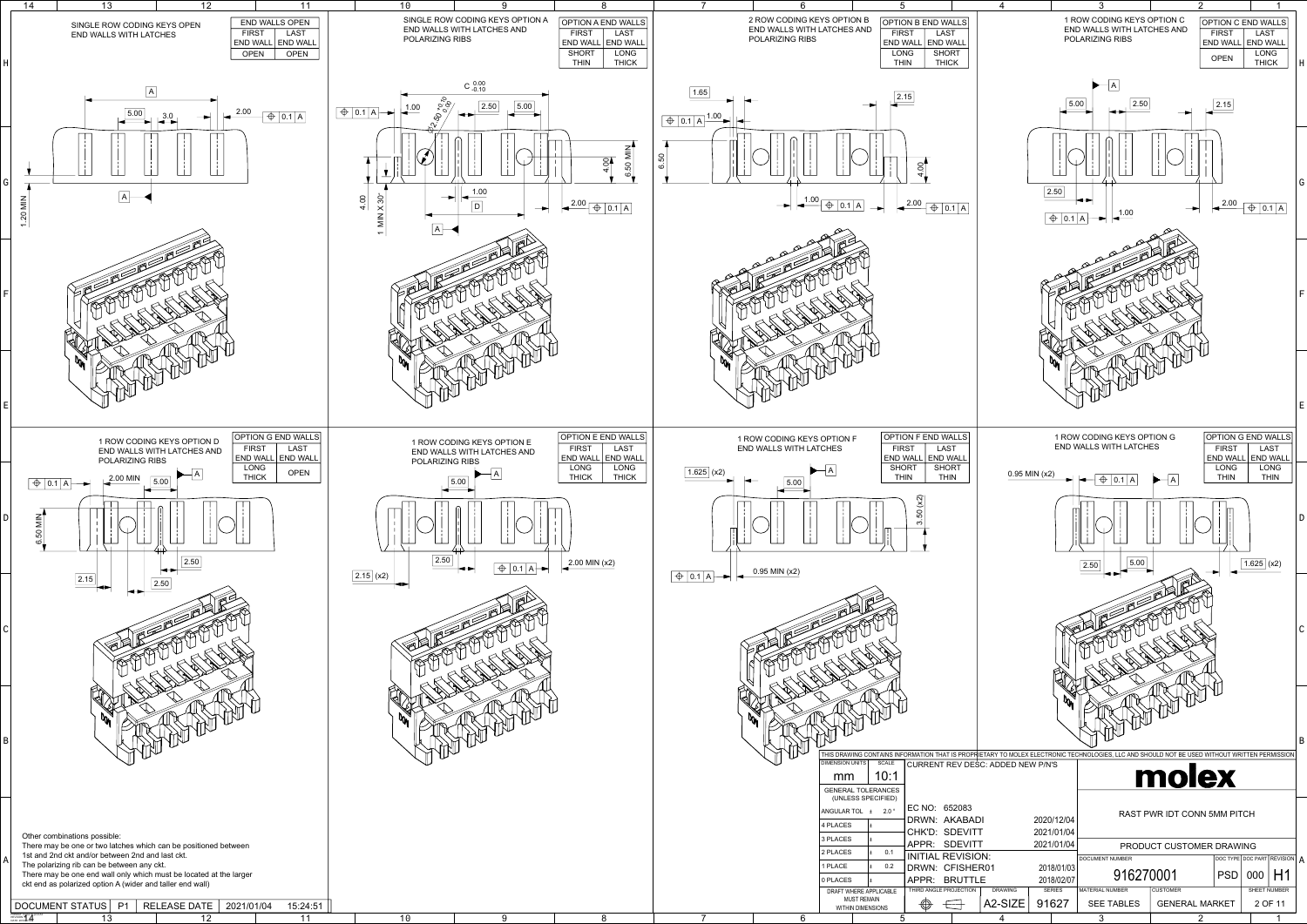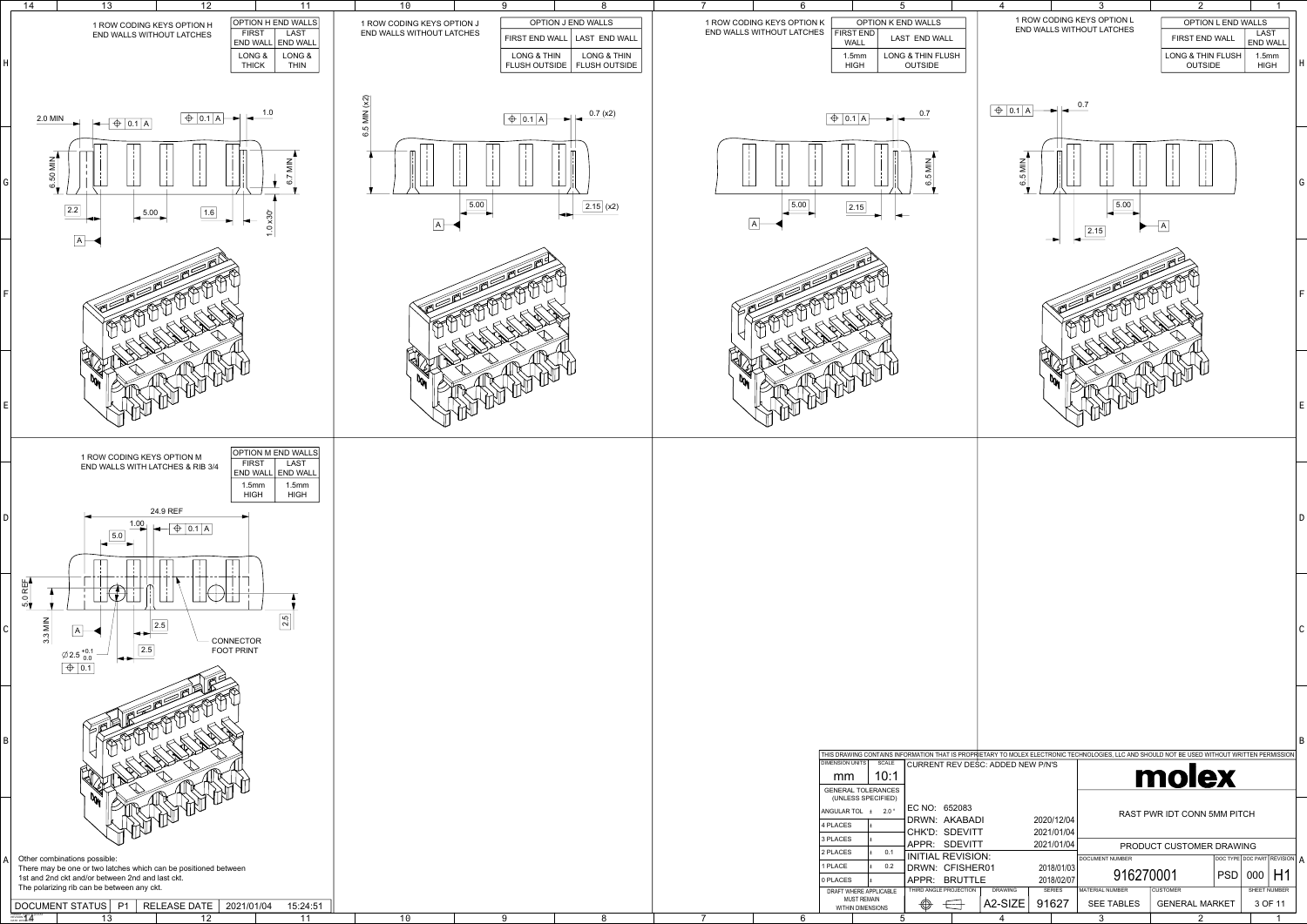1

4



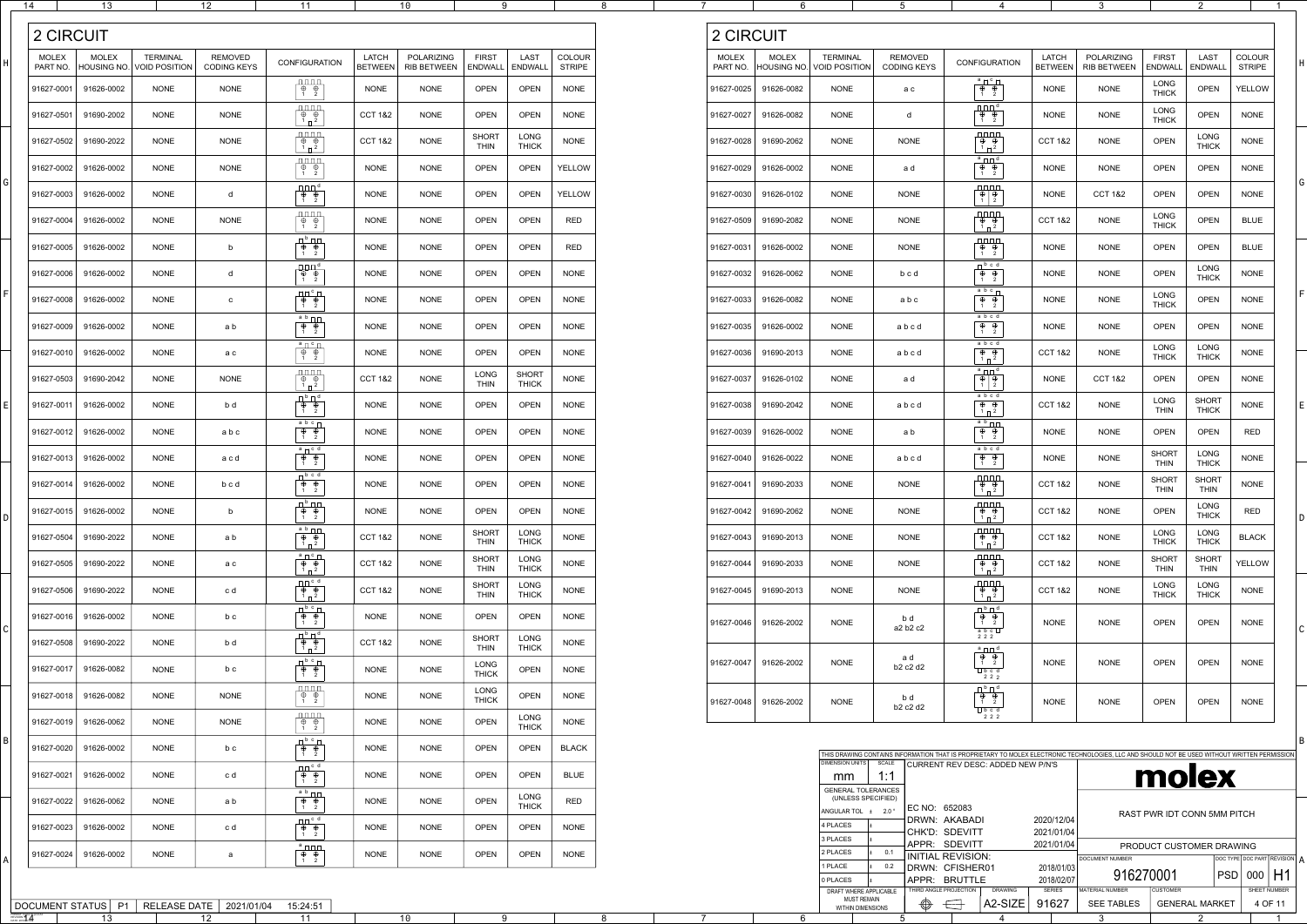| 14                       | 13                          |                                         | 12                                   | 11                                                                                                                                                             |                                | 10                                      | 9                              |                               |                                |
|--------------------------|-----------------------------|-----------------------------------------|--------------------------------------|----------------------------------------------------------------------------------------------------------------------------------------------------------------|--------------------------------|-----------------------------------------|--------------------------------|-------------------------------|--------------------------------|
| <b>2 CIRCUIT</b>         |                             |                                         |                                      |                                                                                                                                                                |                                |                                         |                                |                               |                                |
| <b>MOLEX</b><br>PART NO. | <b>MOLEX</b><br>HOUSING NO. | <b>TERMINAL</b><br><b>VOID POSITION</b> | <b>REMOVED</b><br><b>CODING KEYS</b> | <b>CONFIGURATION</b>                                                                                                                                           | <b>LATCH</b><br><b>BETWEEN</b> | <b>POLARIZING</b><br><b>RIB BETWEEN</b> | <b>FIRST</b><br><b>ENDWALL</b> | <b>LAST</b><br><b>ENDWALL</b> | <b>COLOUR</b><br><b>STRIPE</b> |
| 91627-0001               | 91626-0002                  | <b>NONE</b>                             | <b>NONE</b>                          | <u> 0000.</u><br>$\bigoplus_1$<br>$\oplus$<br>$\overline{2}$                                                                                                   | <b>NONE</b>                    | <b>NONE</b>                             | <b>OPEN</b>                    | <b>OPEN</b>                   | <b>NONE</b>                    |
| 91627-0501               | 91690-2002                  | <b>NONE</b>                             | <b>NONE</b>                          | وبورورو<br>$\oplus$ $\oplus$<br>$\frac{1}{1}$ $\Box$ 2                                                                                                         | <b>CCT 1&amp;2</b>             | <b>NONE</b>                             | <b>OPEN</b>                    | <b>OPEN</b>                   | <b>NONE</b>                    |
| 91627-0502               | 91690-2022                  | <b>NONE</b>                             | <b>NONE</b>                          | $\begin{array}{c} \begin{array}{c} \text{array}\\ \text{array}\\ \end{array} \end{array}$<br>$\overline{\oplus}$ $\overline{\oplus}$<br>$\frac{1}{1}$ $\Box$ 2 | <b>CCT 1&amp;2</b>             | <b>NONE</b>                             | <b>SHORT</b><br><b>THIN</b>    | <b>LONG</b><br><b>THICK</b>   | <b>NONE</b>                    |
| 91627-0002               | 91626-0002                  | <b>NONE</b>                             | <b>NONE</b>                          | $\begin{array}{c} \Pi \Pi \Pi \Pi \end{array}$<br>$\begin{array}{ccc}\n\oplus & \oplus \\ 1 & 2\n\end{array}$                                                  | <b>NONE</b>                    | <b>NONE</b>                             | <b>OPEN</b>                    | <b>OPEN</b>                   | <b>YELLOW</b>                  |
| 91627-0003               | 91626-0002                  | <b>NONE</b>                             | d                                    | $\begin{array}{c}\n\begin{array}{c}\n\text{min } d \\ \oplus \end{array}\n\end{array}$<br>$1 \quad 2$                                                          | <b>NONE</b>                    | <b>NONE</b>                             | <b>OPEN</b>                    | <b>OPEN</b>                   | <b>YELLOW</b>                  |
| 91627-0004               | 91626-0002                  | <b>NONE</b>                             | <b>NONE</b>                          | وممم<br>$\overline{\frac{\oplus}{2}}$<br>$\bigoplus_1$                                                                                                         | <b>NONE</b>                    | <b>NONE</b>                             | <b>OPEN</b>                    | <b>OPEN</b>                   | <b>RED</b>                     |
| 91627-0005               | 91626-0002                  | <b>NONE</b>                             | $\mathsf b$                          | $\Box$ $\mathsf{p}$ $\Box$ $\Box$<br>$\bigoplus$ <sub>1</sub><br>$\overline{\mathcal{L}(\frac{1}{2})}$                                                         | <b>NONE</b>                    | <b>NONE</b>                             | <b>OPEN</b>                    | <b>OPEN</b>                   | <b>RED</b>                     |
| 91627-0006               | 91626-0002                  | <b>NONE</b>                             | d                                    | $\Box \Box \Box \Box$ <sup>d</sup><br>$\overline{\oplus}$<br>$\overline{\bigoplus_{1}}$<br>$\overline{2}$                                                      | <b>NONE</b>                    | <b>NONE</b>                             | <b>OPEN</b>                    | <b>OPEN</b>                   | <b>NONE</b>                    |
| 91627-0008               | 91626-0002                  | <b>NONE</b>                             | c                                    | $\Box$ $\Box$ $\Box$<br>$\bigoplus_{1}$<br>$\overline{\frac{\oplus}{2}}$                                                                                       | <b>NONE</b>                    | <b>NONE</b>                             | <b>OPEN</b>                    | <b>OPEN</b>                   | <b>NONE</b>                    |
| 91627-0009               | 91626-0002                  | <b>NONE</b>                             | a b                                  | $a \nvert b$<br>$\oplus$<br>$\oplus$<br>$\overline{1}$<br>$\overline{2}$                                                                                       | <b>NONE</b>                    | <b>NONE</b>                             | <b>OPEN</b>                    | <b>OPEN</b>                   | <b>NONE</b>                    |
| 91627-0010               | 91626-0002                  | <b>NONE</b>                             | a c                                  | $a_{\square}$ $c_{\square}$<br>$\overline{\bigoplus}$<br>$\oplus$<br>$1 \quad 2$                                                                               | <b>NONE</b>                    | <b>NONE</b>                             | <b>OPEN</b>                    | <b>OPEN</b>                   | <b>NONE</b>                    |
| 91627-0503               | 91690-2042                  | <b>NONE</b>                             | <b>NONE</b>                          | $\overline{\bigoplus}$<br>$\oplus$<br>$\frac{1}{\Box}$ $\frac{2}{\Box}$                                                                                        | <b>CCT 1&amp;2</b>             | <b>NONE</b>                             | <b>LONG</b><br><b>THIN</b>     | <b>SHORT</b><br><b>THICK</b>  | <b>NONE</b>                    |
| 91627-0011               | 91626-0002                  | <b>NONE</b>                             | b d                                  | $\Box$ $\Box$ $\Box$ $\Box$<br>$\overline{\bigoplus}$<br>$\oplus$<br>$1 \quad 2$                                                                               | <b>NONE</b>                    | <b>NONE</b>                             | <b>OPEN</b>                    | <b>OPEN</b>                   | <b>NONE</b>                    |
| 91627-0012               | 91626-0002                  | <b>NONE</b>                             | abc                                  | a b c $\Box$<br>$\overline{\oplus}$ $\overline{\oplus}$<br>$\overline{1}$ $\overline{2}$                                                                       | <b>NONE</b>                    | <b>NONE</b>                             | <b>OPEN</b>                    | <b>OPEN</b>                   | <b>NONE</b>                    |
| 91627-0013               | 91626-0002                  | <b>NONE</b>                             | acd                                  | $a \bigcap c$ d<br>$\begin{array}{ccc}\n\oplus & \oplus \\ 1 & 2\n\end{array}$                                                                                 | <b>NONE</b>                    | <b>NONE</b>                             | <b>OPEN</b>                    | <b>OPEN</b>                   | <b>NONE</b>                    |
| 91627-0014               | 91626-0002                  | <b>NONE</b>                             | bcd                                  | b c d<br>$\begin{array}{ccc}\n\oplus & \oplus \\ 1 & 2\n\end{array}$                                                                                           | <b>NONE</b>                    | <b>NONE</b>                             | <b>OPEN</b>                    | <b>OPEN</b>                   | <b>NONE</b>                    |
| 91627-0015               | 91626-0002                  | <b>NONE</b>                             | b                                    | $\begin{tabular}{c} \top b & \bot \\ \hline \oplus & \oplus \end{tabular}$<br>$1\quad 2$                                                                       | <b>NONE</b>                    | <b>NONE</b>                             | <b>OPEN</b>                    | <b>OPEN</b>                   | <b>NONE</b>                    |
| 91627-0504               | 91690-2022                  | <b>NONE</b>                             | a b                                  | $\begin{tabular}{c} a & b \\ \hline \oplus \\ \end{tabular}$<br>$\frac{1}{1}$ $\sqrt{2}$                                                                       | <b>CCT 1&amp;2</b>             | <b>NONE</b>                             | <b>SHORT</b><br><b>THIN</b>    | <b>LONG</b><br><b>THICK</b>   | <b>NONE</b>                    |
| 91627-0505               | 91690-2022                  | <b>NONE</b>                             | a c                                  | $a \Box c \Box$<br>$\overline{\bigoplus}$ $\overline{\bigoplus}$<br>$\frac{1}{1}$ $\sqrt{2}$                                                                   | <b>CCT 1&amp;2</b>             | <b>NONE</b>                             | <b>SHORT</b><br><b>THIN</b>    | <b>LONG</b><br><b>THICK</b>   | <b>NONE</b>                    |
| 91627-0506               | 91690-2022                  | <b>NONE</b>                             | c d                                  | $\Box \Box$ c d<br>$\begin{array}{c}\n\oplus \\ \uparrow \\ 1 \quad 2\n\end{array}$                                                                            | <b>CCT 1&amp;2</b>             | <b>NONE</b>                             | <b>SHORT</b><br><b>THIN</b>    | <b>LONG</b><br><b>THICK</b>   | <b>NONE</b>                    |
| 91627-0016               | 91626-0002                  | <b>NONE</b>                             | b c                                  | $\begin{array}{c} \mathbf{a} & \mathbf{b} & \mathbf{c} \\ \hline \mathbf{b} & \mathbf{c} \\ \mathbf{c} & \mathbf{d} \\ \mathbf{d} & \mathbf{e} \end{array}$    | <b>NONE</b>                    | <b>NONE</b>                             | <b>OPEN</b>                    | <b>OPEN</b>                   | <b>NONE</b>                    |
| 91627-0508               | 91690-2022                  | <b>NONE</b>                             | b d                                  | $\begin{array}{c} \mathbb{D} \mathsf{p} \mathbb{D} \mathsf{q} \\ \oplus \quad \oplus \quad \end{array}$<br>$1 \square^2$                                       | <b>CCT 1&amp;2</b>             | <b>NONE</b>                             | <b>SHORT</b><br><b>THIN</b>    | <b>LONG</b><br><b>THICK</b>   | <b>NONE</b>                    |
| 91627-0017               | 91626-0082                  | <b>NONE</b>                             | b c                                  | $\begin{array}{c} \mathbb{D} & \mathsf{b} & \mathsf{c} \\ \oplus & \oplus \\ \mathsf{1} & \mathsf{2} \end{array}$                                              | <b>NONE</b>                    | <b>NONE</b>                             | <b>LONG</b><br><b>THICK</b>    | <b>OPEN</b>                   | <b>NONE</b>                    |
| 91627-0018               | 91626-0082                  | <b>NONE</b>                             | <b>NONE</b>                          | $\begin{array}{ccc}\n\oplus & \oplus \\ 1 & 2\n\end{array}$                                                                                                    | <b>NONE</b>                    | <b>NONE</b>                             | LONG<br><b>THICK</b>           | <b>OPEN</b>                   | <b>NONE</b>                    |
| 91627-0019               | 91626-0062                  | <b>NONE</b>                             | <b>NONE</b>                          | $\begin{array}{c}\n\Box \Box \Box \Box \\ \oplus \quad \oplus \\ \uparrow \quad 2\n\end{array}$                                                                | <b>NONE</b>                    | <b>NONE</b>                             | <b>OPEN</b>                    | <b>LONG</b><br><b>THICK</b>   | <b>NONE</b>                    |
| 91627-0020               | 91626-0002                  | <b>NONE</b>                             | b c                                  | $\begin{array}{c} \mathbf{b} & \mathbf{c} \\ \oplus & \oplus \\ \mathbf{1} & \mathbf{2} \end{array}$                                                           | <b>NONE</b>                    | <b>NONE</b>                             | <b>OPEN</b>                    | <b>OPEN</b>                   | <b>BLACK</b>                   |
| 91627-0021               | 91626-0002                  | <b>NONE</b>                             | c d                                  | $\begin{array}{ccc}\n\oplus & \oplus \\ 1 & 2\n\end{array}$                                                                                                    | <b>NONE</b>                    | <b>NONE</b>                             | <b>OPEN</b>                    | <b>OPEN</b>                   | <b>BLUE</b>                    |
| 91627-0022               | 91626-0062                  | <b>NONE</b>                             | a b                                  | $a$ <sub>b</sub><br>$\oplus$ $\oplus$<br>$1 \quad 2$                                                                                                           | <b>NONE</b>                    | <b>NONE</b>                             | <b>OPEN</b>                    | <b>LONG</b><br><b>THICK</b>   | <b>RED</b>                     |
| 91627-0023               | 91626-0002                  | <b>NONE</b>                             | c d                                  | $\begin{array}{c}\n\oplus \\ \oplus \\ 1 & 2\n\end{array}$                                                                                                     | <b>NONE</b>                    | <b>NONE</b>                             | <b>OPEN</b>                    | <b>OPEN</b>                   | <b>NONE</b>                    |
| 91627-0024               | 91626-0002                  | <b>NONE</b>                             | a                                    | $a$ DDD<br>$\oplus$ $\oplus$<br>$1 \quad 2$                                                                                                                    | <b>NONE</b>                    | <b>NONE</b>                             | <b>OPEN</b>                    | <b>OPEN</b>                   | <b>NONE</b>                    |

FORMAT: master-th-prod-A2<br>REVISION: HIMA<br>DATE: 2018/01/18 DOCUMENT STATUS P1 RELEASE DATE 2021/01/04 15:24:51 **1**  $\frac{1}{4}$  **13** 12 11

| $\overline{7}$           | 6                                 |                                         | 5                                    | 4                                                                                                                                                                                 |                                | 3                                       |                                | $\overline{2}$                |                                | 1 |
|--------------------------|-----------------------------------|-----------------------------------------|--------------------------------------|-----------------------------------------------------------------------------------------------------------------------------------------------------------------------------------|--------------------------------|-----------------------------------------|--------------------------------|-------------------------------|--------------------------------|---|
| 2 CIRCUIT                |                                   |                                         |                                      |                                                                                                                                                                                   |                                |                                         |                                |                               |                                |   |
| <b>MOLEX</b><br>PART NO. | <b>MOLEX</b><br><b>HOUSING NO</b> | <b>TERMINAL</b><br><b>VOID POSITION</b> | <b>REMOVED</b><br><b>CODING KEYS</b> | <b>CONFIGURATION</b>                                                                                                                                                              | <b>LATCH</b><br><b>BETWEEN</b> | <b>POLARIZING</b><br><b>RIB BETWEEN</b> | <b>FIRST</b><br><b>ENDWALL</b> | <b>LAST</b><br><b>ENDWALL</b> | <b>COLOUR</b><br><b>STRIPE</b> | Н |
| 91627-0025               | 91626-0082                        | <b>NONE</b>                             | a c                                  | $a \Box c \Box$<br>$\overline{\bigoplus}$<br>$\oplus$<br>2<br>$\overline{1}$                                                                                                      | <b>NONE</b>                    | <b>NONE</b>                             | <b>LONG</b><br><b>THICK</b>    | <b>OPEN</b>                   | <b>YELLOW</b>                  |   |
| 91627-0027               | 91626-0082                        | <b>NONE</b>                             | d                                    | $\oplus$<br>$\bigoplus$<br>$1 \quad 2$                                                                                                                                            | <b>NONE</b>                    | <b>NONE</b>                             | <b>LONG</b><br><b>THICK</b>    | <b>OPEN</b>                   | <b>NONE</b>                    |   |
| 91627-0028               | 91690-2062                        | <b>NONE</b>                             | <b>NONE</b>                          | فبمميم<br>$\oplus$<br>$\oplus$<br>$1 \square$ <sup>2</sup>                                                                                                                        | <b>CCT 1&amp;2</b>             | <b>NONE</b>                             | <b>OPEN</b>                    | <b>LONG</b><br><b>THICK</b>   | <b>NONE</b>                    |   |
| 91627-0029               | 91626-0002                        | <b>NONE</b>                             | a d                                  | $a \Box a$<br>$\overline{\oplus}$<br>$\overline{\frac{\oplus}{2}}$<br>$\overline{1}$                                                                                              | <b>NONE</b>                    | <b>NONE</b>                             | <b>OPEN</b>                    | <b>OPEN</b>                   | <b>NONE</b>                    |   |
| 91627-0030               | 91626-0102                        | <b>NONE</b>                             | <b>NONE</b>                          | وممار<br>$\oplus$<br>$\boxed{\oplus$<br>$\mathbf{1}$                                                                                                                              | <b>NONE</b>                    | <b>CCT 1&amp;2</b>                      | <b>OPEN</b>                    | <b>OPEN</b>                   | <b>NONE</b>                    | G |
| 91627-0509               | 91690-2082                        | <b>NONE</b>                             | <b>NONE</b>                          | 0000<br>$\oplus$<br>$\oplus$<br>$1 \square$ <sup>2</sup>                                                                                                                          | <b>CCT 1&amp;2</b>             | <b>NONE</b>                             | <b>LONG</b><br><b>THICK</b>    | <b>OPEN</b>                   | <b>BLUE</b>                    |   |
| 91627-0031               | 91626-0002                        | <b>NONE</b>                             | <b>NONE</b>                          | <b>DOOD</b><br>$\oplus$<br>$\oplus$<br>$\overline{2}$<br>$\mathbf{1}$                                                                                                             | <b>NONE</b>                    | <b>NONE</b>                             | <b>OPEN</b>                    | <b>OPEN</b>                   | <b>BLUE</b>                    |   |
| 91627-0032               | 91626-0062                        | <b>NONE</b>                             | bcd                                  | $\Box$ b c d<br>$\oplus$<br>$\oplus$<br>$\overline{2}$<br>$\mathbf{1}$                                                                                                            | <b>NONE</b>                    | <b>NONE</b>                             | <b>OPEN</b>                    | <b>LONG</b><br><b>THICK</b>   | <b>NONE</b>                    |   |
| 91627-0033               | 91626-0082                        | <b>NONE</b>                             | abc                                  | a b c $\Box$<br>$\overline{\bigoplus}$<br>$\overline{\bigoplus}$<br>$\overline{2}$<br>1                                                                                           | <b>NONE</b>                    | <b>NONE</b>                             | <b>LONG</b><br><b>THICK</b>    | <b>OPEN</b>                   | <b>NONE</b>                    | F |
| 91627-0035               | 91626-0002                        | <b>NONE</b>                             | abcd                                 | abcd<br>$\oplus$<br>$\oplus$<br>$\overline{2}$<br>$\mathbf{1}$                                                                                                                    | <b>NONE</b>                    | <b>NONE</b>                             | <b>OPEN</b>                    | <b>OPEN</b>                   | <b>NONE</b>                    |   |
| 91627-0036               | 91690-2013                        | <b>NONE</b>                             | abcd                                 | abcd<br>$\oplus$<br>$\oplus$<br>$1 \pi^2$                                                                                                                                         | <b>CCT 1&amp;2</b>             | <b>NONE</b>                             | <b>LONG</b><br><b>THICK</b>    | <b>LONG</b><br><b>THICK</b>   | <b>NONE</b>                    |   |
| 91627-0037               | 91626-0102                        | <b>NONE</b>                             | a d                                  | $\begin{array}{c c}\n\mathbf{a} & \mathbf{d} \\ \hline\n\end{array}\n\begin{array}{c}\n\mathbf{d} \\ \hline\n\end{array}$ $\begin{array}{c c}\n\mathbf{d} \\ \hline\n\end{array}$ | <b>NONE</b>                    | <b>CCT 1&amp;2</b>                      | <b>OPEN</b>                    | <b>OPEN</b>                   | <b>NONE</b>                    |   |
| 91627-0038               | 91690-2042                        | <b>NONE</b>                             | abcd                                 | abcd<br>$\begin{array}{c}\n\oplus \\ \uparrow \\ 1\n\end{array}$                                                                                                                  | <b>CCT 1&amp;2</b>             | <b>NONE</b>                             | <b>LONG</b><br><b>THIN</b>     | <b>SHORT</b><br><b>THICK</b>  | <b>NONE</b>                    | Е |
| 91627-0039               | 91626-0002                        | <b>NONE</b>                             | a b                                  | $a$ <sub>b</sub><br>$\oplus$<br>$\oplus$<br>$\overline{2}$<br>$\mathbf{1}$                                                                                                        | <b>NONE</b>                    | <b>NONE</b>                             | <b>OPEN</b>                    | <b>OPEN</b>                   | <b>RED</b>                     |   |
| 91627-0040               | 91626-0022                        | <b>NONE</b>                             | abcd                                 | abcd<br>$\overline{\frac{\oplus}{2}}$<br>$\oplus$<br>$\mathbf{1}$                                                                                                                 | <b>NONE</b>                    | <b>NONE</b>                             | <b>SHORT</b><br><b>THIN</b>    | <b>LONG</b><br><b>THICK</b>   | <b>NONE</b>                    |   |
| 91627-0041               | 91690-2033                        | <b>NONE</b>                             | <b>NONE</b>                          | $\begin{array}{c} \begin{array}{c} \text{I} & \text{I} & \text{I} & \text{I} \end{array} \end{array}$<br>$\bigoplus$<br>$\oplus$<br>$1 \square$ <sup>2</sup>                      | <b>CCT 1&amp;2</b>             | <b>NONE</b>                             | <b>SHORT</b><br><b>THIN</b>    | <b>SHORT</b><br><b>THIN</b>   | <b>NONE</b>                    |   |
| 91627-0042               | 91690-2062                        | <b>NONE</b>                             | <b>NONE</b>                          | $\overline{\oplus}$ $\overline{\oplus}$<br>$1 \pi^2$                                                                                                                              | <b>CCT 1&amp;2</b>             | <b>NONE</b>                             | <b>OPEN</b>                    | <b>LONG</b><br><b>THICK</b>   | <b>RED</b>                     |   |
| 91627-0043               | 91690-2013                        | <b>NONE</b>                             | <b>NONE</b>                          | 0000<br>$\oplus$ $\oplus$<br>$1 \square$ <sup>2</sup>                                                                                                                             | <b>CCT 1&amp;2</b>             | <b>NONE</b>                             | <b>LONG</b><br><b>THICK</b>    | <b>LONG</b><br><b>THICK</b>   | <b>BLACK</b>                   |   |
| 91627-0044               | 91690-2033                        | <b>NONE</b>                             | <b>NONE</b>                          | وممرور<br>$\oplus$ $\oplus$<br>$1 \square$ <sup>2</sup>                                                                                                                           | <b>CCT 1&amp;2</b>             | <b>NONE</b>                             | <b>SHORT</b><br><b>THIN</b>    | <b>SHORT</b><br><b>THIN</b>   | <b>YELLOW</b>                  |   |
| 91627-0045               | 91690-2013                        | <b>NONE</b>                             | <b>NONE</b>                          | $\oplus$ $\oplus$<br>$1 \pi^2$                                                                                                                                                    | <b>CCT 1&amp;2</b>             | <b>NONE</b>                             | <b>LONG</b><br><b>THICK</b>    | <b>LONG</b><br><b>THICK</b>   | <b>NONE</b>                    |   |
| 91627-0046               | 91626-2002                        | <b>NONE</b>                             | bd<br>a2 b2 c2                       | $D^b$ $D^d$<br>$\oplus$ $\oplus$<br>$1 \quad 2$<br>a b c<br>2 2 2                                                                                                                 | <b>NONE</b>                    | <b>NONE</b>                             | <b>OPEN</b>                    | <b>OPEN</b>                   | <b>NONE</b>                    | C |
| 91627-0047               | 91626-2002                        | <b>NONE</b>                             | a d<br>b2 c2 d2                      | $a$ <sub><math>\Box</math></sub> $d$<br>$\oplus$ $\oplus$<br>$1 \quad 2$<br>$\Box$ bcd<br>2 2 2                                                                                   | <b>NONE</b>                    | <b>NONE</b>                             | <b>OPEN</b>                    | <b>OPEN</b>                   | <b>NONE</b>                    |   |
| 91627-0048               | 91626-2002                        | <b>NONE</b>                             | b d<br>b2 c2 d2                      | $b \Box$ <sup>d</sup><br>$\oplus$<br>$1 \quad 2$<br>$\Box$ bcd<br>2 2 2                                                                                                           | <b>NONE</b>                    | <b>NONE</b>                             | <b>OPEN</b>                    | <b>OPEN</b>                   | <b>NONE</b>                    |   |

|   |                           |             |                    |                                 |                |                                   |                          | THIS DRAWING CONTAINS INFORMATION THAT IS PROPRIETARY TO MOLEX ELECTRONIC TECHNOLOGIES. LLC AND SHOULD NOT BE USED WITHOUT WRITTEN PERMISSION |                                    |                              |     |                     |  |
|---|---------------------------|-------------|--------------------|---------------------------------|----------------|-----------------------------------|--------------------------|-----------------------------------------------------------------------------------------------------------------------------------------------|------------------------------------|------------------------------|-----|---------------------|--|
|   | <b>DIMENSION UNITS</b>    |             | <b>SCALE</b>       |                                 |                | CURRENT REV DESC: ADDED NEW P/N'S |                          |                                                                                                                                               |                                    |                              |     |                     |  |
|   | mm                        |             | 1:1                |                                 |                |                                   |                          |                                                                                                                                               | molex                              |                              |     |                     |  |
|   | <b>GENERAL TOLERANCES</b> |             | (UNLESS SPECIFIED) |                                 |                |                                   |                          |                                                                                                                                               |                                    |                              |     |                     |  |
|   | ANGULAR TOL ±             |             | $2.0^{\circ}$      | EC NO: 652083                   |                |                                   |                          |                                                                                                                                               | <b>RAST PWR IDT CONN 5MM PITCH</b> |                              |     |                     |  |
|   | 4 PLACES                  |             |                    | DRWN: AKABADI<br>CHK'D: SDEVITT |                |                                   | 2020/12/04<br>2021/01/04 |                                                                                                                                               |                                    |                              |     |                     |  |
|   | 3 PLACES                  |             |                    | APPR:                           | <b>SDEVITT</b> |                                   | 2021/01/04               |                                                                                                                                               | PRODUCT CUSTOMER DRAWING           |                              |     |                     |  |
|   | 2 PLACES                  |             | 0.1                | <b>INITIAL REVISION:</b>        |                |                                   |                          | <b>DOCUMENT NUMBER</b>                                                                                                                        |                                    | DOC TYPE DOC PART REVISION A |     |                     |  |
|   | 1 PLACE                   |             | 0.2                | DRWN: CFISHER01                 |                |                                   | 2018/01/03               | 916270001                                                                                                                                     |                                    | <b>PSD</b>                   | 000 | H1                  |  |
|   | 0 PLACES                  | ١±          |                    | APPR:                           | <b>BRUTTLE</b> |                                   | 2018/02/07               |                                                                                                                                               |                                    |                              |     |                     |  |
|   | DRAFT WHERE APPLICABLE    |             |                    | THIRD ANGLE PROJECTION          |                | <b>DRAWING</b>                    | <b>SERIES</b>            | <b>MATERIAL NUMBER</b>                                                                                                                        | <b>CUSTOMER</b>                    |                              |     | <b>SHEET NUMBER</b> |  |
|   | <b>WITHIN DIMENSIONS</b>  | MUST REMAIN |                    | $\oplus$                        | $+ -$          | A2-SIZE                           | 91627                    | <b>SEE TABLES</b>                                                                                                                             | <b>GENERAL MARKET</b>              |                              |     | 4 OF 11             |  |
| 6 |                           |             |                    |                                 |                |                                   |                          |                                                                                                                                               |                                    |                              |     |                     |  |

7

H

8 9

 $\vert$  B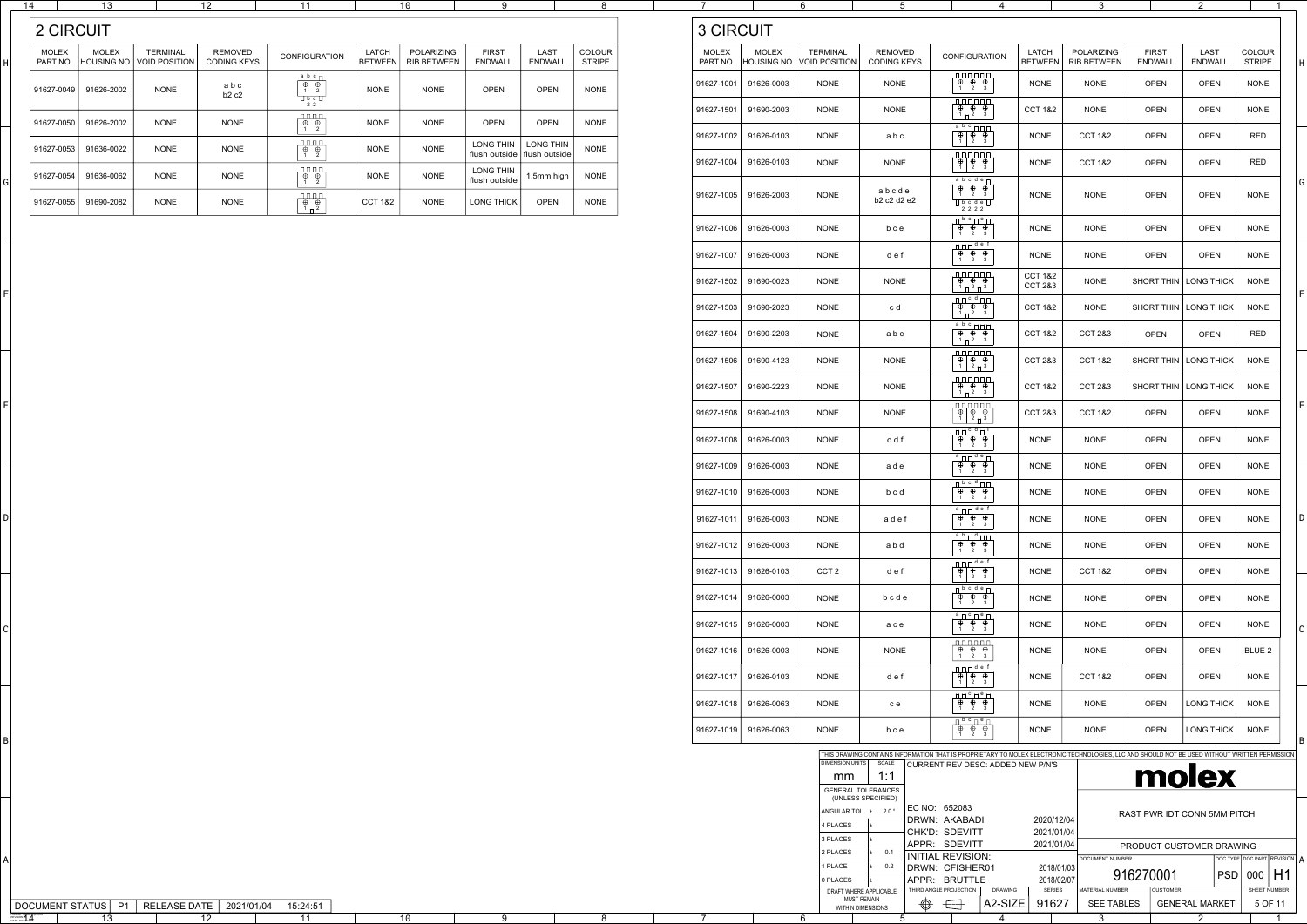|                             | 6                                       | 5                                    | 4                                                                                                                                                                                                                                                                                                                                                                                                            |                                                                                                                                                  | 3                                       |                                | $\overline{2}$                | $\mathbf 1$                                         |   |
|-----------------------------|-----------------------------------------|--------------------------------------|--------------------------------------------------------------------------------------------------------------------------------------------------------------------------------------------------------------------------------------------------------------------------------------------------------------------------------------------------------------------------------------------------------------|--------------------------------------------------------------------------------------------------------------------------------------------------|-----------------------------------------|--------------------------------|-------------------------------|-----------------------------------------------------|---|
| <b>3 CIRCUIT</b>            |                                         |                                      |                                                                                                                                                                                                                                                                                                                                                                                                              |                                                                                                                                                  |                                         |                                |                               |                                                     |   |
| <b>MOLEX</b><br>HOUSING NO. | <b>TERMINAL</b><br><b>VOID POSITION</b> | <b>REMOVED</b><br><b>CODING KEYS</b> | <b>CONFIGURATION</b>                                                                                                                                                                                                                                                                                                                                                                                         | <b>LATCH</b><br><b>BETWEEN</b>                                                                                                                   | <b>POLARIZING</b><br><b>RIB BETWEEN</b> | <b>FIRST</b><br><b>ENDWALL</b> | <b>LAST</b><br><b>ENDWALL</b> | <b>COLOUR</b><br><b>STRIPE</b>                      | Н |
| 91626-0003                  | <b>NONE</b>                             | <b>NONE</b>                          | 000000<br>$\overline{\theta}$ $\overline{\theta}$ $\overline{\theta}$<br>$1\quad 2\quad 3$                                                                                                                                                                                                                                                                                                                   | <b>NONE</b>                                                                                                                                      | <b>NONE</b>                             | <b>OPEN</b>                    | <b>OPEN</b>                   | <b>NONE</b>                                         |   |
| 91690-2003                  | <b>NONE</b>                             | <b>NONE</b>                          | <u> 000000</u><br>$\oplus$ $\oplus$ $\oplus$<br>$1 \square^2$ 3                                                                                                                                                                                                                                                                                                                                              | <b>CCT 1&amp;2</b>                                                                                                                               | <b>NONE</b>                             | <b>OPEN</b>                    | <b>OPEN</b>                   | <b>NONE</b>                                         |   |
| 91626-0103                  | <b>NONE</b>                             | abc                                  | $\theta$ $\theta$<br>2 3<br>$\oplus$<br>$\overline{1}$                                                                                                                                                                                                                                                                                                                                                       | <b>NONE</b>                                                                                                                                      | <b>CCT 1&amp;2</b>                      | <b>OPEN</b>                    | <b>OPEN</b>                   | <b>RED</b>                                          |   |
| 91626-0103                  | <b>NONE</b>                             | <b>NONE</b>                          | nnnnn<br>$\begin{array}{ c} \n\oplus \quad 0 \\ 2 \quad 3\n\end{array}$<br>$\oplus$<br>$\overline{1}$                                                                                                                                                                                                                                                                                                        | <b>NONE</b>                                                                                                                                      | <b>CCT 1&amp;2</b>                      | <b>OPEN</b>                    | <b>OPEN</b>                   | <b>RED</b>                                          |   |
| 91626-2003                  | <b>NONE</b>                             | abcde<br>b2 c2 d2 e2                 | $\overline{\bigoplus_{\theta\in\Theta} \bigoplus_{\theta\in\Theta} \bigoplus_{\theta\in\Theta} \bigoplus_{\theta\in\Theta} \bigoplus_{\theta\in\Theta} \bigg[$<br>$1 \quad 2 \quad 3$<br>$\Box$ bcde $\Box$<br>2 2 2 2                                                                                                                                                                                       | <b>NONE</b>                                                                                                                                      | <b>NONE</b>                             | <b>OPEN</b>                    | <b>OPEN</b>                   | <b>NONE</b>                                         | G |
| 91626-0003                  | <b>NONE</b>                             | bce                                  | $\overline{\Pi}$ b c $\overline{\Pi}$ e $\overline{\Pi}$<br>$\begin{array}{ccc}\n\oplus & \oplus & \oplus \\ 1 & 2 & 3\n\end{array}$                                                                                                                                                                                                                                                                         | <b>NONE</b>                                                                                                                                      | <b>NONE</b>                             | <b>OPEN</b>                    | <b>OPEN</b>                   | <b>NONE</b>                                         |   |
| 91626-0003                  | <b>NONE</b>                             | def                                  | $\oplus$ $\oplus$<br>$\oplus$<br>$1\quad 2\quad 3$                                                                                                                                                                                                                                                                                                                                                           | <b>NONE</b>                                                                                                                                      | <b>NONE</b>                             | <b>OPEN</b>                    | <b>OPEN</b>                   | <b>NONE</b>                                         |   |
| 91690-0023                  | <b>NONE</b>                             | <b>NONE</b>                          | 888888<br>$\oplus$ $\oplus$ $\oplus$<br>$1 \square^2 \square^3$                                                                                                                                                                                                                                                                                                                                              | <b>CCT 1&amp;2</b><br><b>CCT 2&amp;3</b>                                                                                                         | <b>NONE</b>                             | SHORT THIN                     | <b>LONG THICK</b>             | <b>NONE</b>                                         |   |
| 91690-2023                  | <b>NONE</b>                             | c d                                  | $\overline{\Pi}$ cd $\overline{\Pi}$<br>$\begin{array}{ccc}\n\oplus & \oplus & \oplus \\ 1 & 2 & 3\n\end{array}$                                                                                                                                                                                                                                                                                             | <b>CCT 1&amp;2</b>                                                                                                                               | <b>NONE</b>                             |                                | <b>LONG THICK</b>             | <b>NONE</b>                                         | F |
| 91690-2203                  | <b>NONE</b>                             | abc                                  | a b c<br>$\begin{array}{c c}\n\oplus & \oplus & \oplus \\ 1 & 2 & 3\n\end{array}$                                                                                                                                                                                                                                                                                                                            | <b>CCT 1&amp;2</b>                                                                                                                               | <b>CCT 2&amp;3</b>                      | <b>OPEN</b>                    | <b>OPEN</b>                   | <b>RED</b>                                          |   |
| 91690-4123                  | <b>NONE</b>                             | <b>NONE</b>                          | nnnnn<br>$\bigoplus$ $\bigoplus$ $\bigoplus$<br>$2 \pi^3$<br>$\overline{1}$                                                                                                                                                                                                                                                                                                                                  | <b>CCT 2&amp;3</b>                                                                                                                               | <b>CCT 1&amp;2</b>                      |                                |                               | <b>NONE</b>                                         |   |
| 91690-2223                  | <b>NONE</b>                             | <b>NONE</b>                          | 000000<br>$\begin{array}{c c}\n\oplus & \oplus \\ 1 & 2 & 3\n\end{array}$                                                                                                                                                                                                                                                                                                                                    | <b>CCT 1&amp;2</b>                                                                                                                               | <b>CCT 2&amp;3</b>                      |                                | <b>LONG THICK</b>             | <b>NONE</b>                                         |   |
| 91690-4103                  | <b>NONE</b>                             | <b>NONE</b>                          | $\begin{array}{ c c c c c }\hline \text{nonon} & \text{on} & \text{on} & \text{on} \\\hline \text{--}\oplus & \text{--}\oplus & \text{--}\oplus \end{array}$<br>$1 \mid 2 \mid 3$                                                                                                                                                                                                                            | <b>CCT 2&amp;3</b>                                                                                                                               | <b>CCT 1&amp;2</b>                      | <b>OPEN</b>                    | <b>OPEN</b>                   | <b>NONE</b>                                         | Е |
| 91626-0003                  | <b>NONE</b>                             | cdf                                  | $\overline{\bigoplus_{i=1}^{n} \bigoplus_{j=1}^{n} \bigoplus_{j=1}^{n} \bigoplus_{j=1}^{n} \bigoplus_{j=1}^{n} \bigoplus_{j=1}^{n} \bigoplus_{j=1}^{n} \bigoplus_{j=1}^{n} \bigoplus_{j=1}^{n} \bigoplus_{j=1}^{n} \bigoplus_{j=1}^{n} \bigoplus_{j=1}^{n} \bigoplus_{j=1}^{n} \bigoplus_{j=1}^{n} \bigoplus_{j=1}^{n} \bigoplus_{j=1}^{n} \bigoplus_{j=1}^{n} \bigoplus_{j=1}^{n} \$<br>$1 \quad 2 \quad 3$ | <b>NONE</b>                                                                                                                                      | <b>NONE</b>                             | <b>OPEN</b>                    | <b>OPEN</b>                   | <b>NONE</b>                                         |   |
| 91626-0003                  | <b>NONE</b>                             | ade                                  | $\begin{array}{ccc}\n\oplus & \oplus & \oplus \\ 1 & 2 & 3\n\end{array}$                                                                                                                                                                                                                                                                                                                                     | <b>NONE</b>                                                                                                                                      | <b>NONE</b>                             | <b>OPEN</b>                    | <b>OPEN</b>                   | <b>NONE</b>                                         |   |
| 91627-1010<br>91626-0003    | <b>NONE</b>                             | bcd                                  | $\overline{\bigoplus}$ $\overline{\bigoplus}$ $\overline{\bigoplus}$<br>$\overline{1}$ $\overline{2}$ $\overline{3}$                                                                                                                                                                                                                                                                                         | <b>NONE</b>                                                                                                                                      | <b>NONE</b>                             | <b>OPEN</b>                    | <b>OPEN</b>                   | <b>NONE</b>                                         |   |
| 91626-0003                  | <b>NONE</b>                             | adef                                 | $a \sqcap \sqcap$ def<br>$\begin{array}{ccc}\n\oplus & \oplus & \oplus\n\end{array}$<br>$1 \quad 2 \quad 3$                                                                                                                                                                                                                                                                                                  | <b>NONE</b>                                                                                                                                      | <b>NONE</b>                             | <b>OPEN</b>                    | <b>OPEN</b>                   | <b>NONE</b>                                         | D |
|                             |                                         |                                      |                                                                                                                                                                                                                                                                                                                                                                                                              | $\overline{a}$ $\overline{b}$ $\overline{c}$ $\overline{u}$ $\overline{u}$<br>$\overline{a\ b\ c\ d\ e}$<br>$a \overline{a} \overline{a}$ de $a$ |                                         |                                |                               | SHORT THIN<br>SHORT THIN   LONG THICK<br>SHORT THIN |   |

|            |            |                  |             | $1 \quad 2 \quad 3$                                                                                                                                                                                                                                                                                                                                                                                                                            |             |                    |             |                   |                   |   |
|------------|------------|------------------|-------------|------------------------------------------------------------------------------------------------------------------------------------------------------------------------------------------------------------------------------------------------------------------------------------------------------------------------------------------------------------------------------------------------------------------------------------------------|-------------|--------------------|-------------|-------------------|-------------------|---|
| 91627-1010 | 91626-0003 | <b>NONE</b>      | bcd         | $\overline{\oplus \oplus \oplus \cdots}$<br>$1 \quad 2 \quad 3$                                                                                                                                                                                                                                                                                                                                                                                | <b>NONE</b> | <b>NONE</b>        | <b>OPEN</b> | <b>OPEN</b>       | <b>NONE</b>       |   |
| 91627-1011 | 91626-0003 | <b>NONE</b>      | adef        | $a \Box$ def<br>$\overline{\bigoplus}$ $\overline{\bigoplus}$<br>$\oplus$<br>$1 \quad 2 \quad 3$                                                                                                                                                                                                                                                                                                                                               | <b>NONE</b> | <b>NONE</b>        | <b>OPEN</b> | <b>OPEN</b>       | <b>NONE</b>       |   |
| 91627-1012 | 91626-0003 | <b>NONE</b>      | abd         | $\overline{a}$ $\overline{b}$ $\overline{d}$ $\overline{d}$ $\overline{d}$<br>$\begin{array}{ccc}\n\oplus & \oplus & \oplus \\ 1 & 2 & 3\n\end{array}$                                                                                                                                                                                                                                                                                         | <b>NONE</b> | <b>NONE</b>        | <b>OPEN</b> | <b>OPEN</b>       | <b>NONE</b>       |   |
| 91627-1013 | 91626-0103 | CCT <sub>2</sub> | def         | $\Box$ def<br>$\bigoplus$ + $\bigoplus$<br>$1 \mid 2 \mid 3$                                                                                                                                                                                                                                                                                                                                                                                   | <b>NONE</b> | <b>CCT 1&amp;2</b> | <b>OPEN</b> | <b>OPEN</b>       | <b>NONE</b>       |   |
| 91627-1014 | 91626-0003 | <b>NONE</b>      | bcde        | $\begin{array}{ c c c }\hline b & c & d & e \\ \hline \oplus & \oplus & \oplus \\ 1 & 2 & 3 \\ \hline \end{array}$                                                                                                                                                                                                                                                                                                                             | <b>NONE</b> | <b>NONE</b>        | <b>OPEN</b> | <b>OPEN</b>       | <b>NONE</b>       |   |
| 91627-1015 | 91626-0003 | <b>NONE</b>      | ace         | $a \Box c \Box e \Box$<br>$\oplus$ $\oplus$ $\oplus$<br>$1 \quad 2 \quad 3$                                                                                                                                                                                                                                                                                                                                                                    | <b>NONE</b> | <b>NONE</b>        | <b>OPEN</b> | <b>OPEN</b>       | <b>NONE</b>       | С |
| 91627-1016 | 91626-0003 | <b>NONE</b>      | <b>NONE</b> | nnnnn<br>$\overline{\oplus \quad \oplus \quad \oplus \quad}$<br>$1 \quad 2 \quad 3$                                                                                                                                                                                                                                                                                                                                                            | <b>NONE</b> | <b>NONE</b>        | <b>OPEN</b> | <b>OPEN</b>       | BLUE <sub>2</sub> |   |
| 91627-1017 | 91626-0103 | <b>NONE</b>      | def         | $\theta$ $\theta$<br>$2 \quad 3$<br>$\mathbf{1}$                                                                                                                                                                                                                                                                                                                                                                                               | <b>NONE</b> | <b>CCT 1&amp;2</b> | <b>OPEN</b> | <b>OPEN</b>       | <b>NONE</b>       |   |
| 91627-1018 | 91626-0063 | <b>NONE</b>      | c e         | $\Box\Box\ ^{c}\Box\ ^{e}\Box$<br>$\overline{\bigoplus_{i=1}^{n} \bigoplus_{j=1}^{n} \bigoplus_{j=1}^{n} \bigoplus_{j=1}^{n} \bigoplus_{j=1}^{n} \bigoplus_{j=1}^{n} \bigoplus_{j=1}^{n} \bigoplus_{j=1}^{n} \bigoplus_{j=1}^{n} \bigoplus_{j=1}^{n} \bigoplus_{j=1}^{n} \bigoplus_{j=1}^{n} \bigoplus_{j=1}^{n} \bigoplus_{j=1}^{n} \bigoplus_{j=1}^{n} \bigoplus_{j=1}^{n} \bigoplus_{j=1}^{n} \bigoplus_{j=1}^{n} \$<br>$1 \quad 2 \quad 3$ | <b>NONE</b> | <b>NONE</b>        | <b>OPEN</b> | <b>LONG THICK</b> | <b>NONE</b>       |   |
| 91627-1019 | 91626-0063 | <b>NONE</b>      | bce         | $\begin{array}{c} \mathbb{L} \mathfrak{p} \mathfrak{c} \mathbb{L} \mathfrak{e} \\ \oplus \mathfrak{e} \mathbb{L} \end{array}$<br>$1 \quad 2 \quad 3$                                                                                                                                                                                                                                                                                           | <b>NONE</b> | <b>NONE</b>        | <b>OPEN</b> | <b>LONG THICK</b> | <b>NONE</b>       | B |
|            |            |                  |             |                                                                                                                                                                                                                                                                                                                                                                                                                                                |             |                    |             |                   |                   |   |

| 14 |                          | 13                           |                                         | 12                                   | 11                                                                                                                                              |                                | 10                                      | 9                                 |                               | 8                              |
|----|--------------------------|------------------------------|-----------------------------------------|--------------------------------------|-------------------------------------------------------------------------------------------------------------------------------------------------|--------------------------------|-----------------------------------------|-----------------------------------|-------------------------------|--------------------------------|
|    | 2 CIRCUIT                |                              |                                         |                                      |                                                                                                                                                 |                                |                                         |                                   |                               |                                |
|    | <b>MOLEX</b><br>PART NO. | <b>MOLEX</b><br> HOUSING NO. | <b>TERMINAL</b><br><b>VOID POSITION</b> | <b>REMOVED</b><br><b>CODING KEYS</b> | <b>CONFIGURATION</b>                                                                                                                            | <b>LATCH</b><br><b>BETWEEN</b> | <b>POLARIZING</b><br><b>RIB BETWEEN</b> | <b>FIRST</b><br><b>ENDWALL</b>    | <b>LAST</b><br><b>ENDWALL</b> | <b>COLOUR</b><br><b>STRIPE</b> |
|    | 91627-0049               | 91626-2002                   | <b>NONE</b>                             | abc<br>b2 c2                         | a b c $\Gamma$<br>$\oplus$<br>$\oplus$<br>2<br>$\Box$ bc $\Box$<br>2 <sub>2</sub>                                                               | <b>NONE</b>                    | <b>NONE</b>                             | <b>OPEN</b>                       | <b>OPEN</b>                   | <b>NONE</b>                    |
|    | 91627-0050               | 91626-2002                   | <b>NONE</b>                             | <b>NONE</b>                          | $\Box$<br>$\oplus$<br>$\bigoplus$<br>$\overline{1}$<br>2                                                                                        | <b>NONE</b>                    | <b>NONE</b>                             | <b>OPEN</b>                       | <b>OPEN</b>                   | <b>NONE</b>                    |
|    | 91627-0053               | 91636-0022                   | <b>NONE</b>                             | <b>NONE</b>                          | $\Box \Box \Box \Box$<br>$\overline{\frac{\oplus}{2}}$<br>$\oplus$<br>$\overline{1}$                                                            | <b>NONE</b>                    | <b>NONE</b>                             | <b>LONG THIN</b><br>flush outside | LONG THIN<br>flush outside    | <b>NONE</b>                    |
|    | 91627-0054               | 91636-0062                   | <b>NONE</b>                             | <b>NONE</b>                          | <b>חחחח</b><br>$\oplus$<br>$\oplus$<br>$\overline{1}$<br>2                                                                                      | <b>NONE</b>                    | <b>NONE</b>                             | <b>LONG THIN</b><br>flush outside | 5mm high                      | <b>NONE</b>                    |
|    | 91627-0055               | 91690-2082                   | <b>NONE</b>                             | <b>NONE</b>                          | $\begin{array}{c} \begin{array}{c} \text{array}\\ \text{array}\\ \text{array}\\ \end{array} \end{array}$<br>$\oplus$<br>$\oplus$<br>$1 \square$ | <b>CCT 1&amp;2</b>             | <b>NONE</b>                             | <b>LONG THICK</b>                 | <b>OPEN</b>                   | <b>NONE</b>                    |

|   |                        |                                                 |                          |                |                                   |               | THIS DRAWING CONTAINS INFORMATION THAT IS PROPRIETARY TO MOLEX ELECTRONIC TECHNOLOGIES, LLC AND SHOULD NOT BE USED WITHOUT WRITTEN PERMISSION |                                    |                              |     |                     |  |
|---|------------------------|-------------------------------------------------|--------------------------|----------------|-----------------------------------|---------------|-----------------------------------------------------------------------------------------------------------------------------------------------|------------------------------------|------------------------------|-----|---------------------|--|
|   | <b>DIMENSION UNITS</b> | SCALE                                           |                          |                | CURRENT REV DESC: ADDED NEW P/N'S |               |                                                                                                                                               |                                    |                              |     |                     |  |
|   | mm                     | 1:1                                             |                          |                |                                   |               |                                                                                                                                               | molex                              |                              |     |                     |  |
|   |                        | <b>GENERAL TOLERANCES</b><br>(UNLESS SPECIFIED) |                          |                |                                   |               |                                                                                                                                               |                                    |                              |     |                     |  |
|   | ANGULAR TOL ±          | $2.0^{\circ}$                                   | EC NO: 652083            |                |                                   |               |                                                                                                                                               | <b>RAST PWR IDT CONN 5MM PITCH</b> |                              |     |                     |  |
|   | 4 PLACES               |                                                 | DRWN: AKABADI            |                |                                   | 2020/12/04    |                                                                                                                                               |                                    |                              |     |                     |  |
|   | 3 PLACES               |                                                 | CHK'D: SDEVITT           |                |                                   | 2021/01/04    |                                                                                                                                               |                                    |                              |     |                     |  |
|   |                        |                                                 | APPR: SDEVITT            |                |                                   | 2021/01/04    |                                                                                                                                               | PRODUCT CUSTOMER DRAWING           |                              |     |                     |  |
|   | 2 PLACES               | 0.1                                             | <b>INITIAL REVISION:</b> |                |                                   |               | <b>DOCUMENT NUMBER</b>                                                                                                                        |                                    | DOC TYPE DOC PART REVISION A |     |                     |  |
|   | 1 PLACE                | 0.2                                             | DRWN: CFISHER01          |                |                                   | 2018/01/03    |                                                                                                                                               |                                    |                              |     |                     |  |
|   | 0 PLACES               |                                                 | APPR:                    | <b>BRUTTLE</b> |                                   | 2018/02/07    | 916270001                                                                                                                                     |                                    | <b>PSD</b>                   | 000 | H1                  |  |
|   |                        | DRAFT WHERE APPLICABLE                          | THIRD ANGLE PROJECTION   |                | <b>DRAWING</b>                    | <b>SERIES</b> | <b>MATERIAL NUMBER</b>                                                                                                                        | <b>CUSTOMER</b>                    |                              |     | <b>SHEET NUMBER</b> |  |
|   |                        | <b>MUST REMAIN</b><br><b>WITHIN DIMENSIONS</b>  | $\circledcirc$           | $+\rightarrow$ | A2-SIZE                           | 91627         | <b>SEE TABLES</b>                                                                                                                             | <b>GENERAL MARKET</b>              |                              |     | 5 OF 11             |  |
| 6 |                        | 5                                               |                          |                |                                   |               |                                                                                                                                               |                                    |                              |     |                     |  |

| <b>DOCUMENT</b>                                              | D <sub>1</sub><br><b>NT STATUS</b> | <b>LEASE DATE</b><br>REL. | 2021/01/04 | 15:24:51 |  |  |
|--------------------------------------------------------------|------------------------------------|---------------------------|------------|----------|--|--|
| FORMAT: master-li-prod-A2<br>REVISION: H<br>DATE: 2018/01/18 |                                    |                           |            |          |  |  |

 $\mathsf{A}$ 

B

C

D

E

F

G

H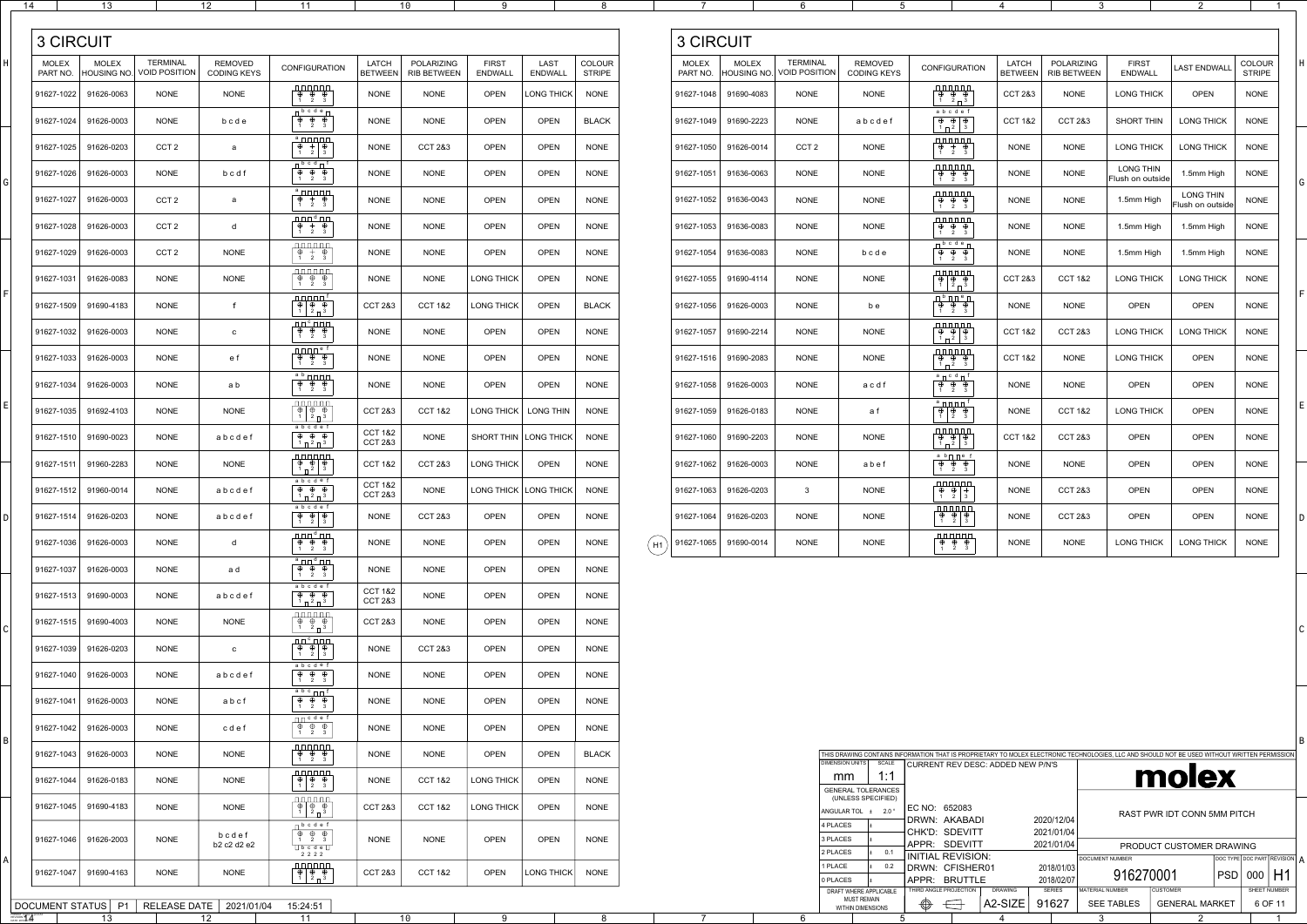| 14                                                               |                  | 13                         |                      | 12 <sup>°</sup>                              | 11                                                                                                                                                                                                                                                                                                                                                                                                                                                                                                                                                      |                                          | 10                 | <u>ှ</u>                |                   | 8             |                            |                       |                       |                           | -5                                             |                                                                                                                                                                                                                                                                                                                                                                                                                                        |                    |                             |                                                 | ົດ                            |                            |
|------------------------------------------------------------------|------------------|----------------------------|----------------------|----------------------------------------------|---------------------------------------------------------------------------------------------------------------------------------------------------------------------------------------------------------------------------------------------------------------------------------------------------------------------------------------------------------------------------------------------------------------------------------------------------------------------------------------------------------------------------------------------------------|------------------------------------------|--------------------|-------------------------|-------------------|---------------|----------------------------|-----------------------|-----------------------|---------------------------|------------------------------------------------|----------------------------------------------------------------------------------------------------------------------------------------------------------------------------------------------------------------------------------------------------------------------------------------------------------------------------------------------------------------------------------------------------------------------------------------|--------------------|-----------------------------|-------------------------------------------------|-------------------------------|----------------------------|
|                                                                  | <b>3 CIRCUIT</b> |                            |                      |                                              |                                                                                                                                                                                                                                                                                                                                                                                                                                                                                                                                                         |                                          |                    |                         |                   |               |                            | <b>3 CIRCUIT</b>      |                       |                           |                                                |                                                                                                                                                                                                                                                                                                                                                                                                                                        |                    |                             |                                                 |                               |                            |
|                                                                  | <b>MOLEX</b>     | <b>MOLEX</b>               | <b>TERMINAL</b>      | <b>REMOVED</b>                               |                                                                                                                                                                                                                                                                                                                                                                                                                                                                                                                                                         | <b>LATCH</b>                             | POLARIZING         | <b>FIRST</b>            | <b>LAST</b>       | COLOUR        |                            | <b>MOLEX</b>          | <b>MOLEX</b>          | <b>TERMINAL</b>           | <b>REMOVED</b>                                 |                                                                                                                                                                                                                                                                                                                                                                                                                                        | <b>LATCH</b>       | POLARIZING                  | <b>FIRST</b>                                    |                               | COLOUR                     |
|                                                                  | PART NO.         | HOUSING NO.                | <b>VOID POSITION</b> | <b>CODING KEYS</b>                           | <b>CONFIGURATION</b>                                                                                                                                                                                                                                                                                                                                                                                                                                                                                                                                    | <b>BETWEEN</b>                           | <b>RIB BETWEEN</b> | <b>ENDWALI</b>          | <b>ENDWALL</b>    | <b>STRIPE</b> |                            | PART NO.              |                       | HOUSING NO. VOID POSITION | <b>CODING KEYS</b>                             | CONFIGURATION                                                                                                                                                                                                                                                                                                                                                                                                                          | <b>BETWEEN</b>     | <b>RIB BETWEEN</b>          | <b>ENDWALL</b>                                  | <b>LAST ENDWALL</b>           | <b>STRIPE</b>              |
|                                                                  | 91627-1022       | 91626-0063                 | <b>NONE</b>          | <b>NONE</b>                                  | $\begin{array}{c}\n\begin{array}{c}\n\Box \Box \Box \Box \Box \Box \Box \\ \oplus \quad \oplus \quad \oplus \\ \Box \quad 1 \quad 2 \quad 3\n\end{array}\n\end{array}$                                                                                                                                                                                                                                                                                                                                                                                  | <b>NONE</b>                              | <b>NONE</b>        | <b>OPEN</b>             | <b>LONG THICK</b> | <b>NONE</b>   |                            |                       | 91627-1048 91690-4083 | <b>NONE</b>               | <b>NONE</b>                                    | $\begin{array}{c}\n\text{nonnon} \\ \uparrow \theta \quad \theta \quad \theta\n\end{array}$<br>$1 \quad 2 \quad \boxed{3}$                                                                                                                                                                                                                                                                                                             | <b>CCT 2&amp;3</b> | <b>NONE</b>                 | <b>LONG THICK</b>                               | <b>OPEN</b>                   | <b>NONE</b>                |
|                                                                  | $91627 - 1024$   | 91626-0003                 | <b>NONE</b>          | bcde                                         | $\Box$ b c d e $\Box$<br>$\begin{array}{cccc}\n\oplus & \oplus & \oplus \\ 1 & 2 & 3\n\end{array}$                                                                                                                                                                                                                                                                                                                                                                                                                                                      | <b>NONE</b>                              | <b>NONE</b>        | <b>OPEN</b>             | <b>OPEN</b>       | <b>BLACK</b>  |                            |                       | 91627-1049 91690-2223 | <b>NONE</b>               | abcdef                                         | a b c d e f<br>$\theta$ $\theta$ $\theta$<br>$\frac{1}{2}$ $\frac{2}{3}$                                                                                                                                                                                                                                                                                                                                                               | <b>CCT 1&amp;2</b> | <b>CCT 2&amp;3</b>          | SHORT THIN                                      | <b>LONG THICK</b>             | <b>NONE</b>                |
|                                                                  | 91627-1025       | 91626-0203                 | CCT <sub>2</sub>     |                                              | $\begin{array}{c c}\n\mathbf{a} & \mathbf{n} & \mathbf{n} & \mathbf{n} \\ \oplus & + & \oplus \\ \hline\n\mathbf{1} & \mathbf{2} & \mathbf{3}\n\end{array}$                                                                                                                                                                                                                                                                                                                                                                                             | <b>NONE</b>                              | <b>CCT 2&amp;3</b> | <b>OPEN</b>             | <b>OPEN</b>       | <b>NONE</b>   |                            | 91627-1050 91626-0014 |                       | CCT <sub>2</sub>          | <b>NONE</b>                                    | $\begin{array}{ c c c }\n\hline\n\text{minima} \\ \oplus & + & \oplus \\ \hline\n1 & 2 & 3\n\end{array}$                                                                                                                                                                                                                                                                                                                               | <b>NONE</b>        | <b>NONE</b>                 | <b>LONG THICK</b>                               | <b>LONG THICK</b>             | <b>NONE</b>                |
|                                                                  | 91627-1026       | 91626-0003                 | <b>NONE</b>          | bcdf                                         | $\Box$ $\beta$ c d $\Box$ f<br>$\begin{array}{cccc}\n\oplus & \oplus & \oplus \\ 1 & 2 & 3\n\end{array}$                                                                                                                                                                                                                                                                                                                                                                                                                                                | <b>NONE</b>                              | <b>NONE</b>        | <b>OPEN</b>             | <b>OPEN</b>       | <b>NONE</b>   |                            | 91627-1051 91636-0063 |                       | <b>NONE</b>               | <b>NONE</b>                                    | $\begin{array}{ c c c c c }\hline\text{unnum} & \text{in} & \text{in} \\ \hline \mathbb{\theta} & \mathbb{\theta} & \mathbb{\phi} & \text{in} \end{array}$<br>$1 \quad 2 \quad 3$                                                                                                                                                                                                                                                      | <b>NONE</b>        | <b>NONE</b>                 | <b>LONG THIN</b><br>Flush on outside            | 1.5mm High                    | <b>NONE</b>                |
|                                                                  | 91627-1027       | 91626-0003                 | CCT <sub>2</sub>     |                                              |                                                                                                                                                                                                                                                                                                                                                                                                                                                                                                                                                         | <b>NONE</b>                              | <b>NONE</b>        | <b>OPEN</b>             | <b>OPEN</b>       | <b>NONE</b>   |                            | $91627 - 1052$        | 91636-0043            | <b>NONE</b>               | <b>NONE</b>                                    | عممممم<br>$\begin{array}{ccccccccc}\n\oplus & \oplus & \oplus & \n\end{array}$<br>$1 \quad 2 \quad 3$                                                                                                                                                                                                                                                                                                                                  | <b>NONE</b>        | <b>NONE</b>                 | 1.5mm High                                      | LONG THIN<br>Flush on outside | <b>NONE</b>                |
|                                                                  | 91627-1028       | 91626-0003                 | CCT <sub>2</sub>     | d                                            | $\begin{array}{c} \Pi \Pi \Pi \stackrel{\mathsf{d}}{\oplus} + \begin{array}{c} \oplus \\ \oplus \\ 1 \end{array} \\ 1 \end{array}$                                                                                                                                                                                                                                                                                                                                                                                                                      | <b>NONE</b>                              | <b>NONE</b>        | <b>OPEN</b>             | <b>OPEN</b>       | <b>NONE</b>   |                            | $91627 - 1053$        | 91636-0083            | <b>NONE</b>               | <b>NONE</b>                                    | مممومو<br>$\oplus$ $\oplus$ $\oplus$<br>$1 \quad 2 \quad 3$                                                                                                                                                                                                                                                                                                                                                                            | <b>NONE</b>        | <b>NONE</b>                 | 1.5mm High                                      | 1.5mm High                    | <b>NONE</b>                |
|                                                                  | 91627-1029       | 91626-0003                 | CCT <sub>2</sub>     | <b>NONE</b>                                  | $\begin{array}{c} \square \square \square \square \square \square \\ \oplus \hspace{0.1cm} + \hspace{0.1cm} \oplus \\ \hspace{0.1cm} 1 \hspace{0.1cm} 2 \hspace{0.1cm} 3 \end{array}$                                                                                                                                                                                                                                                                                                                                                                   | <b>NONE</b>                              | <b>NONE</b>        | <b>OPEN</b>             | <b>OPEN</b>       | <b>NONE</b>   |                            | $91627 - 1054$        | 91636-0083            | <b>NONE</b>               | bcde                                           | $\Box$ p c d e $\Box$<br>$\overline{\mathbf{\theta} \oplus \mathbf{\theta}}$<br>$1 \quad 2 \quad 3$                                                                                                                                                                                                                                                                                                                                    | <b>NONE</b>        | <b>NONE</b>                 | 1.5mm High                                      | 1.5mm High                    | <b>NONE</b>                |
|                                                                  | 91627-1031       | 91626-0083                 | <b>NONE</b>          | <b>NONE</b>                                  | $\begin{tabular}{c} \hline \quad \textbf{OPT} \quad \textbf{OPT} \quad \textbf{OPT} \quad \textbf{OPT} \quad \textbf{OPT} \quad \textbf{OPT} \quad \textbf{OPT} \quad \textbf{OPT} \quad \textbf{OPT} \quad \textbf{OPT} \quad \textbf{OPT} \quad \textbf{OPT} \quad \textbf{OPT} \quad \textbf{OPT} \quad \textbf{OPT} \quad \textbf{OPT} \quad \textbf{OPT} \quad \textbf{OPT} \quad \textbf{OPT} \quad \textbf{OPT} \quad \textbf{OPT} \quad \textbf{OPT} \quad \textbf{OPT} \quad \textbf{OPT} \quad \textbf{OPT} \quad \textbf{OPT} \$             | <b>NONE</b>                              | <b>NONE</b>        | <b>LONG THICK</b>       | <b>OPEN</b>       | <b>NONE</b>   |                            | $91627 - 1055$        | 91690-4114            | <b>NONE</b>               | <b>NONE</b>                                    | $\begin{tabular}{ c c c c } \hline \quad \quad \quad & \quad \quad & \quad \quad & \quad \quad \\ \hline \oplus & \oplus & \oplus & \quad \quad \\ \hline 1 & 2 & 3 & \quad \quad \\ \hline \end{tabular}$                                                                                                                                                                                                                             | <b>CCT 2&amp;3</b> | <b>CCT 1&amp;2</b>          | <b>LONG THICK</b>                               | <b>LONG THICK</b>             | <b>NONE</b>                |
|                                                                  | 91627-1509       | 91690-4183                 | <b>NONE</b>          |                                              | $\begin{array}{c c}\n\Box\Box\Box\Box\Box^f \\ \oplus & \oplus \\ 1 & 2 \square^3\n\end{array}$                                                                                                                                                                                                                                                                                                                                                                                                                                                         | <b>CCT 2&amp;3</b>                       | <b>CCT 1&amp;2</b> | <b>LONG THICK</b>       | <b>OPEN</b>       | <b>BLACK</b>  |                            |                       | 91627-1056 91626-0003 | <b>NONE</b>               | be                                             | $\begin{array}{c} \mathbb{D}^{\mathsf{b}} \mathbb{D} \mathbb{P}^{\mathsf{e}} \\ \oplus \\ 1 \quad 2 \quad 3 \end{array}$                                                                                                                                                                                                                                                                                                               | <b>NONE</b>        | <b>NONE</b>                 | <b>OPEN</b>                                     | <b>OPEN</b>                   | <b>NONE</b>                |
|                                                                  | 91627-1032       | 91626-0003                 | <b>NONE</b>          |                                              | $\begin{array}{c}\n\Box \Box \ ^c \ \Box \ \Box \ \ \oplus \ \ \oplus \ \ \uparrow \ \ 1 \quad \ 2 \quad \ 3\n\end{array}$                                                                                                                                                                                                                                                                                                                                                                                                                              | <b>NONE</b>                              | <b>NONE</b>        | <b>OPEN</b>             | <b>OPEN</b>       | <b>NONE</b>   |                            | 91627-1057 91690-2214 |                       | <b>NONE</b>               | <b>NONE</b>                                    | $\begin{tabular}{c c c} \hline \quad \quad & \quad \quad & \quad \quad & \quad \quad \\ \hline \oplus & \oplus & \oplus \\ \hline 1 & 2 & 3 \\ \hline \end{tabular}$                                                                                                                                                                                                                                                                   | <b>CCT 1&amp;2</b> | <b>CCT 2&amp;3</b>          | <b>LONG THICK</b>                               | <b>LONG THICK</b>             | <b>NONE</b>                |
|                                                                  | $91627 - 1033$   | 91626-0003                 | <b>NONE</b>          | e f                                          | n<br>$\begin{array}{ccccccccc}\n\oplus & \oplus & \oplus & \end{array}$<br>$1 \quad 2 \quad 3$                                                                                                                                                                                                                                                                                                                                                                                                                                                          | <b>NONE</b>                              | <b>NONE</b>        | <b>OPEN</b>             | <b>OPEN</b>       | <b>NONE</b>   |                            |                       | 91627-1516 91690-2083 | <b>NONE</b>               | <b>NONE</b>                                    | عممقموهم<br>$\qquad \qquad \oplus \quad \oplus \quad \oplus$<br>$1 \square^2$ 3                                                                                                                                                                                                                                                                                                                                                        | <b>CCT 1&amp;2</b> | <b>NONE</b>                 | <b>LONG THICK</b>                               | <b>OPEN</b>                   | <b>NONE</b>                |
|                                                                  |                  | 91627-1034 91626-0003      | <b>NONE</b>          | a b                                          | $\begin{tabular}{c} a & b \\ \hline \oplus & \oplus \\ \hline \end{tabular}$<br>$1\quad 2\quad 3$                                                                                                                                                                                                                                                                                                                                                                                                                                                       | <b>NONE</b>                              | <b>NONE</b>        | <b>OPEN</b>             | <b>OPEN</b>       | <b>NONE</b>   |                            |                       | 91627-1058 91626-0003 | <b>NONE</b>               | acdf                                           | $\begin{array}{c} \mathbf{a} \cap \mathbf{c} \mathbf{d} \cap \mathbf{f} \\ \oplus \ \oplus \ \oplus \end{array}$<br>$1 \quad 2 \quad 3$                                                                                                                                                                                                                                                                                                | <b>NONE</b>        | <b>NONE</b>                 | <b>OPEN</b>                                     | <b>OPEN</b>                   | <b>NONE</b>                |
|                                                                  |                  | 91627-1035   91692-4103    | <b>NONE</b>          | <b>NONE</b>                                  | $\begin{array}{c}\n\Box\Box\Box\Box\Box\Box \\ \quad\quad\oplus\quad\oplus\quad\oplus\quad\end{array}$<br>1273                                                                                                                                                                                                                                                                                                                                                                                                                                          | <b>CCT 2&amp;3</b>                       | <b>CCT 1&amp;2</b> | LONG THICK   LONG THIN  |                   | <b>NONE</b>   |                            |                       | 91627-1059 91626-0183 | <b>NONE</b>               | a f                                            | $\begin{array}{c c}\n\mathbf{a} & \mathbf{a} & \mathbf{a} & \mathbf{a} \\ \hline\n\mathbf{a} & \mathbf{b} & \mathbf{b} & \mathbf{b} \\ \hline\n\mathbf{a} & \mathbf{a} & \mathbf{a} & \mathbf{a} \\ \hline\n\mathbf{a} & \mathbf{a} & \mathbf{a} & \mathbf{a} \\ \hline\n\mathbf{a} & \mathbf{a} & \mathbf{a} & \mathbf{a} \\ \hline\n\mathbf{a} & \mathbf{a} & \mathbf{a} & \mathbf{a} \\ \hline\n\mathbf{a} & \mathbf{a} & \mathbf{$ | <b>NONE</b>        | <b>CCT 1&amp;2</b>          | <b>LONG THICK</b>                               | <b>OPEN</b>                   | <b>NONE</b>                |
|                                                                  |                  | 91627-1510 91690-0023      | <b>NONE</b>          | abcdef                                       | abcdef<br>$\begin{array}{ccccccccc}\n\oplus & \oplus & \oplus & \oplus & \end{array}$<br>$1 \square^2 \square^3$                                                                                                                                                                                                                                                                                                                                                                                                                                        | <b>CCT 1&amp;2</b><br><b>CCT 2&amp;3</b> | <b>NONE</b>        | SHORT THIN   LONG THICK |                   | <b>NONE</b>   |                            |                       | 91627-1060 91690-2203 | <b>NONE</b>               | <b>NONE</b>                                    | ممهومهم<br>$\theta \theta$<br>$\frac{1}{2}$ $\frac{2}{3}$                                                                                                                                                                                                                                                                                                                                                                              | <b>CCT 1&amp;2</b> | <b>CCT 2&amp;3</b>          | <b>OPEN</b>                                     | <b>OPEN</b>                   | <b>NONE</b>                |
|                                                                  | $91627 - 1511$   | 91960-2283                 | <b>NONE</b>          | <b>NONE</b>                                  | $\begin{array}{ c c c c c }\hline & \text{minmin}{\theta} & \text{minmin}{\theta} & \text{minmax}{\theta} & \text{minmax}{\theta} & \text{minmax}{\theta} & \text{minmax}{\theta} & \text{minmax}{\theta} & \text{minmax}{\theta} & \text{minmax}{\theta} & \text{minmax}{\theta} & \text{minmax}{\theta} & \text{minmax}{\theta} & \text{minmax}{\theta} & \text{minmax}{\theta} & \text{minmax}{\theta} & \text{minmax}{\theta} & \text{minmax}{\theta} & \text{minmax}{\theta} & \text{minmax}{\theta} & \text{minmax}{\theta} &$<br>$\frac{1}{2}$ 3 | <b>CCT 1&amp;2</b>                       | <b>CCT 2&amp;3</b> | <b>LONG THICK</b>       | <b>OPEN</b>       | <b>NONE</b>   |                            |                       | 91627-1062 91626-0003 | <b>NONE</b>               | abef                                           | $\begin{array}{c} a \text{ } b \cap \cap e \text{ } f \\ \oplus \text{ } \oplus \text{ } \oplus \end{array}$<br>$1 \quad 2 \quad 3$                                                                                                                                                                                                                                                                                                    | <b>NONE</b>        | <b>NONE</b>                 | <b>OPEN</b>                                     | <b>OPEN</b>                   | <b>NONE</b>                |
|                                                                  |                  | 91627-1512 91960-0014      | <b>NONE</b>          | abcdef                                       | a b c d e f<br>$\overline{\bigoplus\hspace{1.9em}}\hspace{1.9em}\overline{\hspace{1.9em}}\hspace{1.9em}\oplus\hspace{1.9em}\overline{\hspace{1.9em}}\hspace{1.9em}\oplus\hspace{1.9em}\overline{\hspace{1.9em}}$<br>$1 \square^2 \square^3$                                                                                                                                                                                                                                                                                                             | <b>CCT 1&amp;2</b><br><b>CCT 2&amp;3</b> | <b>NONE</b>        | LONG THICK   LONG THICK |                   | <b>NONE</b>   |                            |                       | 91627-1063 91626-0203 | $\mathbf{3}$              | <b>NONE</b>                                    | $\begin{array}{c} 0.01000011 \\ 0.0100111 \\ +0.0101111 \\ \end{array}$<br>$1 \quad 2 \mid 3$                                                                                                                                                                                                                                                                                                                                          | <b>NONE</b>        | <b>CCT 2&amp;3</b>          | <b>OPEN</b>                                     | <b>OPEN</b>                   | <b>NONE</b>                |
|                                                                  |                  | 91627-1514 91626-0203      | <b>NONE</b>          | abcdef                                       | abcdef<br>$\theta$ $\theta$<br>$1 \quad 2 \mid 3$                                                                                                                                                                                                                                                                                                                                                                                                                                                                                                       | <b>NONE</b>                              | <b>CCT 2&amp;3</b> | <b>OPEN</b>             | OPEN              | <b>NONE</b>   |                            |                       | 91627-1064 91626-0203 | <b>NONE</b>               | <b>NONE</b>                                    | $\begin{array}{ c c c c c }\hline & \text{nonon} & \text{on} & \text{on} \\ \hline \mathbb{\theta} & \mathbb{\theta} & \mathbb{\theta} & \mathbb{\theta} \end{array}$<br>$\begin{array}{ c c c c c } \hline 1 & 2 & 3 \\\hline \end{array}$                                                                                                                                                                                            | <b>NONE</b>        | <b>CCT 2&amp;3</b>          | <b>OPEN</b>                                     | <b>OPEN</b>                   | <b>NONE</b>                |
|                                                                  |                  | 91627-1036 91626-0003      | <b>NONE</b>          | d                                            | $\begin{array}{c} \textup{min} \ \mathsf{q} \\ \oplus \ \oplus \ \oplus \end{array}$<br>$\overline{1}$ $\overline{2}$ $\overline{3}$                                                                                                                                                                                                                                                                                                                                                                                                                    | <b>NONE</b>                              | <b>NONE</b>        | <b>OPEN</b>             | <b>OPEN</b>       | <b>NONE</b>   | $^{\prime}$ H1 $^{\prime}$ |                       | 91627-1065 91690-0014 | <b>NONE</b>               | <b>NONE</b>                                    | <u> مممموم</u><br>$\theta$ $\theta$ $\theta$<br>$\begin{vmatrix} 1 & 2 & 3 \end{vmatrix}$                                                                                                                                                                                                                                                                                                                                              | <b>NONE</b>        | <b>NONE</b>                 | <b>LONG THICK</b>                               | <b>LONG THICK</b>             | <b>NONE</b>                |
|                                                                  |                  | 91627-1037 91626-0003      | <b>NONE</b>          | a d                                          | $\begin{array}{c} \mathsf{a} \,\underline{\sqcap\,\sqcap\,}\mathsf{d} \,\underline{\sqcap\,\sqcap\,} \\ \oplus \quad \oplus \quad \oplus \quad \end{array}$<br>$1 \quad 2 \quad 3$                                                                                                                                                                                                                                                                                                                                                                      | <b>NONE</b>                              | <b>NONE</b>        | <b>OPEN</b>             | <b>OPEN</b>       | <b>NONE</b>   |                            |                       |                       |                           |                                                |                                                                                                                                                                                                                                                                                                                                                                                                                                        |                    |                             |                                                 |                               |                            |
|                                                                  |                  | 91627-1513 91690-0003      | <b>NONE</b>          | abcdef                                       | a b c d e f<br>$1 \square^2 \square^3$                                                                                                                                                                                                                                                                                                                                                                                                                                                                                                                  | <b>CCT 1&amp;2</b><br><b>CCT 2&amp;3</b> | <b>NONE</b>        | <b>OPEN</b>             | <b>OPEN</b>       | <b>NONE</b>   |                            |                       |                       |                           |                                                |                                                                                                                                                                                                                                                                                                                                                                                                                                        |                    |                             |                                                 |                               |                            |
|                                                                  |                  | 91627-1515   91690-4003    | <b>NONE</b>          | <b>NONE</b>                                  | $1 \quad 2 \quad 3$                                                                                                                                                                                                                                                                                                                                                                                                                                                                                                                                     | <b>CCT 2&amp;3</b>                       | <b>NONE</b>        | <b>OPEN</b>             | <b>OPEN</b>       | <b>NONE</b>   |                            |                       |                       |                           |                                                |                                                                                                                                                                                                                                                                                                                                                                                                                                        |                    |                             |                                                 |                               |                            |
|                                                                  | $91627 - 1039$   | 91626-0203                 | <b>NONE</b>          | $\mathbf{C}$                                 | $\begin{array}{ c c c c c }\hline \text{Lip} & \text{Lip} & \text{Lip} \\ \hline \oplus & \oplus & \oplus & \oplus \\ \hline \end{array}$<br>$\begin{array}{c c c c c} 1 & 2 & 3 \end{array}$                                                                                                                                                                                                                                                                                                                                                           | <b>NONE</b>                              | <b>CCT 2&amp;3</b> | <b>OPEN</b>             | <b>OPEN</b>       | <b>NONE</b>   |                            |                       |                       |                           |                                                |                                                                                                                                                                                                                                                                                                                                                                                                                                        |                    |                             |                                                 |                               |                            |
|                                                                  | $91627 - 1040$   | 91626-0003                 | <b>NONE</b>          | abcdef                                       | a b c d e f<br>$\begin{array}{ccccccccc}\n\oplus & \oplus & \oplus & \oplus & \end{array}$<br>$1 \quad 2 \quad 3$                                                                                                                                                                                                                                                                                                                                                                                                                                       | <b>NONE</b>                              | <b>NONE</b>        | <b>OPEN</b>             | OPEN              | <b>NONE</b>   |                            |                       |                       |                           |                                                |                                                                                                                                                                                                                                                                                                                                                                                                                                        |                    |                             |                                                 |                               |                            |
|                                                                  |                  | 91627-1041   91626-0003    | <b>NONE</b>          | abcf                                         | $\begin{array}{c} \n\mathbf{a} & \mathbf{b} & \mathbf{c} \quad \text{and} \quad \mathbf{f} \\ \oplus & \oplus & \oplus \quad \text{and} \quad \mathbf{g} \n\end{array}$<br>$1\quad 2\quad 3$                                                                                                                                                                                                                                                                                                                                                            | <b>NONE</b>                              | <b>NONE</b>        | <b>OPEN</b>             | <b>OPEN</b>       | <b>NONE</b>   |                            |                       |                       |                           |                                                |                                                                                                                                                                                                                                                                                                                                                                                                                                        |                    |                             |                                                 |                               |                            |
|                                                                  | $91627 - 1042$   | 91626-0003                 | <b>NONE</b>          | cdef                                         | $\begin{array}{ccccccccc}\n\oplus & \oplus & \oplus & \end{array}$<br>$1 \quad 2 \quad 3$                                                                                                                                                                                                                                                                                                                                                                                                                                                               | <b>NONE</b>                              | <b>NONE</b>        | <b>OPEN</b>             | <b>OPEN</b>       | <b>NONE</b>   |                            |                       |                       |                           |                                                |                                                                                                                                                                                                                                                                                                                                                                                                                                        |                    |                             |                                                 |                               |                            |
|                                                                  |                  | 91627-1043 91626-0003      | <b>NONE</b>          | <b>NONE</b>                                  | $\begin{tabular}{c} \hline \quad \textbf{OPT} & \quad \textbf{OPT} \\ \hline \quad \textbf{C} & \quad \textbf{C} \\ \end{tabular}$<br>$1 \quad 2 \quad 3$                                                                                                                                                                                                                                                                                                                                                                                               | <b>NONE</b>                              | <b>NONE</b>        | <b>OPEN</b>             | <b>OPEN</b>       | <b>BLACK</b>  |                            |                       |                       |                           | SCALE<br>DIMENSION UNITS                       | THIS DRAWING CONTAINS INFORMATION THAT IS PROPRIETARY TO MOLEX ELECTRONIC TECHNOLOGIES. LLC AND SHOULD NOT BE USED WITHOUT WRITTEN PERMISSION<br>CURRENT REV DESC: ADDED NEW P/N'S                                                                                                                                                                                                                                                     |                    |                             |                                                 |                               |                            |
|                                                                  |                  | 91627-1044   91626-0183    | <b>NONE</b>          | <b>NONE</b>                                  | $\begin{array}{c}\n\text{minmin} \\ \theta \mid \theta \quad \theta\n\end{array}$<br>$1 \mid 2 \mid 3$                                                                                                                                                                                                                                                                                                                                                                                                                                                  | <b>NONE</b>                              | <b>CCT 1&amp;2</b> | <b>LONG THICK</b>       | <b>OPEN</b>       | <b>NONE</b>   |                            |                       |                       |                           | 1:1<br>mm<br><b>GENERAL TOLERANCES</b>         |                                                                                                                                                                                                                                                                                                                                                                                                                                        |                    |                             |                                                 | molex                         |                            |
|                                                                  | $91627 - 1045$   | 91690-4183                 | <b>NONE</b>          | <b>NONE</b>                                  | $\begin{array}{ c c c c c }\n\hline\n1 & 2 & 3\n\end{array}$                                                                                                                                                                                                                                                                                                                                                                                                                                                                                            | <b>CCT 2&amp;3</b>                       | <b>CCT 1&amp;2</b> | <b>LONG THICK</b>       | <b>OPEN</b>       | <b>NONE</b>   |                            |                       |                       |                           | (UNLESS SPECIFIED)<br>ANGULAR TOL ± 2.0°       | EC NO: 652083                                                                                                                                                                                                                                                                                                                                                                                                                          |                    |                             |                                                 | RAST PWR IDT CONN 5MM PITCH   |                            |
|                                                                  |                  | 91627-1046   91626-2003    | <b>NONE</b>          | bcdef                                        | $\Box$ b c d e f<br>$\begin{array}{ccccccccc}\n\bullet & \bullet & \bullet & \circ\n\end{array}$<br>$1 \quad 2 \quad 3$                                                                                                                                                                                                                                                                                                                                                                                                                                 | <b>NONE</b>                              | <b>NONE</b>        | <b>OPEN</b>             | <b>OPEN</b>       | <b>NONE</b>   |                            |                       |                       | 4 PLACES<br>3 PLACES      |                                                | DRWN: AKABADI<br>CHK'D: SDEVITT<br>APPR: SDEVITT                                                                                                                                                                                                                                                                                                                                                                                       |                    | 2020/12/04<br>2021/01/04    |                                                 |                               |                            |
|                                                                  |                  |                            |                      | b2 c2 d2 e2                                  | $\Box$ bcde $\Box$<br>2 2 2 2<br>$\begin{tabular}{c} \hline \quad \texttt{minmin} \\ \quad \texttt{\#} \end{tabular}$                                                                                                                                                                                                                                                                                                                                                                                                                                   |                                          |                    |                         |                   |               |                            |                       |                       | 2 PLACES<br>1 PLACE       | 0.1<br>0.2                                     | <b>INITIAL REVISION:</b><br>DRWN: CFISHER01                                                                                                                                                                                                                                                                                                                                                                                            |                    | 2021/01/04<br>2018/01/03    | DOCUMENT NUMBER                                 | PRODUCT CUSTOMER DRAWING      | DOC TYPE DOC PART REVISION |
|                                                                  |                  | 91627-1047   91690-4163    | <b>NONE</b>          | <b>NONE</b>                                  | $1 \mid 2 \mid 3$                                                                                                                                                                                                                                                                                                                                                                                                                                                                                                                                       | <b>CCT 2&amp;3</b>                       | <b>CCT 1&amp;2</b> | <b>OPEN</b>             | <b>LONG THICK</b> | <b>NONE</b>   |                            |                       |                       | 0 PLACES                  | <b>DRAFT WHERE APPLICABLE</b>                  | APPR: BRUTTLE<br>THIRD ANGLE PROJECTION                                                                                                                                                                                                                                                                                                                                                                                                | DRAWING            | 2018/02/07<br><b>SERIES</b> | 916270001<br><b>MATERIAL NUMBER</b><br>CUSTOMER |                               | PSD 000 H1<br>SHEET NUMBER |
| FORMAT: master-th-prod-A2<br>REVISION: Hotel<br>DATE: 2018/01/18 |                  | DOCUMENT STATUS   P1<br>13 |                      | RELEASE DATE   2021/01/04<br>12 <sup>°</sup> | 15:24:51<br>11                                                                                                                                                                                                                                                                                                                                                                                                                                                                                                                                          |                                          | 10                 | 9                       |                   | 8             |                            |                       |                       | 6                         | <b>MUST REMAIN</b><br><b>WITHIN DIMENSIONS</b> | $\circledcirc$ $\leftarrow$                                                                                                                                                                                                                                                                                                                                                                                                            | $A2-SIZE$          | 91627                       | <b>SEE TABLES</b>                               | <b>GENERAL MARKET</b><br>ົດ   | 6 OF 11                    |

|                                                 |               |                                                           |                          |                                          |                          | THIS DINAWING CONTAINS INFONVIATION THAT IS FNOFNIETANT TO WOLEA ELECTNONIC TECHNOLOGIES, LLC AND SHOULD NOT DE USED WITHOUT WNITTEN FENWISSION |                                    |                            |     |         |   |
|-------------------------------------------------|---------------|-----------------------------------------------------------|--------------------------|------------------------------------------|--------------------------|-------------------------------------------------------------------------------------------------------------------------------------------------|------------------------------------|----------------------------|-----|---------|---|
| <b>DIMENSION UNITS</b>                          | SCALE         |                                                           |                          | <b>CURRENT REV DESC: ADDED NEW P/N'S</b> |                          |                                                                                                                                                 |                                    |                            |     |         |   |
| mm                                              | 1:1           |                                                           |                          |                                          |                          |                                                                                                                                                 | molex                              |                            |     |         |   |
| <b>GENERAL TOLERANCES</b><br>(UNLESS SPECIFIED) |               |                                                           |                          |                                          |                          |                                                                                                                                                 |                                    |                            |     |         |   |
| ANGULAR TOL ±                                   | $2.0^{\circ}$ | EC NO: 652083                                             |                          |                                          |                          |                                                                                                                                                 | <b>RAST PWR IDT CONN 5MM PITCH</b> |                            |     |         |   |
| 4 PLACES                                        |               |                                                           | DRWN: AKABADI            |                                          | 2020/12/04               |                                                                                                                                                 |                                    |                            |     |         |   |
|                                                 |               |                                                           | CHK'D: SDEVITT           |                                          | 2021/01/04               |                                                                                                                                                 |                                    |                            |     |         |   |
| 3 PLACES                                        |               |                                                           | APPR: SDEVITT            |                                          | PRODUCT CUSTOMER DRAWING |                                                                                                                                                 |                                    |                            |     |         |   |
| 2 PLACES                                        | 0.1           |                                                           | <b>INITIAL REVISION:</b> |                                          | 2021/01/04               |                                                                                                                                                 |                                    |                            |     |         |   |
|                                                 |               |                                                           |                          |                                          |                          | <b>DOCUMENT NUMBER</b>                                                                                                                          |                                    | DOC TYPE DOC PART REVISION |     |         | A |
| 1 PLACE                                         | 0.2           |                                                           | DRWN: CFISHER01          |                                          | 2018/01/03               |                                                                                                                                                 |                                    |                            |     |         |   |
| 0 PLACES                                        |               | APPR:                                                     | <b>BRUTTLE</b>           |                                          | 2018/02/07               | 916270001                                                                                                                                       |                                    | <b>PSD</b>                 | 000 | H1      |   |
| DRAFT WHERE APPLICABLE                          |               | <b>SERIES</b><br>THIRD ANGLE PROJECTION<br><b>DRAWING</b> |                          |                                          |                          | <b>MATERIAL NUMBER</b><br><b>CUSTOMER</b><br>SHEET NUMBER                                                                                       |                                    |                            |     |         |   |
| <b>MUST REMAIN</b><br><b>WITHIN DIMENSIONS</b>  |               | A2-SIZE<br>--+                                            |                          |                                          | 91627                    | <b>SEE TABLES</b>                                                                                                                               | <b>GENERAL MARKET</b>              |                            |     | 6 OF 11 |   |

A

B

C

D

E

F

G

H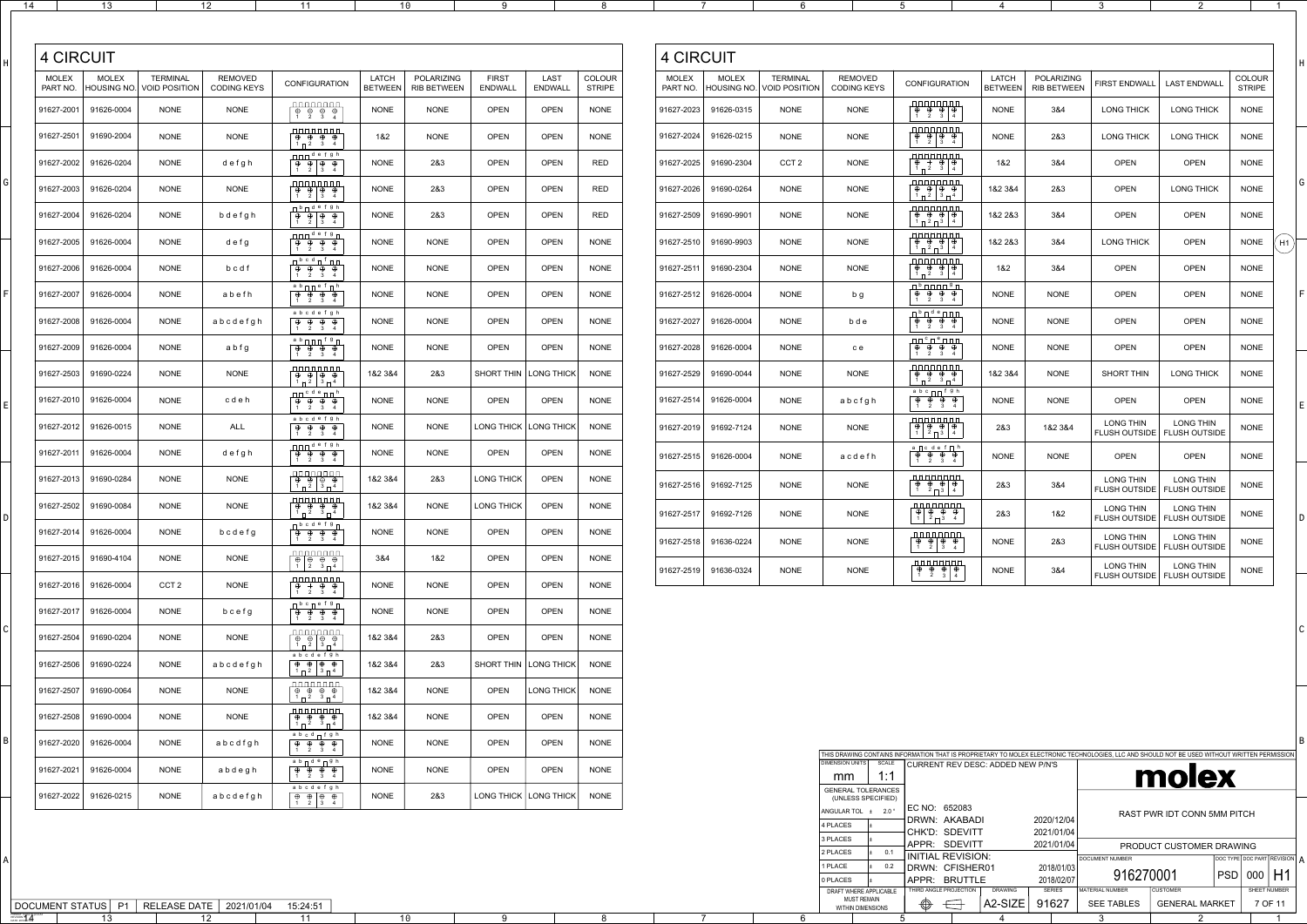| 14                       | 13                          |                                         | 12                                   | 11                                                                                                                                                                                                                                                                                                                                                                                                                                                                                                                                                                                                                                                                                                                                                        |                                | 10                               | -9                             |                               | 8                              | 7                        |                             |                                  |                                      | $5\overline{)}$                                                                                                                                                                                                                                                                                                                                                                                                                                                                                                                                                                                      | 4                              |                                  | $\mathbf{3}$                             | $\overline{2}$                           |                         |    |
|--------------------------|-----------------------------|-----------------------------------------|--------------------------------------|-----------------------------------------------------------------------------------------------------------------------------------------------------------------------------------------------------------------------------------------------------------------------------------------------------------------------------------------------------------------------------------------------------------------------------------------------------------------------------------------------------------------------------------------------------------------------------------------------------------------------------------------------------------------------------------------------------------------------------------------------------------|--------------------------------|----------------------------------|--------------------------------|-------------------------------|--------------------------------|--------------------------|-----------------------------|----------------------------------|--------------------------------------|------------------------------------------------------------------------------------------------------------------------------------------------------------------------------------------------------------------------------------------------------------------------------------------------------------------------------------------------------------------------------------------------------------------------------------------------------------------------------------------------------------------------------------------------------------------------------------------------------|--------------------------------|----------------------------------|------------------------------------------|------------------------------------------|-------------------------|----|
| <b>4 CIRCUIT</b>         |                             |                                         |                                      |                                                                                                                                                                                                                                                                                                                                                                                                                                                                                                                                                                                                                                                                                                                                                           |                                |                                  |                                |                               |                                | <b>4 CIRCUIT</b>         |                             |                                  |                                      |                                                                                                                                                                                                                                                                                                                                                                                                                                                                                                                                                                                                      |                                |                                  |                                          |                                          |                         |    |
| <b>MOLEX</b><br>PART NO. | <b>MOLEX</b><br>HOUSING NO. | <b>TERMINAL</b><br><b>VOID POSITION</b> | <b>REMOVED</b><br><b>CODING KEYS</b> | <b>CONFIGURATION</b>                                                                                                                                                                                                                                                                                                                                                                                                                                                                                                                                                                                                                                                                                                                                      | <b>LATCH</b><br><b>BETWEEN</b> | POLARIZING<br><b>RIB BETWEEN</b> | <b>FIRST</b><br><b>ENDWALL</b> | <b>LAST</b><br><b>ENDWALL</b> | <b>COLOUR</b><br><b>STRIPE</b> | <b>MOLEX</b><br>PART NO. | <b>MOLEX</b><br>HOUSING NO. | <b>TERMINAL</b><br>VOID POSITION | <b>REMOVED</b><br><b>CODING KEYS</b> | <b>CONFIGURATION</b>                                                                                                                                                                                                                                                                                                                                                                                                                                                                                                                                                                                 | <b>LATCH</b><br><b>BETWEEN</b> | POLARIZING<br><b>RIB BETWEEN</b> | <b>FIRST ENDWALL</b>                     | <b>LAST ENDWALI</b>                      | COLOUR<br><b>STRIPE</b> |    |
| 91627-2001               | 91626-0004                  | <b>NONE</b>                             | <b>NONE</b>                          | $\begin{array}{c} \begin{array}{c} \text{minminmin} \\ \text{ } \theta \end{array} & \begin{array}{c} \text{minmax} \\ \text{ } \theta \end{array} \end{array}$<br>$1 \quad 2 \quad 3 \quad 4$                                                                                                                                                                                                                                                                                                                                                                                                                                                                                                                                                            | <b>NONE</b>                    | <b>NONE</b>                      | <b>OPEN</b>                    | <b>OPEN</b>                   | <b>NONE</b>                    | $91627 - 2023$           | 91626-0315                  | <b>NONE</b>                      | <b>NONE</b>                          | $\begin{array}{ c c c c c }\hline \text{nonnonnon} \\ \hline \text{ $\theta$} & \text{ $\theta$} & \text{ $\theta$} & \text{ $\theta$} \\\hline \end{array}$<br>$1 \quad 2 \quad 3 \mid 4$                                                                                                                                                                                                                                                                                                                                                                                                           | <b>NONE</b>                    | 3&4                              | <b>LONG THICK</b>                        | <b>LONG THICK</b>                        | <b>NONE</b>             |    |
| 91627-2501               | 91690-2004                  | <b>NONE</b>                             | <b>NONE</b>                          | $\begin{array}{c}\n\text{nonnonnon}\n\\ \uparrow \oplus \oplus \oplus \oplus\n\end{array}$<br>$1 \square 2 3 4$                                                                                                                                                                                                                                                                                                                                                                                                                                                                                                                                                                                                                                           | 1&2                            | <b>NONE</b>                      | <b>OPEN</b>                    | <b>OPEN</b>                   | <b>NONE</b>                    | $91627 - 2024$           | 91626-0215                  | <b>NONE</b>                      | <b>NONE</b>                          | $\begin{array}{ c c c c c }\n\hline\n\text{minminmin} & \text{if } \mathcal{A} & \mathcal{A} & \mathcal{A} & \mathcal{A} & \mathcal{A} & \mathcal{A} & \mathcal{A} & \mathcal{A} & \mathcal{A} & \mathcal{A} & \mathcal{A} & \mathcal{A} & \mathcal{A} & \mathcal{A} & \mathcal{A} & \mathcal{A} & \mathcal{A} & \mathcal{A} & \mathcal{A} & \mathcal{A} & \mathcal{A} & \mathcal{A} & \mathcal{A} & \mathcal{A} & \mathcal{A} & \mathcal{A} & \mathcal$<br>$\begin{array}{c ccccc}\n1 & 2 & 3 & 4\n\end{array}$                                                                                     | <b>NONE</b>                    | 2&3                              | <b>LONG THICK</b>                        | <b>LONG THICK</b>                        | <b>NONE</b>             |    |
| 91627-2002               | 91626-0204                  | <b>NONE</b>                             | defgh                                | $1 \quad 2 \quad 3 \quad 4$                                                                                                                                                                                                                                                                                                                                                                                                                                                                                                                                                                                                                                                                                                                               | <b>NONE</b>                    | 2&3                              | <b>OPEN</b>                    | <b>OPEN</b>                   | <b>RED</b>                     | 91627-2025               | 91690-2304                  | CCT <sub>2</sub>                 | <b>NONE</b>                          | $\begin{array}{c}\n\boxed{\text{1}}\ \boxed{\text{1}}\ \boxed{\text{2}}\ \boxed{\text{3}}\ \boxed{\text{4}}\ \boxed{\text{4}}\ \boxed{\text{5}}\ \boxed{\text{6}}\ \boxed{\text{6}}\ \boxed{\text{6}}\ \boxed{\text{6}}\ \boxed{\text{6}}\ \boxed{\text{6}}\ \boxed{\text{6}}\ \boxed{\text{6}}\ \boxed{\text{6}}\ \boxed{\text{6}}\ \boxed{\text{6}}\ \boxed{\text{6}}\ \boxed{\text{6}}\ \boxed{\text{6}}\ \boxed{\text{6}}\ \boxed{\text{6}}\ \boxed{\text{6}}\ \boxed{\text{6}}\ \boxed{\text{6}}\ \boxed{\text$<br>$\begin{array}{ c c c c c c c c } \hline 1 & 2 & 3 & 4 \\\hline \end{array}$ | 1&2                            | 3&4                              | <b>OPEN</b>                              | <b>OPEN</b>                              | <b>NONE</b>             |    |
| 91627-2003               | 91626-0204                  | <b>NONE</b>                             | <b>NONE</b>                          | $\begin{array}{ c c c c c }\hline\text{nonnonnon} \\ \hline \oplus & \oplus & \oplus \\ \hline \end{array}$<br>$1 \quad 2 \quad 3 \quad 4$                                                                                                                                                                                                                                                                                                                                                                                                                                                                                                                                                                                                                | <b>NONE</b>                    | 2&3                              | <b>OPEN</b>                    | <b>OPEN</b>                   | RED                            | 91627-2026               | 91690-0264                  | <b>NONE</b>                      | <b>NONE</b>                          | $1$ $2$ $3$ $1$                                                                                                                                                                                                                                                                                                                                                                                                                                                                                                                                                                                      | 1&2 3&4                        | 2&3                              | <b>OPEN</b>                              | <b>LONG THICK</b>                        | <b>NONE</b>             |    |
|                          | 91627-2004 91626-0204       | <b>NONE</b>                             | bdefgh                               | $\Box$ b $\Box$ defgh<br>$\begin{array}{c c c c c c} \hline \text{ } & \text{ } & \text{ } & \text{ } \\ \hline \text{ } & \text{ } & \text{ } & \text{ } & \text{ } & \text{ } \\ \hline \end{array}$<br>$1 \quad 2 \quad 3 \quad 4$                                                                                                                                                                                                                                                                                                                                                                                                                                                                                                                     | <b>NONE</b>                    | 2&3                              | <b>OPEN</b>                    | <b>OPEN</b>                   | RED                            | 91627-2509               | 91690-9901                  | <b>NONE</b>                      | <b>NONE</b>                          |                                                                                                                                                                                                                                                                                                                                                                                                                                                                                                                                                                                                      | 1&2 2&3                        | 3&4                              | <b>OPEN</b>                              | <b>OPEN</b>                              | <b>NONE</b>             |    |
| 91627-2005               | 91626-0004                  | <b>NONE</b>                             | defg                                 | $\begin{array}{c} \square \square \square \stackrel{\text{def}}{ \square } \stackrel{\square}{ \square } \stackrel{\blacksquare}{ \square } \stackrel{\blacksquare}{ \square } \stackrel{\blacksquare}{ \square } \stackrel{\blacksquare}{ \square } \stackrel{\blacksquare}{ \square } \stackrel{\blacksquare}{ \square } \stackrel{\blacksquare}{ \square } \stackrel{\blacksquare}{ \square } \stackrel{\blacksquare}{ \square } \stackrel{\blacksquare}{ \square } \stackrel{\blacksquare}{ \square } \stackrel{\blacksquare}{ \square } \stackrel{\blacksquare}{ \square } \stackrel{\blacksquare}{ \square } \stackrel{\blacksquare}{ \square } \stackrel{\blacksquare}{ \square } \stackrel{\blacksquare}{ \square$<br>$1 \quad 2 \quad 3 \quad 4$ | <b>NONE</b>                    | <b>NONE</b>                      | <b>OPEN</b>                    | <b>OPEN</b>                   | <b>NONE</b>                    | $91627 - 2510$           | 91690-9903                  | <b>NONE</b>                      | <b>NONE</b>                          | $\begin{array}{ c c c c c }\n\hline\n\text{nonnonnon} & \oplus & \oplus & \oplus & \oplus \\ \hline\n\end{array}$                                                                                                                                                                                                                                                                                                                                                                                                                                                                                    | 1&2 2&3                        | 3&4                              | <b>LONG THICK</b>                        | <b>OPEN</b>                              | <b>NONE</b>             | H1 |
| 91627-2006               | 91626-0004                  | <b>NONE</b>                             | bcdf                                 | $\begin{array}{ c c c c c }\hline &b&c&d&f&\quad\hline \quad \oplus\quad \oplus\quad \oplus\quad \oplus\quad \oplus\quad \end{array}$<br>$1 \quad 2 \quad 3 \quad 4$                                                                                                                                                                                                                                                                                                                                                                                                                                                                                                                                                                                      | <b>NONE</b>                    | <b>NONE</b>                      | <b>OPEN</b>                    | <b>OPEN</b>                   | <b>NONE</b>                    | 91627-2511               | 91690-2304                  | <b>NONE</b>                      | <b>NONE</b>                          | $\begin{array}{ c c c c c }\n\hline\n\text{nonnonnon} & \oplus & \oplus & \oplus & \oplus \\ \hline\n\end{array}$<br>$\begin{array}{c c c c c c} \hline 1 & 2 & 3 & 4 \ \hline \end{array}$                                                                                                                                                                                                                                                                                                                                                                                                          | 1&2                            | 3&4                              | <b>OPEN</b>                              | <b>OPEN</b>                              | <b>NONE</b>             |    |
| 91627-2007 91626-0004    |                             | <b>NONE</b>                             | abefh                                | $a b \sqcap \sqcap e f \sqcap h$<br>$\overline{\theta} \quad \overline{\theta} \quad \overline{\theta} \quad \overline{\theta} \quad \overline{\theta}$<br>$1 \quad 2 \quad 3 \quad 4$                                                                                                                                                                                                                                                                                                                                                                                                                                                                                                                                                                    | <b>NONE</b>                    | <b>NONE</b>                      | <b>OPEN</b>                    | <b>OPEN</b>                   | <b>NONE</b>                    |                          | 91627-2512 91626-0004       | <b>NONE</b>                      | b g                                  | $\Pi$ $\mathfrak{g}$ $\Pi$ $\Pi$ $\Pi$ $\mathfrak{g}$ $\Pi$<br>$\theta \oplus \theta$<br>$1 \quad 2 \quad 3 \quad 4$                                                                                                                                                                                                                                                                                                                                                                                                                                                                                 | <b>NONE</b>                    | <b>NONE</b>                      | <b>OPEN</b>                              | <b>OPEN</b>                              | <b>NONE</b>             |    |
| 91627-2008 91626-0004    |                             | <b>NONE</b>                             | abcdefgh                             | a b c d e f g h<br>$\oplus \quad \oplus \quad \oplus \quad \oplus$<br>$1 \quad 2 \quad 3 \quad 4$                                                                                                                                                                                                                                                                                                                                                                                                                                                                                                                                                                                                                                                         | <b>NONE</b>                    | <b>NONE</b>                      | <b>OPEN</b>                    | <b>OPEN</b>                   | <b>NONE</b>                    |                          | 91627-2027 91626-0004       | <b>NONE</b>                      | bde                                  | $\begin{array}{c} \mathbf{a} \mathbf{b} \mathbf{c} \mathbf{d} \mathbf{e} \mathbf{b} \\ \mathbf{b} \mathbf{c} \mathbf{d} \mathbf{e} \mathbf{d} \mathbf{e} \end{array}$<br>$\begin{array}{cccc} \end{array}$ 1 2 3 4                                                                                                                                                                                                                                                                                                                                                                                   | <b>NONE</b>                    | <b>NONE</b>                      | <b>OPEN</b>                              | <b>OPEN</b>                              | <b>NONE</b>             |    |
| 91627-2009               | 91626-0004                  | <b>NONE</b>                             | abfg                                 | $\frac{a b \pi \pi f g}{2}$<br>$\oplus \quad \oplus \quad \oplus \quad \oplus$<br>$1 \quad 2 \quad 3 \quad 4$                                                                                                                                                                                                                                                                                                                                                                                                                                                                                                                                                                                                                                             | <b>NONE</b>                    | <b>NONE</b>                      | <b>OPEN</b>                    | <b>OPEN</b>                   | <b>NONE</b>                    | 91627-2028               | 91626-0004                  | <b>NONE</b>                      | c e                                  | $\begin{array}{c} \square \square \, {}^c \square \, {}^e \square \, \square \, \square \\ \square \, {}^c \square \, {}^e \square \, \square \, \square \end{array}$<br>$1 \quad 2 \quad 3 \quad 4$                                                                                                                                                                                                                                                                                                                                                                                                 | <b>NONE</b>                    | <b>NONE</b>                      | <b>OPEN</b>                              | <b>OPEN</b>                              | <b>NONE</b>             |    |
| 91627-2503 91690-0224    |                             | <b>NONE</b>                             | <b>NONE</b>                          | $\begin{array}{ c c c c c }\hline \text{nonnonnon} \\ \hline \oplus & \oplus & \oplus \\ \hline \end{array}$<br>$1 \square$ $2 \square$ $3 \square$ $4$                                                                                                                                                                                                                                                                                                                                                                                                                                                                                                                                                                                                   | 1&2 3&4                        | 2&3                              | SHORT THIN   LONG THICK        |                               | <b>NONE</b>                    |                          | 91627-2529 91690-0044       | <b>NONE</b>                      | <b>NONE</b>                          | فمنقصوص<br>$ \oplus \oplus \oplus \oplus$<br>$\begin{array}{c c} 1 & 2 & 3 & 4 \end{array}$<br>a b c <sub>ΠΠ</sub> f g h                                                                                                                                                                                                                                                                                                                                                                                                                                                                             | 1&2 3&4                        | <b>NONE</b>                      | <b>SHORT THIN</b>                        | <b>LONG THICK</b>                        | <b>NONE</b>             |    |
|                          | 91627-2010 91626-0004       | <b>NONE</b>                             | cdeh                                 | $\begin{array}{ c c c c c }\hline \text{and} & \text{if} & \text{if} & \text{if} & \text{if} \\ \hline \oplus & \oplus & \oplus & \oplus & \text{if} & \text{if} & \text{if} \\ \hline \end{array}$<br>$1 \quad 2 \quad 3 \quad 4$                                                                                                                                                                                                                                                                                                                                                                                                                                                                                                                        | <b>NONE</b>                    | <b>NONE</b>                      | <b>OPEN</b>                    | <b>OPEN</b>                   | <b>NONE</b>                    |                          | 91627-2514 91626-0004       | <b>NONE</b>                      | abcfgh                               | $\overline{\bigoplus_{i=1}^{n} \bigoplus_{j=1}^{n} \bigoplus_{j=1}^{n} \bigoplus_{j=1}^{n} \bigoplus_{j=1}^{n} \bigoplus_{j=1}^{n} \bigoplus_{j=1}^{n} \bigoplus_{j=1}^{n} \bigoplus_{j=1}^{n} \bigoplus_{j=1}^{n} \bigoplus_{j=1}^{n} \bigoplus_{j=1}^{n} \bigoplus_{j=1}^{n} \bigoplus_{j=1}^{n} \bigoplus_{j=1}^{n} \bigoplus_{j=1}^{n} \bigoplus_{j=1}^{n} \bigoplus_{j=1}^{n} \$<br>  1 2 3 4                                                                                                                                                                                                   | <b>NONE</b>                    | <b>NONE</b>                      | <b>OPEN</b>                              | <b>OPEN</b>                              | <b>NONE</b>             |    |
|                          | 91627-2012 91626-0015       | <b>NONE</b>                             | <b>ALL</b>                           | abcdefgh<br>$\overline{\bigoplus\hspace{0.1cm} \bigoplus\hspace{0.1cm} \bigoplus\hspace{0.1cm} \bigoplus\hspace{0.1cm} \bigoplus\hspace{0.1cm} \hspace{0.1cm} \bigoplus\hspace{0.1cm} \hspace{0.1cm}$<br>$1 \quad 2 \quad 3 \quad 4$                                                                                                                                                                                                                                                                                                                                                                                                                                                                                                                      | <b>NONE</b>                    | <b>NONE</b>                      | LONG THICK   LONG THICK        |                               | <b>NONE</b>                    |                          | 91627-2019 91692-7124       | <b>NONE</b>                      | <b>NONE</b>                          | $\begin{array}{ c c c c c }\n\hline\n\text{nonnonnon} & \text{if } \theta & \theta & \theta & \theta \\ \hline\n\theta & \theta & \theta & \theta & \theta & \theta\end{array}$                                                                                                                                                                                                                                                                                                                                                                                                                      | 2&3                            | 1&2 3&4                          | <b>LONG THIN</b><br>FLUSH OUTSIDE        | <b>LONG THIN</b><br><b>FLUSH OUTSIDE</b> | <b>NONE</b>             |    |
|                          | 91627-2011 91626-0004       | <b>NONE</b>                             | defgh                                | $\begin{array}{ c c c c c }\n\hline\n\text{min of each} & \text{if } a \neq b \text{ and } b \neq b\end{array}$<br>$1 \quad 2 \quad 3 \quad 4$                                                                                                                                                                                                                                                                                                                                                                                                                                                                                                                                                                                                            | <b>NONE</b>                    | <b>NONE</b>                      | <b>OPEN</b>                    | <b>OPEN</b>                   | <b>NONE</b>                    |                          | 91627-2515 91626-0004       | <b>NONE</b>                      | acdefh                               | $\begin{tabular}{ c c c c c } \hline a & c & d & e & f & h \\ \hline $\oplus$ & $\oplus$ & $\oplus$ & $\oplus$ \\ \hline \end{tabular}$<br>$1 \quad 2 \quad 3 \quad 4$                                                                                                                                                                                                                                                                                                                                                                                                                               | <b>NONE</b>                    | <b>NONE</b>                      | <b>OPEN</b>                              | <b>OPEN</b>                              | <b>NONE</b>             |    |
|                          | 91627-2013 91690-0284       | <b>NONE</b>                             | <b>NONE</b>                          | $1 \square^2$ $3 \square^4$                                                                                                                                                                                                                                                                                                                                                                                                                                                                                                                                                                                                                                                                                                                               | 1&2 3&4                        | 2&3                              | <b>LONG THICK</b>              | <b>OPEN</b>                   | <b>NONE</b>                    |                          | 91627-2516 91692-7125       | <b>NONE</b>                      | <b>NONE</b>                          | عميم ممالك مال<br>$\oplus$ $\oplus$ $\oplus$ $\oplus$<br>$\begin{array}{ c c c c c c c c c } \hline 1 & 2 & 3 & 4 \\ \hline \end{array}$                                                                                                                                                                                                                                                                                                                                                                                                                                                             | 2&3                            | 3&4                              | <b>LONG THIN</b><br><b>FLUSH OUTSIDE</b> | <b>LONG THIN</b><br><b>FLUSH OUTSIDE</b> | <b>NONE</b>             |    |
|                          | 91627-2502 91690-0084       | <b>NONE</b>                             | <b>NONE</b>                          | وممموموق<br>$\begin{array}{ccccccccccccccccc} \oplus & \oplus & \oplus & \oplus & \oplus & \end{array}$<br>$1 \square^2$ $3 \square^4$<br>$\Box$ b c d e f g $\Box$                                                                                                                                                                                                                                                                                                                                                                                                                                                                                                                                                                                       | 1&2 3&4                        | <b>NONE</b>                      | <b>LONG THICK</b>              | <b>OPEN</b>                   | <b>NONE</b>                    |                          | 91627-2517 91692-7126       | <b>NONE</b>                      | <b>NONE</b>                          | . ممموم والم<br>$\bigoplus$ $\bigoplus$ $\bigoplus$ $\bigoplus$<br>$\begin{array}{ c c c c c }\n\hline\n1 & 2 & 3 & 4 \\ \hline\n\end{array}$                                                                                                                                                                                                                                                                                                                                                                                                                                                        | 2&3                            | 1&2                              | <b>LONG THIN</b><br><b>FLUSH OUTSIDE</b> | <b>LONG THIN</b><br><b>FLUSH OUTSIDE</b> | <b>NONE</b>             |    |
|                          | 91627-2014 91626-0004       | <b>NONE</b>                             | bcdefg                               | $1 \quad 2 \quad 3 \quad 4$                                                                                                                                                                                                                                                                                                                                                                                                                                                                                                                                                                                                                                                                                                                               | <b>NONE</b>                    | <b>NONE</b>                      | <b>OPEN</b>                    | <b>OPEN</b>                   | <b>NONE</b>                    |                          | 91627-2518 91636-0224       | <b>NONE</b>                      | <b>NONE</b>                          | $\begin{array}{ c c c c c }\n1 & 2 & 3 & 4\n\end{array}$                                                                                                                                                                                                                                                                                                                                                                                                                                                                                                                                             | <b>NONE</b>                    | 2&3                              | <b>LONG THIN</b><br>FLUSH OUTSIDE        | LONG THIN<br><b>FLUSH OUTSIDE</b>        | <b>NONE</b>             |    |
|                          | 91627-2015 91690-4104       | <b>NONE</b>                             | <b>NONE</b>                          | ومممومهم<br>$\oplus$ $\oplus$ $\oplus$<br>$1 \mid 2 \mid 3 \mid 4$<br>وممممومو                                                                                                                                                                                                                                                                                                                                                                                                                                                                                                                                                                                                                                                                            | 3&4                            | 1&2                              | <b>OPEN</b>                    | <b>OPEN</b>                   | <b>NONE</b>                    |                          | 91627-2519 91636-0324       | <b>NONE</b>                      | <b>NONE</b>                          | $\begin{array}{ c c c c c }\n\hline\n\text{nonnon} & \text{if } \mathbb{R} & \mathbb{R} & \mathbb{R} & \mathbb{R} & \mathbb{R} & \mathbb{R} & \mathbb{R} & \mathbb{R} & \mathbb{R} & \mathbb{R} & \mathbb{R} & \mathbb{R} & \mathbb{R} & \mathbb{R} & \mathbb{R} & \mathbb{R} & \mathbb{R} & \mathbb{R} & \mathbb{R} & \mathbb{R} & \mathbb{R} & \mathbb{R} & \mathbb{R} & \mathbb{R} & \mathbb{R} & \mathbb{R} & \mathbb{$<br>$\begin{array}{ c c c c c c } \hline 1 & 2 & 3 & 4 \\\hline \end{array}$                                                                                              | <b>NONE</b>                    | 3&4                              | LONG THIN<br>FLUSH OUTSIDE               | LONG THIN<br><b>FLUSH OUTSIDE</b>        | <b>NONE</b>             |    |
|                          | 91627-2016 91626-0004       | CCT <sub>2</sub>                        | <b>NONE</b>                          | $\oplus$ + $\oplus$ $\oplus$<br>$1 \quad 2 \quad 3 \quad 4$                                                                                                                                                                                                                                                                                                                                                                                                                                                                                                                                                                                                                                                                                               | <b>NONE</b>                    | <b>NONE</b>                      | <b>OPEN</b>                    | <b>OPEN</b>                   | <b>NONE</b>                    |                          |                             |                                  |                                      |                                                                                                                                                                                                                                                                                                                                                                                                                                                                                                                                                                                                      |                                |                                  |                                          |                                          |                         |    |
| 91627-2017 91626-0004    |                             | <b>NONE</b>                             | bcefg                                | $1 \quad 2 \quad 3 \quad 4$<br>$\begin{array}{ c c c c c }\hline \text{nonnonnon} \\ \hline \text{ $\theta$} & \text{ $\theta$} & \text{ $\theta$} \\\hline \end{array}$                                                                                                                                                                                                                                                                                                                                                                                                                                                                                                                                                                                  | <b>NONE</b>                    | <b>NONE</b>                      | <b>OPEN</b>                    | <b>OPEN</b>                   | <b>NONE</b>                    |                          |                             |                                  |                                      |                                                                                                                                                                                                                                                                                                                                                                                                                                                                                                                                                                                                      |                                |                                  |                                          |                                          |                         |    |
| 91627-2504 91690-0204    |                             | <b>NONE</b>                             | <b>NONE</b>                          |                                                                                                                                                                                                                                                                                                                                                                                                                                                                                                                                                                                                                                                                                                                                                           | 1&2 3&4                        | 2&3                              | <b>OPEN</b>                    | <b>OPEN</b>                   | <b>NONE</b>                    |                          |                             |                                  |                                      |                                                                                                                                                                                                                                                                                                                                                                                                                                                                                                                                                                                                      |                                |                                  |                                          |                                          |                         |    |

|   | 91627-2504 | 91690-0204 | <b>NONE</b> | <b>NONE</b> | $\oplus$<br>$\oplus$<br>$\oplus$<br>$\oplus$<br>$1 \n\overline{2}$ $3 \n\overline{4}$                                                         | 1&2 3&4     | 2&3         | <b>OPEN</b>             | <b>OPEN</b>       | <b>NONE</b> |
|---|------------|------------|-------------|-------------|-----------------------------------------------------------------------------------------------------------------------------------------------|-------------|-------------|-------------------------|-------------------|-------------|
|   | 91627-2506 | 91690-0224 | <b>NONE</b> | abcdefgh    | abcdefgh<br>$\oplus$<br>$\oplus$<br>$\oplus$<br>$\oplus$<br>$1 \square$ $2 \square$ $3 \square$ $4$                                           | 1&2 3&4     | 2&3         | SHORT THIN              | <b>LONG THICK</b> | <b>NONE</b> |
|   | 91627-2507 | 91690-0064 | <b>NONE</b> | <b>NONE</b> | <u> חחחחחחח</u><br>$\overline{\bigoplus}$<br>$\theta$ $\theta$<br>$\oplus$<br>$1 \square^2$ $3 \square^4$                                     | 1&2 3&4     | <b>NONE</b> | <b>OPEN</b>             | <b>LONG THICK</b> | <b>NONE</b> |
|   | 91627-2508 | 91690-0004 | <b>NONE</b> | <b>NONE</b> | <u>nnnnnnn</u><br>$\oplus$<br>$\oplus$<br>$\oplus$<br>$\oplus$<br>$1 \square 2 3 \square 4$                                                   | 1&2 3&4     | <b>NONE</b> | <b>OPEN</b>             | <b>OPEN</b>       | <b>NONE</b> |
| B | 91627-2020 | 91626-0004 | <b>NONE</b> | abcdfgh     | a b c d <sub>1</sub> f g h<br>$\overline{\bigoplus}$<br>$\oplus$<br>$\overline{\bigoplus}$<br>$\oplus$<br>$\overline{2}$<br>$\mathbf{3}$<br>1 | <b>NONE</b> | <b>NONE</b> | <b>OPEN</b>             | <b>OPEN</b>       | <b>NONE</b> |
|   | 91627-2021 | 91626-0004 | <b>NONE</b> | abdegh      | $a b \nightharpoondown d e \nightharpoondown g h$<br>$\oplus$<br>$\oplus$<br>$\oplus$<br>$\oplus$<br>2<br>$\mathbf{1}$<br>3                   | <b>NONE</b> | <b>NONE</b> | <b>OPEN</b>             | <b>OPEN</b>       | <b>NONE</b> |
|   | 91627-2022 | 91626-0215 | <b>NONE</b> | abcdefgh    | abcdefgh<br>$\oplus$<br>$\frac{1}{3}$<br>$\oplus$<br>$\oplus$<br>$\overline{2}$<br>$\mathbf{1}$<br>4                                          | <b>NONE</b> | 2&3         | LONG THICK   LONG THICK |                   | <b>NONE</b> |
|   |            |            |             |             |                                                                                                                                               |             |             |                         |                   |             |
|   |            |            |             |             |                                                                                                                                               |             |             |                         |                   |             |

|   | mm                                              | 1:1          |                          |    |                |               |                        |           | molex                              |                            |     |                     |     |
|---|-------------------------------------------------|--------------|--------------------------|----|----------------|---------------|------------------------|-----------|------------------------------------|----------------------------|-----|---------------------|-----|
|   | <b>GENERAL TOLERANCES</b><br>(UNLESS SPECIFIED) |              |                          |    |                |               |                        |           |                                    |                            |     |                     |     |
|   | ANGULAR TOL ±                                   | $2.0\degree$ | EC NO: 652083            |    |                |               |                        |           | <b>RAST PWR IDT CONN 5MM PITCH</b> |                            |     |                     |     |
|   | 4 PLACES                                        |              | DRWN: AKABADI            |    |                | 2020/12/04    |                        |           |                                    |                            |     |                     |     |
|   |                                                 |              | CHK'D: SDEVITT           |    |                | 2021/01/04    |                        |           |                                    |                            |     |                     |     |
|   | 3 PLACES                                        |              | APPR: SDEVITT            |    |                | 2021/01/04    |                        |           | PRODUCT CUSTOMER DRAWING           |                            |     |                     |     |
|   | 2 PLACES                                        | 0.1          | <b>INITIAL REVISION:</b> |    |                |               |                        |           |                                    |                            |     |                     |     |
|   | 1 PLACE                                         | 0.2          | DRWN: CFISHER01          |    |                | 2018/01/03    | <b>DOCUMENT NUMBER</b> |           |                                    | DOC TYPE DOC PART REVISION |     |                     | l A |
|   | 0 PLACES                                        |              | APPR: BRUTTLE            |    |                | 2018/02/07    |                        | 916270001 |                                    | <b>PSD</b>                 | 000 | H1                  |     |
|   | DRAFT WHERE APPLICABLE                          |              | THIRD ANGLE PROJECTION   |    | <b>DRAWING</b> | <b>SERIES</b> | <b>MATERIAL NUMBER</b> |           | <b>CUSTOMER</b>                    |                            |     | <b>SHEET NUMBER</b> |     |
|   | <b>MUST REMAIN</b><br><b>WITHIN DIMENSIONS</b>  |              | $\circledcirc$           | セー | A2-SIZE        | 91627         | <b>SEE TABLES</b>      |           | <b>GENERAL MARKET</b>              |                            |     | 7 OF 11             |     |
| 6 |                                                 | 5            |                          |    |                |               |                        |           |                                    |                            |     |                     |     |

A

|                                                                               | <b>DOCUMENT STATUS</b> | D <sub>1</sub> | <b>EASE DATE</b><br><b>REL</b> | 2021/01/04 | 5:24:51 |  |  |
|-------------------------------------------------------------------------------|------------------------|----------------|--------------------------------|------------|---------|--|--|
| FORMAT: master-th-prod-A<br><b>REVISION:</b> $\mathbf{A}$<br>DATE: 2018/01/18 |                        |                |                                |            |         |  |  |

B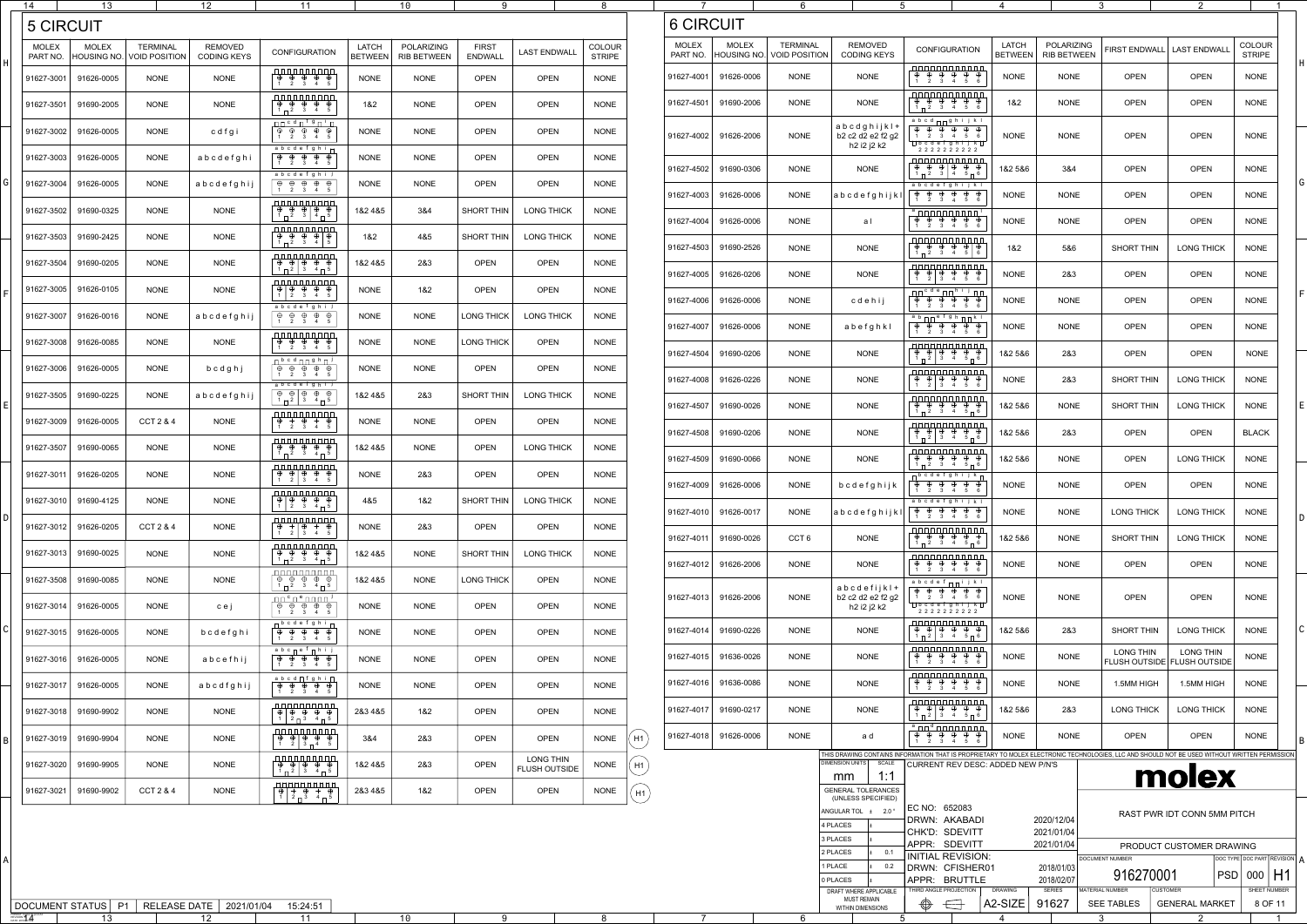| 14                                       | 13                                 |                                         | $12 \overline{ }$                                                                             | 11                                                                                                                                                                                                |                                | 10                               | -9                             |                                          | 8                       |      |                          |                                   | 6                                       |                                                                                                 |                                                                                                                                                                                                                                                                                                                                                                                                                                                                               |                         |                                  |                                     | 2                                               |                                |
|------------------------------------------|------------------------------------|-----------------------------------------|-----------------------------------------------------------------------------------------------|---------------------------------------------------------------------------------------------------------------------------------------------------------------------------------------------------|--------------------------------|----------------------------------|--------------------------------|------------------------------------------|-------------------------|------|--------------------------|-----------------------------------|-----------------------------------------|-------------------------------------------------------------------------------------------------|-------------------------------------------------------------------------------------------------------------------------------------------------------------------------------------------------------------------------------------------------------------------------------------------------------------------------------------------------------------------------------------------------------------------------------------------------------------------------------|-------------------------|----------------------------------|-------------------------------------|-------------------------------------------------|--------------------------------|
| <b>5 CIRCUIT</b>                         |                                    |                                         |                                                                                               |                                                                                                                                                                                                   |                                |                                  |                                |                                          |                         |      | <b>6 CIRCUIT</b>         |                                   |                                         |                                                                                                 |                                                                                                                                                                                                                                                                                                                                                                                                                                                                               |                         |                                  |                                     |                                                 |                                |
| <b>MOLEX</b><br>PART NO.                 | <b>MOLEX</b><br><b>HOUSING NO.</b> | <b>TERMINAL</b><br><b>VOID POSITION</b> | <b>REMOVED</b><br><b>CODING KEYS</b>                                                          | <b>CONFIGURATION</b>                                                                                                                                                                              | <b>LATCH</b><br><b>BETWEEN</b> | POLARIZING<br><b>RIB BETWEEN</b> | <b>FIRST</b><br><b>ENDWALL</b> | <b>LAST ENDWALL</b>                      | COLOUR<br><b>STRIPE</b> |      | <b>MOLEX</b><br>PART NO. | <b>MOLEX</b><br><b>HOUSING NC</b> | <b>TERMINAL</b><br><b>VOID POSITIOI</b> | <b>REMOVED</b><br><b>CODING KEYS</b>                                                            | <b>CONFIGURATION</b>                                                                                                                                                                                                                                                                                                                                                                                                                                                          | <b>LATCH</b><br>BETWEEN | POLARIZING<br><b>RIB BETWEEN</b> | <b>IRST ENDWALL</b>                 | <b>LAST ENDWALI</b>                             | COLOUR<br><b>STRIPE</b>        |
| 91627-3001                               | 91626-0005                         | <b>NONE</b>                             | <b>NONE</b>                                                                                   | <u> 0000000000</u><br>$\oplus \oplus \oplus \oplus \oplus$<br>$1 \quad 2 \quad 3 \quad 4 \quad 5$                                                                                                 | <b>NONE</b>                    | <b>NONE</b>                      | <b>OPEN</b>                    | <b>OPEN</b>                              | <b>NONE</b>             |      | 91627-4001               | 91626-0006                        | <b>NONE</b>                             | <b>NONE</b>                                                                                     | <u>nnnnnnnnnn</u><br>$\oplus \oplus \oplus \oplus \oplus \oplus$<br>1 2 3 4 5 6                                                                                                                                                                                                                                                                                                                                                                                               | <b>NONE</b>             | <b>NONE</b>                      | <b>OPEN</b>                         | <b>OPEN</b>                                     | <b>NONE</b>                    |
| 91627-3501                               | 91690-2005                         | <b>NONE</b>                             | <b>NONE</b>                                                                                   | 0000000000<br>$\oplus$ $\oplus$ $\oplus$ $\oplus$<br>$1 \nightharpoonup 2$ 3 4 5                                                                                                                  | 1&2                            | <b>NONE</b>                      | <b>OPEN</b>                    | <b>OPEN</b>                              | <b>NONE</b>             |      | 91627-4501               | 91690-2006                        | <b>NONE</b>                             | <b>NONE</b>                                                                                     | ,,,,,,,,,,,,,,<br>$\oplus \oplus \oplus \oplus \oplus \oplus$<br>$1 \n\begin{bmatrix} 2 & 3 & 4 & 5 & 6 \end{bmatrix}$                                                                                                                                                                                                                                                                                                                                                        | 182                     | <b>NONE</b>                      | <b>OPEN</b>                         | <b>OPEN</b>                                     | <b>NONE</b>                    |
| 91627-3002                               | 91626-0005                         | <b>NONE</b>                             | cdfgi                                                                                         | ⊓ncd⊓†g⊓i⊓<br>$\begin{array}{ccccccccccccccccc} \hline \quad\oplus\quad \oplus\quad \oplus\quad \oplus\quad \oplus\quad \oplus\quad \oplus\quad \end{array}$<br>$1\quad 2\quad 3\quad 4\quad 5$   | <b>NONE</b>                    | <b>NONE</b>                      | <b>OPEN</b>                    | <b>OPEN</b>                              | <b>NONE</b>             |      | 91627-4002 91626-2006    |                                   | <b>NONE</b>                             | abcdghijk<br>b2 c2 d2 e2 f2 g2                                                                  | a b c d <sub>□ □</sub> g h i j k l<br>$\begin{picture}(150,10) \put(0,0){\line(1,0){10}} \put(15,0){\line(1,0){10}} \put(15,0){\line(1,0){10}} \put(15,0){\line(1,0){10}} \put(15,0){\line(1,0){10}} \put(15,0){\line(1,0){10}} \put(15,0){\line(1,0){10}} \put(15,0){\line(1,0){10}} \put(15,0){\line(1,0){10}} \put(15,0){\line(1,0){10}} \put(15,0){\line(1,0){10}} \put(15,0){\line($<br>$1 \quad 2 \quad 3 \quad 4 \quad 5 \quad 6$<br>$\Box$ b c d e f g h i j k $\Box$ | <b>NONE</b>             | <b>NONE</b>                      | <b>OPEN</b>                         | <b>OPEN</b>                                     | <b>NONE</b>                    |
| $91627 - 3003$                           | 91626-0005                         | <b>NONE</b>                             | abcdefghi                                                                                     | abcde†ghi <sub>⊓</sub><br>$\oplus$ $\oplus$ $\oplus$ $\oplus$ $\oplus$<br>1 2 3 4 5                                                                                                               | <b>NONE</b>                    | <b>NONE</b>                      | <b>OPEN</b>                    | <b>OPEN</b>                              | <b>NONE</b>             |      | 91627-4502 91690-0306    |                                   | <b>NONE</b>                             | h2 i2 j2 k2<br><b>NONE</b>                                                                      | 2 2 2 2 2 2 2 2 2 2<br>000000000000<br>$\Box \oplus \Box \oplus \Box \oplus \Box \oplus \Box$                                                                                                                                                                                                                                                                                                                                                                                 | 1&2 5&6                 | 3&4                              | <b>OPEN</b>                         | <b>OPEN</b>                                     | <b>NONE</b>                    |
| $91627 - 3004$                           | 91626-0005                         | <b>NONE</b>                             | abcdefghi                                                                                     | abcdefghij<br>$\oplus$ $\oplus$ $\oplus$ $\oplus$ $\oplus$<br>$1 \quad 2 \quad 3 \quad 4 \quad 5$                                                                                                 | <b>NONE</b>                    | <b>NONE</b>                      | <b>OPEN</b>                    | <b>OPEN</b>                              | <b>NONE</b>             |      | 91627-4003               | 91626-0006                        | <b>NONE</b>                             | abcdefghijk                                                                                     | $1 \n\begin{array}{ccc} 1 & 2 & 3 \end{array}$ 4 5 $\begin{array}{ccc} 6 & 1 & 1 \end{array}$<br>abcdefghijk <sup>1</sup><br>$\oplus$ $\oplus$ $\oplus$ $\oplus$                                                                                                                                                                                                                                                                                                              | <b>NONE</b>             | <b>NONE</b>                      | <b>OPEN</b>                         | <b>OPEN</b>                                     | <b>NONE</b>                    |
| 91627-3502                               | 91690-0325                         | <b>NONE</b>                             | <b>NONE</b>                                                                                   | <u>nnannannan</u><br>$\oplus$ $\oplus$ $\oplus$ $\oplus$<br>$1 \square^2$ $3 \square^5$                                                                                                           | 1&2 4&5                        | 3&4                              | SHORT THIN                     | <b>LONG THICK</b>                        | <b>NONE</b>             |      | 91627-4004 91626-0006    |                                   | <b>NONE</b>                             | a l                                                                                             | 2 3 4 5<br><u>, a noonoo noo a</u><br>$\oplus \oplus \oplus \oplus \oplus \oplus$                                                                                                                                                                                                                                                                                                                                                                                             | <b>NONE</b>             | <b>NONE</b>                      | <b>OPEN</b>                         | <b>OPEN</b>                                     | <b>NONE</b>                    |
| 91627-3503                               | 91690-2425                         | <b>NONE</b>                             | <b>NONE</b>                                                                                   | ومموموه ومن<br>$\oplus$ $\oplus$ $\oplus$ $\oplus$ 1 $\oplus$<br>$1 \square 2$ 3 4 5                                                                                                              | 1&2                            | 4&5                              | <b>SHORT THIN</b>              | <b>LONG THICK</b>                        | <b>NONE</b>             |      | 91627-4503               | 91690-2526                        | <b>NONE</b>                             | <b>NONE</b>                                                                                     | $1 \quad 2 \quad 3 \quad 4 \quad 5 \quad 6$<br><u>00000000000</u><br>$\oplus$ $\oplus$ $\oplus$ $\oplus$ $\oplus$ $\oplus$                                                                                                                                                                                                                                                                                                                                                    | 182                     | 5&6                              | SHORT THIN                          | <b>LONG THICK</b>                               | <b>NONE</b>                    |
| $91627 - 3504$                           | 91690-0205                         | <b>NONE</b>                             | <b>NONE</b>                                                                                   | $\begin{array}{c c c c c c c c c} \hline 1 & 2 & 3 & 4 & 5 \end{array}$                                                                                                                           | 1&2 4&5                        | 2&3                              | <b>OPEN</b>                    | <b>OPEN</b>                              | <b>NONE</b>             |      |                          | 91627-4005 91626-0206             | <b>NONE</b>                             | <b>NONE</b>                                                                                     | $1 \n\begin{bmatrix} 2 & 3 & 4 & 5 \end{bmatrix}$ 6<br><u>.000000000000</u><br>$\theta$ $\theta$ $\theta$ $\theta$ $\theta$ $\theta$                                                                                                                                                                                                                                                                                                                                          | <b>NONE</b>             | 2&3                              | <b>OPEN</b>                         | <b>OPEN</b>                                     | <b>NONE</b>                    |
| 91627-3005                               | 91626-0105                         | <b>NONE</b>                             | <b>NONE</b>                                                                                   | 00,00000000<br>$\oplus$ $\oplus$ $\oplus$ $\oplus$<br>$1 \mid 2 \quad 3 \quad 4 \quad 5$                                                                                                          | <b>NONE</b>                    | 1&2                              | <b>OPEN</b>                    | <b>OPEN</b>                              | <b>NONE</b>             |      | 91627-4006   91626-0006  |                                   | <b>NONE</b>                             | cdehij                                                                                          | $1 \t2 \t3 \t4 \t5 \t6$<br>nncdennhijnr<br>$\oplus \oplus \oplus \oplus \oplus$                                                                                                                                                                                                                                                                                                                                                                                               | <b>NONE</b>             | <b>NONE</b>                      | <b>OPEN</b>                         | <b>OPEN</b>                                     | <b>NONE</b>                    |
| 91627-3007                               | 91626-0016                         | <b>NONE</b>                             | abcdefghi                                                                                     | abcdefghil<br>$\uplus \oplus \oplus \oplus \oplus$<br>1 2 3 4 5                                                                                                                                   | <b>NONE</b>                    | <b>NONE</b>                      | <b>LONG THICK</b>              | <b>LONG THICK</b>                        | <b>NONE</b>             |      |                          | 91627-4007 91626-0006             | <b>NONE</b>                             | abefghkl                                                                                        | $1 \t2 \t3 \t4 \t5 \t6$<br>a b <sub>ΠΠ</sub> e f g h <sub>ΠΠ</sub> k l<br>$\oplus$ $\oplus$ $\oplus$ $\oplus$ $\oplus$                                                                                                                                                                                                                                                                                                                                                        | <b>NONE</b>             | <b>NONE</b>                      | <b>OPEN</b>                         | <b>OPEN</b>                                     | <b>NONE</b>                    |
|                                          | 91627-3008 91626-0085              | <b>NONE</b>                             | <b>NONE</b>                                                                                   | annonanan,<br>$\oplus$ $\oplus$ $\oplus$ $\oplus$ $\oplus$<br>1 2 3 4 5                                                                                                                           | <b>NONE</b>                    | <b>NONE</b>                      | <b>LONG THICK</b>              | <b>OPEN</b>                              | <b>NONE</b>             |      |                          | 91627-4504 91690-0206             | <b>NONE</b>                             | <b>NONE</b>                                                                                     | 1 2 3 4 5 6<br><u>nnnnnnnnnn</u><br>$\theta \theta \theta \theta \theta$                                                                                                                                                                                                                                                                                                                                                                                                      | 1&2 5&6                 | 2&3                              | <b>OPEN</b>                         | <b>OPEN</b>                                     | <b>NONE</b>                    |
| 91627-3006                               | 91626-0005                         | <b>NONE</b>                             | bcdghj                                                                                        | $\Box$ b c d $\Box$ g h $\Box$<br>$\begin{array}{c cccc}\n\hline\n\end{array}\n\begin{array}{c}\n\oplus & \oplus & \oplus & \oplus \\ \hline\n\end{array}$<br>$1 \quad 2 \quad 3 \quad 4 \quad 5$ | <b>NONE</b>                    | <b>NONE</b>                      | <b>OPEN</b>                    | <b>OPEN</b>                              | <b>NONE</b>             |      | 91627-4008 91626-0226    |                                   | <b>NONE</b>                             | <b>NONE</b>                                                                                     | $1 \n\overline{2}$ 3 4 5 $\overline{6}$<br><u>nnnnnnnnnn</u><br>$\theta \theta \phi$                                                                                                                                                                                                                                                                                                                                                                                          | <b>NONE</b>             | 2&3                              | <b>SHORT THIN</b>                   | <b>LONG THICK</b>                               | <b>NONE</b>                    |
|                                          | 91627-3505   91690-0225            | <b>NONE</b>                             | abcdefghi                                                                                     | abcdefghi J<br>$\theta \theta \theta \theta \theta$<br>$1 \square^2$ 3 4 $\square^5$                                                                                                              | 1&2 4&5                        | 2&3                              | SHORT THIN                     | <b>LONG THICK</b>                        | <b>NONE</b>             |      | 91627-4507 91690-0026    |                                   | <b>NONE</b>                             | <b>NONE</b>                                                                                     | $1 \t2 \t3 \t4 \t5 \t6$<br><u>000000000000</u><br>$\oplus \oplus \oplus \oplus \oplus \oplus$                                                                                                                                                                                                                                                                                                                                                                                 | 1&2 5&6                 | <b>NONE</b>                      | <b>SHORT THIN</b>                   | <b>LONG THICK</b>                               | <b>NONE</b>                    |
|                                          | 91627-3009 91626-0005              | <b>CCT 2 &amp; 4</b>                    | <b>NONE</b>                                                                                   | <u>nnnnnnnn</u><br>$\oplus$ + $\oplus$ + $\oplus$<br>1 2 3 4 5                                                                                                                                    | <b>NONE</b>                    | <b>NONE</b>                      | <b>OPEN</b>                    | <b>OPEN</b>                              | <b>NONE</b>             |      |                          | 91627-4508 91690-0206             | <b>NONE</b>                             | <b>NONE</b>                                                                                     | $1 \n\overline{2}$ 3 4 5 $\overline{6}$                                                                                                                                                                                                                                                                                                                                                                                                                                       | 1&2 5&6                 | 2&3                              | <b>OPEN</b>                         | <b>OPEN</b>                                     | <b>BLACK</b>                   |
| 91627-3507                               | 91690-0065                         | <b>NONE</b>                             | <b>NONE</b>                                                                                   | 0000000000<br>$\oplus \oplus \oplus \oplus \oplus$<br>$\begin{array}{c cccc}\n1 & 2 & 3 & 4 & 5\n\end{array}$                                                                                     | 1&2 4&5                        | <b>NONE</b>                      | <b>OPEN</b>                    | <b>LONG THICK</b>                        | <b>NONE</b>             |      |                          |                                   |                                         |                                                                                                 | $1 \square$ 2 3 4 5 $\square$ 6                                                                                                                                                                                                                                                                                                                                                                                                                                               |                         |                                  |                                     |                                                 |                                |
|                                          | 91627-3011 91626-0205              | <b>NONE</b>                             | <b>NONE</b>                                                                                   |                                                                                                                                                                                                   | <b>NONE</b>                    | 2&3                              | <b>OPEN</b>                    | <b>OPEN</b>                              | <b>NONE</b>             |      |                          | 91627-4509 91690-0066             | <b>NONE</b>                             | <b>NONE</b>                                                                                     | $1 \n\pi$ 2 3 4 5 $\pi$ 6<br>nb c d e f g h i j k n<br>$\oplus$ $\oplus$ $\oplus$ $\oplus$ $\oplus$                                                                                                                                                                                                                                                                                                                                                                           | 1&2 5&6                 | <b>NONE</b>                      | <b>OPEN</b>                         | <b>LONG THICK</b>                               | <b>NONE</b>                    |
|                                          | 91627-3010 91690-4125              | <b>NONE</b>                             | <b>NONE</b>                                                                                   | 00,00000000<br>$\oplus$ $\oplus$ $\oplus$ $\oplus$<br>$\begin{array}{c cccc}\n1 & 2 & 3 & 4 \end{array}$                                                                                          | 4&5                            | 1&2                              | SHORT THIN                     | <b>LONG THICK</b>                        | <b>NONE</b>             |      | 91627-4009   91626-0006  |                                   | <b>NONE</b>                             | bcdefghijk                                                                                      | 1 2 3 4 5 6<br>abcdefghijkl                                                                                                                                                                                                                                                                                                                                                                                                                                                   | <b>NONE</b>             | <b>NONE</b>                      | <b>OPEN</b>                         | <b>OPEN</b>                                     | <b>NONE</b>                    |
|                                          | 91627-3012   91626-0205            | <b>CCT 2 &amp; 4</b>                    | <b>NONE</b>                                                                                   | nnnnnnnnn<br>$\Theta$ + $\Theta$ + $\Theta$<br>$\begin{array}{c cccc}\n1 & 2 & 3 & 4 & 5\n\end{array}$                                                                                            | <b>NONE</b>                    | 2&3                              | <b>OPEN</b>                    | <b>OPEN</b>                              | <b>NONE</b>             |      |                          | 91627-4010 91626-0017             | <b>NONE</b>                             | abcdefghijkl                                                                                    | ,,,,,,,,,,,,,,,                                                                                                                                                                                                                                                                                                                                                                                                                                                               | <b>NONE</b>             | <b>NONE</b>                      | <b>LONG THICK</b>                   | <b>LONG THICK</b>                               | <b>NONE</b><br>D               |
|                                          | 91627-3013 91690-0025              | <b>NONE</b>                             | <b>NONE</b>                                                                                   | <u>nnnnnnnnn</u><br>$\uplus \oplus \oplus \oplus \oplus$                                                                                                                                          | 1&2 4&5                        | <b>NONE</b>                      | SHORT THIN                     | <b>LONG THICK</b>                        | <b>NONE</b>             |      |                          | 91627-4011 91690-0026             | CCT <sub>6</sub>                        | <b>NONE</b>                                                                                     | $\oplus \oplus \oplus \oplus \oplus \oplus \oplus$<br>$1 \n\begin{bmatrix} 2 & 3 & 4 & 5 \n\end{bmatrix}$<br><u> 000000000000</u>                                                                                                                                                                                                                                                                                                                                             | 1&2 5&6                 | <b>NONE</b>                      | <b>SHORT THIN</b>                   | <b>LONG THICK</b>                               | <b>NONE</b>                    |
| 91627-3508                               | 91690-0085                         | <b>NONE</b>                             | <b>NONE</b>                                                                                   | <u>nnnnnnnnn</u><br>$\overline{\theta \quad \theta \quad \theta \quad \theta \quad \theta}$<br>$1 \square^2$ 3 4 $\square$ 5                                                                      | 1&2 4&5                        | <b>NONE</b>                      | <b>LONG THICK</b>              | <b>OPEN</b>                              | <b>NONE</b>             |      | 91627-4012 91626-2006    |                                   | <b>NONE</b>                             | <b>NONE</b>                                                                                     | $\oplus \oplus \oplus \oplus \oplus \oplus$<br>$1 \t2 \t3 \t4 \t5 \t6$<br>$\begin{array}{c cccccc} \texttt{a} & \texttt{b} & \texttt{c} & \texttt{d} & \texttt{e} & \texttt{f} & \texttt{m} & \texttt{i} & \texttt{j} & \texttt{k} & \texttt{l} \\ \hline \oplus & \oplus & \oplus & \oplus & \oplus & \oplus & \oplus \end{array}$                                                                                                                                           | <b>NONE</b>             | <b>NONE</b>                      | <b>OPEN</b>                         | <b>OPEN</b>                                     | <b>NONE</b>                    |
|                                          | 91627-3014   91626-0005            | <b>NONE</b>                             | cej                                                                                           | <u>nn che nnnn '</u><br>$1 \quad 2 \quad 3 \quad 4 \quad 5$                                                                                                                                       | <b>NONE</b>                    | <b>NONE</b>                      | <b>OPEN</b>                    | <b>OPEN</b>                              | <b>NONE</b>             |      |                          | 91627-4013 91626-2006             | <b>NONE</b>                             | abcdefijkl+<br>b2 c2 d2 e2 f2 g2<br>h <sub>2</sub> i <sub>2</sub> j <sub>2</sub> k <sub>2</sub> | 1 2 3 4 5 6<br>Tbcdefghijk<br>2 2 2 2 2 2 2 2 2 2                                                                                                                                                                                                                                                                                                                                                                                                                             | <b>NONE</b>             | <b>NONE</b>                      | <b>OPEN</b>                         | <b>OPEN</b>                                     | <b>NONE</b>                    |
|                                          | 91627-3015 91626-0005              | <b>NONE</b>                             | bcdefghi                                                                                      | ∩bcdefghi⊓<br>$1 \quad 2 \quad 3 \quad 4 \quad 5$                                                                                                                                                 | <b>NONE</b>                    | <b>NONE</b>                      | <b>OPEN</b>                    | <b>OPEN</b>                              | <b>NONE</b>             |      |                          | 91627-4014 91690-0226             | <b>NONE</b>                             | <b>NONE</b>                                                                                     | 000000000000<br>$\boxed{\theta \quad \theta \quad \theta \quad \theta \quad \theta \quad \theta}$<br>$\begin{array}{c cccc}\n1 & 2 & 3 & 4 & 5 & 6\n\end{array}$                                                                                                                                                                                                                                                                                                              | 1&2 5&6                 | 2&3                              | SHORT THIN                          | <b>LONG THICK</b>                               | <b>NONE</b>                    |
|                                          | 91627-3016   91626-0005            | <b>NONE</b>                             | abcefhij                                                                                      | a b c <sub>⊟</sub> e f <sub>⊟</sub> h i j<br>$\uplus \oplus \oplus \oplus \oplus$<br>1 2 3 4 5                                                                                                    | <b>NONE</b>                    | <b>NONE</b>                      | <b>OPEN</b>                    | <b>OPEN</b>                              | <b>NONE</b>             |      |                          | 91627-4015 91636-0026             | <b>NONE</b>                             | <b>NONE</b>                                                                                     | ممموم مممومون<br>$\oplus \oplus \oplus \oplus \oplus \oplus$<br>$1 \quad 2 \quad 3 \quad 4 \quad 5 \quad 6$                                                                                                                                                                                                                                                                                                                                                                   | <b>NONE</b>             | <b>NONE</b>                      | <b>LONG THIN</b>                    | <b>LONG THIN</b><br>FLUSH OUTSIDE FLUSH OUTSIDE | <b>NONE</b>                    |
|                                          | 91627-3017 91626-0005              | <b>NONE</b>                             | abcdfghij                                                                                     | abcd Tfghin<br>$\theta$ $\theta$ $\theta$ $\theta$ $\theta$  <br>$1 \quad 2 \quad 3 \quad 4 \quad 5$                                                                                              | <b>NONE</b>                    | <b>NONE</b>                      | <b>OPEN</b>                    | <b>OPEN</b>                              | <b>NONE</b>             |      |                          | 91627-4016 91636-0086             | <b>NONE</b>                             | <b>NONE</b>                                                                                     | ممموم مممومون<br>$\Box \oplus \Box \oplus \Box \oplus \Box$<br>1 2 3 4 5 6                                                                                                                                                                                                                                                                                                                                                                                                    | <b>NONE</b>             | <b>NONE</b>                      | 1.5MM HIGH                          | 1.5MM HIGH                                      | <b>NONE</b>                    |
|                                          | 91627-3018   91690-9902            | <b>NONE</b>                             | <b>NONE</b>                                                                                   | $1 \mid 2 \mid 3 \mid 4 \mid 5$                                                                                                                                                                   | 2&34&5                         | 1&2                              | <b>OPEN</b>                    | <b>OPEN</b>                              | <b>NONE</b>             |      | 91627-4017 91690-0217    |                                   | <b>NONE</b>                             | <b>NONE</b>                                                                                     | 000000000000<br>$\theta \theta \theta$                                                                                                                                                                                                                                                                                                                                                                                                                                        | 1&2 5&6                 | 2&3                              | <b>LONG THICK</b>                   | <b>LONG THICK</b>                               | <b>NONE</b>                    |
|                                          | 91627-3019   91690-9904            | <b>NONE</b>                             | <b>NONE</b>                                                                                   | $\begin{array}{ c c c c c c } \hline 1 & 2 & 3 & 4 & 5 \\ \hline \end{array}$                                                                                                                     | 3&4                            | 2&3                              | <b>OPEN</b>                    | <b>OPEN</b>                              | <b>NONE</b>             | ( H1 |                          | 91627-4018 91626-0006             | <b>NONE</b>                             | a d                                                                                             | 1 2 3 4 5 6                                                                                                                                                                                                                                                                                                                                                                                                                                                                   | <b>NONE</b>             | <b>NONE</b>                      | <b>OPEN</b>                         | <b>OPEN</b>                                     | <b>NONE</b>                    |
|                                          | 91627-3020 91690-9905              | <b>NONE</b>                             | <b>NONE</b>                                                                                   | <u>nnnnnnnnn</u><br>$\theta \theta \Theta$<br>$1 \square^2$ 3 $4 \square^5$                                                                                                                       | 1&2 4&5                        | 2&3                              | <b>OPEN</b>                    | <b>LONG THIN</b><br><b>FLUSH OUTSIDE</b> | <b>NONE</b>             | (H1  |                          |                                   |                                         | <b>DIMENSION UNITS</b>                                                                          | THIS DRAWING CONTAINS INFORMATION THAT IS PROPRIETARY TO MOLEX ELECTRONIC TECHNOLOGIES, LLC AND SHOULD NOT BE USED WITHOUT WRITTEN PERMISSIOI<br>CURRENT REV DESC: ADDED NEW P/N'S                                                                                                                                                                                                                                                                                            |                         |                                  |                                     |                                                 |                                |
|                                          | 91627-3021 91690-9902              | CCT 2 & 4                               | <b>NONE</b>                                                                                   | $12 \square^3 4 \square^5$                                                                                                                                                                        | 2&3 4&5                        | 1&2                              | <b>OPEN</b>                    | <b>OPEN</b>                              | <b>NONE</b>             | (H1) |                          |                                   |                                         | 1:1<br>mm<br><b>GENERAL TOLERANCES</b><br>(UNLESS SPECIFIED)                                    |                                                                                                                                                                                                                                                                                                                                                                                                                                                                               |                         |                                  |                                     | molex                                           |                                |
|                                          |                                    |                                         |                                                                                               |                                                                                                                                                                                                   |                                |                                  |                                |                                          |                         |      |                          |                                   |                                         | ANGULAR TOL $\pm$ 2.0<br>4 PLACES                                                               | EC NO: 652083<br>DRWN: AKABADI                                                                                                                                                                                                                                                                                                                                                                                                                                                |                         | 2020/12/04                       |                                     | RAST PWR IDT CONN 5MM PITCH                     |                                |
|                                          |                                    |                                         |                                                                                               |                                                                                                                                                                                                   |                                |                                  |                                |                                          |                         |      |                          |                                   |                                         | 3 PLACES                                                                                        | CHK'D: SDEVITT<br>APPR: SDEVITT                                                                                                                                                                                                                                                                                                                                                                                                                                               |                         | 2021/01/04<br>2021/01/04         |                                     | PRODUCT CUSTOMER DRAWING                        |                                |
|                                          |                                    |                                         |                                                                                               |                                                                                                                                                                                                   |                                |                                  |                                |                                          |                         |      |                          |                                   |                                         | $2$ PLACES<br>0.1<br>1 PLACE                                                                    | <b>INITIAL REVISION:</b><br>DRWN: CFISHER01                                                                                                                                                                                                                                                                                                                                                                                                                                   |                         | 2018/01/03                       | <b>DOCUMENT NUMBER</b>              |                                                 | DOC TYPE DOC PART REVISION   A |
|                                          |                                    |                                         |                                                                                               |                                                                                                                                                                                                   |                                |                                  |                                |                                          |                         |      |                          |                                   |                                         | 0 PLACES<br>DRAFT WHERE APPLICABLE                                                              | APPR: BRUTTLE<br>THIRD ANGLE PROJECTION                                                                                                                                                                                                                                                                                                                                                                                                                                       | DRAWING                 | 2018/02/07<br><b>SERIES</b>      | 916270001<br><b>MATERIAL NUMBER</b> | CUSTOMER                                        | PSD   000   H1<br>SHEET NUMBER |
| FORMAT: master-th-prod-A2<br>REVISION: H | $\overline{10}$                    |                                         | $\vert$ DOCUMENT STATUS $\vert$ P1 $\vert$ RELEASE DATE $\vert$ 2021/01/04<br>$\overline{10}$ | 15:24:51<br>$-11$                                                                                                                                                                                 |                                | 1 Q                              |                                |                                          |                         |      |                          |                                   |                                         | <b>MUST REMAIN</b><br><b>WITHIN DIMENSIONS</b>                                                  | $\bigoplus$<br>$\qquad \qquad \Longleftrightarrow$                                                                                                                                                                                                                                                                                                                                                                                                                            | $ $ A2-SIZE $ $         | 91627                            | <b>SEE TABLES</b>                   | <b>GENERAL MARKET</b>                           | 8 OF 11                        |

| 14                                                                  | 13                          |                                         | 12                            |                                                                                                                                                                                                                                                                               |                                | 10                               |                                |                                          |                         |                          |                             |                                         |                                                          |                                                                                                                                                                                                                                                                                                                                                                                                                                                                                                                  |                                |                                  |                                    |                                                   |                                              |
|---------------------------------------------------------------------|-----------------------------|-----------------------------------------|-------------------------------|-------------------------------------------------------------------------------------------------------------------------------------------------------------------------------------------------------------------------------------------------------------------------------|--------------------------------|----------------------------------|--------------------------------|------------------------------------------|-------------------------|--------------------------|-----------------------------|-----------------------------------------|----------------------------------------------------------|------------------------------------------------------------------------------------------------------------------------------------------------------------------------------------------------------------------------------------------------------------------------------------------------------------------------------------------------------------------------------------------------------------------------------------------------------------------------------------------------------------------|--------------------------------|----------------------------------|------------------------------------|---------------------------------------------------|----------------------------------------------|
| <b>5 CIRCUIT</b>                                                    |                             |                                         |                               |                                                                                                                                                                                                                                                                               |                                |                                  |                                |                                          |                         | <b>6 CIRCUIT</b>         |                             |                                         |                                                          |                                                                                                                                                                                                                                                                                                                                                                                                                                                                                                                  |                                |                                  |                                    |                                                   |                                              |
| <b>MOLEX</b><br>PART NO.                                            | <b>MOLEX</b><br>HOUSING NO. | <b>TERMINAL</b><br><b>VOID POSITION</b> | REMOVED<br><b>CODING KEYS</b> | <b>CONFIGURATION</b>                                                                                                                                                                                                                                                          | <b>LATCH</b><br><b>BETWEEN</b> | POLARIZING<br><b>RIB BETWEEN</b> | <b>FIRST</b><br><b>ENDWALL</b> | <b>LAST ENDWALL</b>                      | COLOUR<br><b>STRIPE</b> | <b>MOLEX</b><br>PART NO. | <b>MOLEX</b><br>HOUSING NO. | <b>TERMINAL</b><br><b>VOID POSITION</b> | <b>REMOVED</b><br><b>CODING KEYS</b>                     | <b>CONFIGURATION</b>                                                                                                                                                                                                                                                                                                                                                                                                                                                                                             | <b>LATCH</b><br><b>BETWEEN</b> | POLARIZING<br><b>RIB BETWEEN</b> |                                    | FIRST ENDWALL   LAST ENDWALL                      | COLOUR<br><b>STRIPE</b>                      |
| 91627-3001                                                          | 91626-0005                  | <b>NONE</b>                             | <b>NONE</b>                   | وممممومومو<br>$\oplus \oplus \oplus \oplus \oplus$<br>1 2 3 4 5                                                                                                                                                                                                               | <b>NONE</b>                    | <b>NONE</b>                      | <b>OPEN</b>                    | <b>OPEN</b>                              | <b>NONE</b>             |                          | 91627-4001   91626-0006     | <b>NONE</b>                             | <b>NONE</b>                                              | <u>nnnnnnnnnn</u><br>$\oplus \hspace{1.7mm} \oplus \hspace{1.7mm} \oplus \hspace{1.7mm} \oplus \hspace{1.7mm} \oplus \hspace{1.7mm} \oplus \hspace{1.7mm} \oplus$<br>$1 \quad 2 \quad 3 \quad 4 \quad 5$                                                                                                                                                                                                                                                                                                         | <b>NONE</b>                    | <b>NONE</b>                      | <b>OPEN</b>                        | <b>OPEN</b>                                       | <b>NONE</b>                                  |
| 91627-3501                                                          | 91690-2005                  | <b>NONE</b>                             | <b>NONE</b>                   | ng ng ng ng ng<br>$\oplus$ $\oplus$ $\oplus$ $\oplus$ $\oplus$<br>$1 \square$ 2 3 4 5                                                                                                                                                                                         | 1&2                            | <b>NONE</b>                      | <b>OPEN</b>                    | <b>OPEN</b>                              | <b>NONE</b>             | 91627-4501               | 91690-2006                  | <b>NONE</b>                             | <b>NONE</b>                                              | n n n n n n n n n n n<br>$\oplus$ $\oplus$ $\oplus$ $\oplus$ $\oplus$<br>$1 \nightharpoonup 2$ 3 4 5 6                                                                                                                                                                                                                                                                                                                                                                                                           | 1&2                            | <b>NONE</b>                      | <b>OPEN</b>                        | <b>OPEN</b>                                       | <b>NONE</b>                                  |
| 91627-3002                                                          | 91626-0005                  | <b>NONE</b>                             | cdfgi                         | ⊓⊓cd⊓tg⊓i⊓<br>$\theta \theta \theta \theta$<br>1 2 3 4 5<br>abcdefghi <sub>г</sub>                                                                                                                                                                                            | <b>NONE</b>                    | <b>NONE</b>                      | <b>OPEN</b>                    | <b>OPEN</b>                              | <b>NONE</b>             |                          | 91627-4002 91626-2006       | <b>NONE</b>                             | abcdghijk<br>b2 c2 d2 e2 f2 g2<br>h2 i2 j2 k2            | abcd <sub>∏∏</sub> ghijkl<br>$\begin{picture}(150,10) \put(0,0){\line(1,0){10}} \put(15,0){\line(1,0){10}} \put(15,0){\line(1,0){10}} \put(15,0){\line(1,0){10}} \put(15,0){\line(1,0){10}} \put(15,0){\line(1,0){10}} \put(15,0){\line(1,0){10}} \put(15,0){\line(1,0){10}} \put(15,0){\line(1,0){10}} \put(15,0){\line(1,0){10}} \put(15,0){\line(1,0){10}} \put(15,0){\line($<br>$1 \quad 2 \quad 3 \quad 4 \quad 5 \quad 6$<br>_bcdefghijk∐                                                                  | <b>NONE</b>                    | <b>NONE</b>                      | <b>OPEN</b>                        | <b>OPEN</b>                                       | <b>NONE</b>                                  |
| 91627-3003                                                          | 91626-0005                  | <b>NONE</b>                             | abcdefghi                     | $\overline{\theta \quad \theta \quad \theta \quad \theta \quad \theta}$<br>$1 \quad 2 \quad 3 \quad 4 \quad 5$<br>abcdefghi J                                                                                                                                                 | <b>NONE</b>                    | <b>NONE</b>                      | <b>OPEN</b>                    | <b>OPEN</b>                              | <b>NONE</b>             |                          | 91627-4502 91690-0306       | <b>NONE</b>                             | <b>NONE</b>                                              | 2 2 2 2 2 2 2 2 2 2<br>$1 \n\pi^2$ 3 4 5 $\pi^6$                                                                                                                                                                                                                                                                                                                                                                                                                                                                 | 1&2 5&6                        | 3&4                              | <b>OPEN</b>                        | <b>OPEN</b>                                       | <b>NONE</b>                                  |
| 91627-3004                                                          | 91626-0005                  | <b>NONE</b>                             | abcdefghi                     | $\oplus \oplus \oplus \oplus \oplus$<br>$1 \quad 2 \quad 3 \quad 4 \quad 5$                                                                                                                                                                                                   | <b>NONE</b>                    | <b>NONE</b>                      | <b>OPEN</b>                    | <b>OPEN</b>                              | <b>NONE</b>             | 91627-4003               | 91626-0006                  | <b>NONE</b>                             | a b c d e f g h i j k                                    | abcdefghijk I<br>$\overline{\oplus} \quad \oplus \quad \oplus \quad \oplus \quad \oplus$<br>2 3 4 5 6                                                                                                                                                                                                                                                                                                                                                                                                            | <b>NONE</b>                    | <b>NONE</b>                      | <b>OPEN</b>                        | <b>OPEN</b>                                       | <b>NONE</b>                                  |
| 91627-3502                                                          | 91690-0325                  | <b>NONE</b>                             | <b>NONE</b>                   | <u>,0000000000</u><br>$\oplus$ $\oplus$ $\oplus$ $\oplus$<br>$1 \square^2$ 3 4 $\square^5$                                                                                                                                                                                    | 1&2 4&5                        | 3&4                              | SHORT THIN                     | <b>LONG THICK</b>                        | <b>NONE</b>             |                          | 91627-4004   91626-0006     | <b>NONE</b>                             | a l                                                      | $\begin{array}{c} \mathbf{a} \text{ nonnonnonon} \\ \oplus \text{ } \oplus \text{ } \oplus \text{ } \oplus \text{ } \oplus \text{ } \oplus \text{ } \oplus \text{ } \end{array}$<br>$1 \t2 \t3 \t4 \t5 \t6$                                                                                                                                                                                                                                                                                                      | <b>NONE</b>                    | <b>NONE</b>                      | <b>OPEN</b>                        | <b>OPEN</b>                                       | <b>NONE</b>                                  |
| 91627-3503                                                          | 91690-2425                  | <b>NONE</b>                             | <b>NONE</b>                   | $1 \square$ 2 3 4 5                                                                                                                                                                                                                                                           | 1&2                            | 4&5                              | <b>SHORT THIN</b>              | <b>LONG THICK</b>                        | <b>NONE</b>             |                          | 91627-4503 91690-2526       | <b>NONE</b>                             | <b>NONE</b>                                              | <u>000000000000</u><br>$\uparrow \oplus \oplus \oplus \oplus \oplus \uparrow \oplus$<br>$1 \n\begin{bmatrix} 2 & 3 & 4 & 5 \end{bmatrix}$ 6                                                                                                                                                                                                                                                                                                                                                                      | 1&2                            | 5&6                              | SHORT THIN                         | <b>LONG THICK</b>                                 | <b>NONE</b>                                  |
| 91627-3504                                                          | 91690-0205                  | <b>NONE</b>                             | <b>NONE</b>                   | 0000000000<br>$1 \square^2$ 3 4 $\square^5$                                                                                                                                                                                                                                   | 1&2 4&5                        | 2&3                              | <b>OPEN</b>                    | <b>OPEN</b>                              | <b>NONE</b>             | 91627-4005               | 91626-0206                  | <b>NONE</b>                             | <b>NONE</b>                                              | $1 \t2 \t3 \t4 \t5 \t6$                                                                                                                                                                                                                                                                                                                                                                                                                                                                                          | <b>NONE</b>                    | 2&3                              | <b>OPEN</b>                        | <b>OPEN</b>                                       | <b>NONE</b>                                  |
| 91627-3005                                                          | 91626-0105                  | <b>NONE</b>                             | <b>NONE</b>                   | فمن فالمناقب وأوالي<br>$\oplus$ $\oplus$ $\oplus$ $\oplus$<br>$\begin{array}{cccc} 2 & 3 & 4 & 5 \end{array}$<br>abcdefghij                                                                                                                                                   | <b>NONE</b>                    | 1&2                              | <b>OPEN</b>                    | <b>OPEN</b>                              | <b>NONE</b>             | 91627-4006               | 91626-0006                  | <b>NONE</b>                             | cdehij                                                   | ⊓⊓ <sup>cde</sup> ⊓⊓ <sup>hij</sup> ⊓⊓<br>$\oplus$ $\oplus$ $\oplus$ $\oplus$ $\oplus$<br>1 2 3 4 5 6                                                                                                                                                                                                                                                                                                                                                                                                            | <b>NONE</b>                    | <b>NONE</b>                      | <b>OPEN</b>                        | <b>OPEN</b>                                       | <b>NONE</b>                                  |
| 91627-3007                                                          | 91626-0016                  | <b>NONE</b>                             | abcdefghi                     | $\theta \theta \theta \theta \theta$<br>$1 \quad 2 \quad 3 \quad 4 \quad 5$                                                                                                                                                                                                   | <b>NONE</b>                    | <b>NONE</b>                      | <b>LONG THICK</b>              | <b>LONG THICK</b>                        | <b>NONE</b>             | 91627-4007               | 91626-0006                  | <b>NONE</b>                             | $ab$ efghkl                                              | a b <sub>ΠΠ</sub> e f g h <sub>ΠΠ</sub> k l<br>$\begin{array}{c cccc}\n\hline\n\end{array}\n\begin{array}{c}\n\bullet & \bullet & \bullet & \bullet & \bullet \\ \hline\n\end{array}\n\begin{array}{c}\n\bullet & \bullet & \bullet & \bullet \\ \hline\n\end{array}$<br>1 2 3 4 5                                                                                                                                                                                                                               | <b>NONE</b>                    | <b>NONE</b>                      | <b>OPEN</b>                        | <b>OPEN</b>                                       | <b>NONE</b>                                  |
|                                                                     | 91627-3008 91626-0085       | <b>NONE</b>                             | <b>NONE</b>                   | <u>nnnnnnnnn</u><br>$\oplus$ $\oplus$ $\oplus$ $\oplus$ $\oplus$<br>$1 \quad 2 \quad 3 \quad 4 \quad 5$                                                                                                                                                                       | <b>NONE</b>                    | <b>NONE</b>                      | <b>LONG THICK</b>              | <b>OPEN</b>                              | <b>NONE</b>             |                          | 91627-4504 91690-0206       | <b>NONE</b>                             | <b>NONE</b>                                              | <u> مممممم ممممه</u><br>$\theta$ $\theta$ $\theta$ $\theta$ $\theta$ $\theta$<br>$1 \n\pi^2$ 3 4 5 $\pi^6$                                                                                                                                                                                                                                                                                                                                                                                                       | 1&2 5&6                        | 2&3                              | <b>OPEN</b>                        | <b>OPEN</b>                                       | <b>NONE</b>                                  |
| 91627-3006                                                          | 91626-0005                  | <b>NONE</b>                             | bcdghj                        | $\Box$ bcd $\Box$ gh $\Box$ j<br>$\theta \oplus \theta \oplus \theta$<br>$1 \quad 2 \quad 3 \quad 4 \quad 5$<br>abcdefghil                                                                                                                                                    | <b>NONE</b>                    | <b>NONE</b>                      | <b>OPEN</b>                    | <b>OPEN</b>                              | <b>NONE</b>             |                          | 91627-4008 91626-0226       | <b>NONE</b>                             | <b>NONE</b>                                              | <b>ARABARANANA</b><br>$\boxed{\oplus \oplus \oplus \oplus \oplus \oplus}$<br>$1 \t2 \t3 \t4 \t5 \t6$                                                                                                                                                                                                                                                                                                                                                                                                             | <b>NONE</b>                    | 2&3                              | SHORT THIN                         | <b>LONG THICK</b>                                 | <b>NONE</b>                                  |
| $91627 - 3505$                                                      | 91690-0225                  | <b>NONE</b>                             | abcdefghi                     | $\theta \theta \Theta$ $\theta \theta$<br>$\begin{array}{c cccc}\n1 & 2 & 3 & 4 & 5\n\end{array}$                                                                                                                                                                             | 1&2 4&5                        | 2&3                              | <b>SHORT THIN</b>              | <b>LONG THICK</b>                        | <b>NONE</b>             |                          | 91627-4507 91690-0026       | <b>NONE</b>                             | <b>NONE</b>                                              | $1 \n\pi$ 2 3 4 5 $\pi$ 6                                                                                                                                                                                                                                                                                                                                                                                                                                                                                        | 1&2 5&6                        | <b>NONE</b>                      | <b>SHORT THIN</b>                  | <b>LONG THICK</b>                                 | <b>NONE</b><br>l E                           |
| $91627 - 3009$                                                      | 91626-0005                  | CCT 2 & 4                               | <b>NONE</b>                   | 0000000000<br>$\Theta + \Theta + \Theta$<br>$1 \quad 2 \quad 3 \quad 4 \quad 5$                                                                                                                                                                                               | <b>NONE</b>                    | <b>NONE</b>                      | <b>OPEN</b>                    | <b>OPEN</b>                              | <b>NONE</b>             |                          | 91627-4508 91690-0206       | <b>NONE</b>                             | <b>NONE</b>                                              | $1 \n\begin{array}{ccc ccc}\n1 & 2 & 3 & 4 & 5\n\end{array}$                                                                                                                                                                                                                                                                                                                                                                                                                                                     | 1&2 5&6                        | 2&3                              | <b>OPEN</b>                        | <b>OPEN</b>                                       | <b>BLACK</b>                                 |
| $91627 - 3507$                                                      | 91690-0065                  | <b>NONE</b>                             | <b>NONE</b>                   | $1 \n\begin{bmatrix} 2 & 3 & 4 \end{bmatrix}$                                                                                                                                                                                                                                 | 1&2 4&5                        | <b>NONE</b>                      | <b>OPEN</b>                    | <b>LONG THICK</b>                        | <b>NONE</b>             |                          | 91627-4509 91690-0066       | <b>NONE</b>                             | <b>NONE</b>                                              |                                                                                                                                                                                                                                                                                                                                                                                                                                                                                                                  | 1&2 5&6                        | <b>NONE</b>                      | <b>OPEN</b>                        | <b>LONG THICK</b>                                 | <b>NONE</b>                                  |
| $91627 - 3011$                                                      | 91626-0205                  | <b>NONE</b>                             | <b>NONE</b>                   | $1 \t2 \t3 \t4 \t5$                                                                                                                                                                                                                                                           | <b>NONE</b>                    | 2&3                              | <b>OPEN</b>                    | <b>OPEN</b>                              | <b>NONE</b>             |                          | 91627-4009 91626-0006       | <b>NONE</b>                             | bcdefghijk                                               | $1 \square$ 2 3 4 5 $\square$ 6<br><sub>Π</sub> b c d e f g h i j k <sub>Π</sub><br>$\overline{\theta \quad \theta \quad \theta \quad \theta \quad \theta \quad \theta}$<br>$1 \quad 2 \quad 3 \quad 4 \quad 5 \quad 6$                                                                                                                                                                                                                                                                                          | <b>NONE</b>                    | <b>NONE</b>                      | <b>OPEN</b>                        | <b>OPEN</b>                                       | <b>NONE</b>                                  |
|                                                                     | 91627-3010 91690-4125       | <b>NONE</b>                             | <b>NONE</b>                   | 10,00000000<br>$\Theta$ $\Theta$ $\Theta$ $\Theta$<br>2 3 4 $\sqrt{5}$                                                                                                                                                                                                        | 4&5                            | 1&2                              | SHORT THIN                     | <b>LONG THICK</b>                        | <b>NONE</b>             | 91627-4010 91626-0017    |                             | <b>NONE</b>                             | a b c d e f g h i j k I                                  | abcdefghijk I<br>$\oplus \oplus \oplus \oplus \oplus \oplus$<br>$1 \quad 2 \quad 3 \quad 4 \quad 5 \quad 6$                                                                                                                                                                                                                                                                                                                                                                                                      | <b>NONE</b>                    | <b>NONE</b>                      | <b>LONG THICK</b>                  | <b>LONG THICK</b>                                 | <b>NONE</b>                                  |
|                                                                     | 91627-3012 91626-0205       | CCT 2 & 4                               | <b>NONE</b>                   | ومممدوقهم<br>$\oplus$ + $\oplus$ + $\oplus$<br>$1 \quad 2 \quad 3 \quad 4 \quad 5$                                                                                                                                                                                            | <b>NONE</b>                    | 2&3                              | <b>OPEN</b>                    | <b>OPEN</b>                              | <b>NONE</b>             |                          | 91627-4011 91690-0026       | CCT <sub>6</sub>                        | <b>NONE</b>                                              | <b>ARRADARARDOC</b><br>$\Box \oplus \Box \oplus \Box \oplus \Box \oplus \Box$<br>$1 \n\begin{bmatrix} 2 & 3 & 4 & 5 \n\end{bmatrix}$                                                                                                                                                                                                                                                                                                                                                                             | 1&2 5&6                        | <b>NONE</b>                      | SHORT THIN                         | <b>LONG THICK</b>                                 | D<br><b>NONE</b>                             |
|                                                                     | 91627-3013 91690-0025       | <b>NONE</b>                             | <b>NONE</b>                   | <u>nnnnnnnnn</u><br>$\theta \oplus \theta$ $\theta$<br>$1 \square$ 2 3 $4 \square$ 5                                                                                                                                                                                          | 1&2 4&5                        | <b>NONE</b>                      | <b>SHORT THIN</b>              | <b>LONG THICK</b>                        | <b>NONE</b>             |                          | 91627-4012 91626-2006       | <b>NONE</b>                             | <b>NONE</b>                                              | 000000000000                                                                                                                                                                                                                                                                                                                                                                                                                                                                                                     | <b>NONE</b>                    | <b>NONE</b>                      | <b>OPEN</b>                        | <b>OPEN</b>                                       | <b>NONE</b>                                  |
| 91627-3508                                                          | 91690-0085                  | <b>NONE</b>                             | <b>NONE</b>                   | nnnnnnnnn<br>$\overline{\theta \oplus \theta \oplus \theta}$<br>$1 \n\begin{bmatrix} 2 & 3 & 4 \n\end{bmatrix}$                                                                                                                                                               | 1&2 4&5                        | <b>NONE</b>                      | <b>LONG THICK</b>              | <b>OPEN</b>                              | <b>NONE</b>             |                          |                             |                                         | abcdefijkl+                                              | 1 2 3 4 5 6<br>$\begin{array}{ c c c c c }\n\hline\na & b & c & d & e & f & \hline\n\hline\n\hline\n\end{array}$<br>$\overline{\bigoplus_{i=1}^{n} \bigoplus_{j=1}^{n} \bigoplus_{j=1}^{n} \bigoplus_{j=1}^{n} \bigoplus_{j=1}^{n} \bigoplus_{j=1}^{n} \bigoplus_{j=1}^{n} \bigoplus_{j=1}^{n} \bigoplus_{j=1}^{n} \bigoplus_{j=1}^{n} \bigoplus_{j=1}^{n} \bigoplus_{j=1}^{n} \bigoplus_{j=1}^{n} \bigoplus_{j=1}^{n} \bigoplus_{j=1}^{n} \bigoplus_{j=1}^{n} \bigoplus_{j=1}^{n} \bigoplus_{j=1}^{n} \$        |                                |                                  |                                    |                                                   |                                              |
|                                                                     | 91627-3014 91626-0005       | <b>NONE</b>                             | cej                           | $\begin{array}{c} \square \square \, \mathbf{c} \, \square \, \mathbf{e} \, \square \, \square \, \square \, \square \, \square \\ \square \, \mathbf{c} \, \square \, \mathbf{e} \, \square \, \square \, \square \, \square \, \square \, \square \end{array}$<br>1 2 3 4 5 | <b>NONE</b>                    | <b>NONE</b>                      | <b>OPEN</b>                    | <b>OPEN</b>                              | <b>NONE</b>             |                          | 91627-4013 91626-2006       | <b>NONE</b>                             | b2 c2 d2 e2 f2 g2<br>h2 i2 j2 k2                         | 1 2 3 4 5 6<br>$\Box$ b c d e f g h i j k $\Box$<br>2 2 2 2 2 2 2 2 2 2                                                                                                                                                                                                                                                                                                                                                                                                                                          | <b>NONE</b>                    | <b>NONE</b>                      | <b>OPEN</b>                        | <b>OPEN</b>                                       | <b>NONE</b>                                  |
|                                                                     | 91627-3015 91626-0005       | <b>NONE</b>                             | bcdefghi                      | $\Box$ bcdefghi $\Box$<br>$\boxed{\oplus \oplus \oplus \oplus \oplus}$<br>$1 \quad 2 \quad 3 \quad 4 \quad 5$                                                                                                                                                                 | <b>NONE</b>                    | <b>NONE</b>                      | <b>OPEN</b>                    | <b>OPEN</b>                              | <b>NONE</b>             |                          | 91627-4014 91690-0226       | <b>NONE</b>                             | <b>NONE</b>                                              | $\begin{array}{lllllllllllll} \textbf{minminmin} & \textbf{min} \\ \textbf{0} & \textbf{0} & \textbf{0} & \textbf{0} & \textbf{0} \end{array}$<br>$1 \n\begin{array}{ c c c c c } \n1 & 2 & 3 & 4 & 5 \n\end{array}$                                                                                                                                                                                                                                                                                             | 1&2 5&6                        | 2&3                              | SHORT THIN                         | <b>LONG THICK</b>                                 | <b>NONE</b>                                  |
|                                                                     | 91627-3016 91626-0005       | <b>NONE</b>                             | abcefhij                      | abc <sub>Π</sub> e† <sub>Π</sub> hij<br>$1 \quad 2 \quad 3 \quad 4 \quad 5$                                                                                                                                                                                                   | <b>NONE</b>                    | <b>NONE</b>                      | <b>OPEN</b>                    | <b>OPEN</b>                              | <b>NONE</b>             |                          | 91627-4015 91636-0026       | <b>NONE</b>                             | <b>NONE</b>                                              | ومموموقه وموجب<br>$\Box \oplus \Box \oplus \Box \oplus \Box \oplus \Box$<br>$1 \t2 \t3 \t4 \t5 \t6$                                                                                                                                                                                                                                                                                                                                                                                                              | <b>NONE</b>                    | <b>NONE</b>                      | <b>LONG THIN</b>                   | <b>LONG THIN</b><br>FLUSH OUTSIDE   FLUSH OUTSIDE | <b>NONE</b>                                  |
| 91627-3017                                                          | 91626-0005                  | <b>NONE</b>                             | abcdfghij                     | $\underline{\begin{array}{c} a b c d \bigr\vert} f g h i \bigr\vert} \end{array}$<br>1 2 3 4 5                                                                                                                                                                                | <b>NONE</b>                    | <b>NONE</b>                      | <b>OPEN</b>                    | <b>OPEN</b>                              | <b>NONE</b>             |                          | 91627-4016   91636-0086     | <b>NONE</b>                             | <b>NONE</b>                                              | 000000000000<br>$\theta \oplus \theta \oplus \theta$<br>$1 \t2 \t3 \t4 \t5 \t6$                                                                                                                                                                                                                                                                                                                                                                                                                                  | <b>NONE</b>                    | <b>NONE</b>                      | 1.5MM HIGH                         | 1.5MM HIGH                                        | <b>NONE</b>                                  |
|                                                                     | 91627-3018 91690-9902       | <b>NONE</b>                             | <b>NONE</b>                   | ومموموقهم<br>$1 \mid 2 \mid 3 \mid 4 \mid 5$                                                                                                                                                                                                                                  | 2&34&5                         | 1&2                              | <b>OPEN</b>                    | <b>OPEN</b>                              | <b>NONE</b>             | 91627-4017 91690-0217    |                             | <b>NONE</b>                             | <b>NONE</b>                                              | $\begin{array}{c} \begin{array}{c} \texttt{maxmaxmaxmaxmax} \\ \texttt{0} \end{array} \\ \begin{array}{c} \begin{array}{c} \texttt{maxmaxmaxmaxmax} \\ \texttt{0} \end{array} \end{array} \end{array}$<br>$1 \n\pi^2$ 3 4 5 $\pi$ 6                                                                                                                                                                                                                                                                              | 1&2 5&6                        | 2&3                              | <b>LONG THICK</b>                  | <b>LONG THICK</b>                                 | <b>NONE</b>                                  |
|                                                                     | 91627-3019 91690-9904       | <b>NONE</b>                             | <b>NONE</b>                   | $\begin{array}{c c c c c c c c} \hline 1 & 2 & 3 & 4 & 5 \end{array}$                                                                                                                                                                                                         | 3&4                            | 2&3                              | <b>OPEN</b>                    | <b>OPEN</b>                              | <b>NONE</b><br>H1       |                          | 91627-4018 91626-0006       | <b>NONE</b>                             | a d                                                      | $\begin{array}{c} \mathbf{a} \text{ and } \mathbf{a} \text{ and } \mathbf{a} \text{ and } \mathbf{a} \text{ and } \mathbf{a} \text{ and } \mathbf{a} \text{ and } \mathbf{a} \text{ and } \mathbf{a} \text{ and } \mathbf{a} \text{ and } \mathbf{a} \text{ and } \mathbf{a} \text{ and } \mathbf{a} \text{ and } \mathbf{a} \text{ and } \mathbf{a} \text{ and } \mathbf{a} \text{ and } \mathbf{a} \text{ and } \mathbf{a} \text{ and } \mathbf{a} \text{ and } \mathbf{a} \text{ and } \mathbf{$<br>1 2 3 4 5 | <b>NONE</b>                    | <b>NONE</b>                      | <b>OPEN</b>                        | <b>OPEN</b>                                       | <b>NONE</b>                                  |
|                                                                     | 91627-3020 91690-9905       | <b>NONE</b>                             | <b>NONE</b>                   | <u>nnnnnnnnn</u><br>$\theta \oplus \theta$ $\theta$<br>$1 \square^2$ 3 $4 \square^5$                                                                                                                                                                                          | 1&2 4&5                        | 2&3                              | <b>OPEN</b>                    | <b>LONG THIN</b><br><b>FLUSH OUTSIDE</b> | <b>NONE</b><br>$($ H1   |                          |                             |                                         | DIMENSION UNITS<br>SCALE<br>1:1<br>mm                    | THIS DRAWING CONTAINS INFORMATION THAT IS PROPRIETARY TO MOLEX ELECTRONIC TECHNOLOGIES, LLC AND SHOULD NOT BE USED WITHOUT WRITTEN PERMISSION<br>CURRENT REV DESC: ADDED NEW P/N'S                                                                                                                                                                                                                                                                                                                               |                                |                                  |                                    | molex                                             |                                              |
| 91627-3021                                                          | 91690-9902                  | CCT 2 & 4                               | <b>NONE</b>                   | $12 \square^3 4 \square^5$                                                                                                                                                                                                                                                    | 2&34&5                         | 1&2                              | <b>OPEN</b>                    | <b>OPEN</b>                              | <b>NONE</b><br>(H1      |                          |                             |                                         | <b>GENERAL TOLERANCES</b><br>(UNLESS SPECIFIED)          |                                                                                                                                                                                                                                                                                                                                                                                                                                                                                                                  |                                |                                  |                                    |                                                   |                                              |
|                                                                     |                             |                                         |                               |                                                                                                                                                                                                                                                                               |                                |                                  |                                |                                          |                         |                          |                             |                                         | ANGULAR TOL ± 2.0°<br>4 PLACES                           | EC NO: 652083<br>DRWN: AKABADI                                                                                                                                                                                                                                                                                                                                                                                                                                                                                   |                                | 2020/12/04                       |                                    | RAST PWR IDT CONN 5MM PITCH                       |                                              |
|                                                                     |                             |                                         |                               |                                                                                                                                                                                                                                                                               |                                |                                  |                                |                                          |                         |                          |                             |                                         | 3 PLACES<br>2 PLACES<br>0.1                              | CHK'D: SDEVITT<br>APPR: SDEVITT                                                                                                                                                                                                                                                                                                                                                                                                                                                                                  |                                | 2021/01/04<br>2021/01/04         |                                    | PRODUCT CUSTOMER DRAWING                          |                                              |
|                                                                     |                             |                                         |                               |                                                                                                                                                                                                                                                                               |                                |                                  |                                |                                          |                         |                          |                             |                                         | 1 PLACE<br>0.2                                           | <b>INITIAL REVISION:</b><br>DRWN: CFISHER01                                                                                                                                                                                                                                                                                                                                                                                                                                                                      |                                | 2018/01/03                       | DOCUMENT NUMBER<br>916270001       |                                                   | DOC TYPE DOC PART REVISION   1<br>PSD 000 H1 |
|                                                                     |                             |                                         |                               |                                                                                                                                                                                                                                                                               |                                |                                  |                                |                                          |                         |                          |                             |                                         | 0 PLACES<br>DRAFT WHERE APPLICABLE<br><b>MUST REMAIN</b> | APPR: BRUTTLE<br>THIRD ANGLE PROJECTION                                                                                                                                                                                                                                                                                                                                                                                                                                                                          | DRAWING                        | 2018/02/07<br><b>SERIES</b>      | <b>MATERIAL NUMBER</b>             | <b>CUSTOMER</b>                                   | SHEET NUMBER                                 |
| FORMAT: master-th-prod-A2<br>REVISION: Https://<br>DATE: 2018/01/18 | P <sub>1</sub><br>13        | <b>RELEASE DATE</b>                     | 2021/01/04<br>12              | 15:24:51<br>11                                                                                                                                                                                                                                                                |                                | 10                               |                                |                                          |                         |                          |                             | 6                                       | <b>WITHIN DIMENSIONS</b>                                 | $\bigoplus$<br>$\overline{\mathbb{C}}$                                                                                                                                                                                                                                                                                                                                                                                                                                                                           | $A2-SIZE$                      | 91627                            | <b>SEE TABLES</b><br>$\mathcal{R}$ | <b>GENERAL MARKET</b><br>$\Omega$                 | 8 OF 11                                      |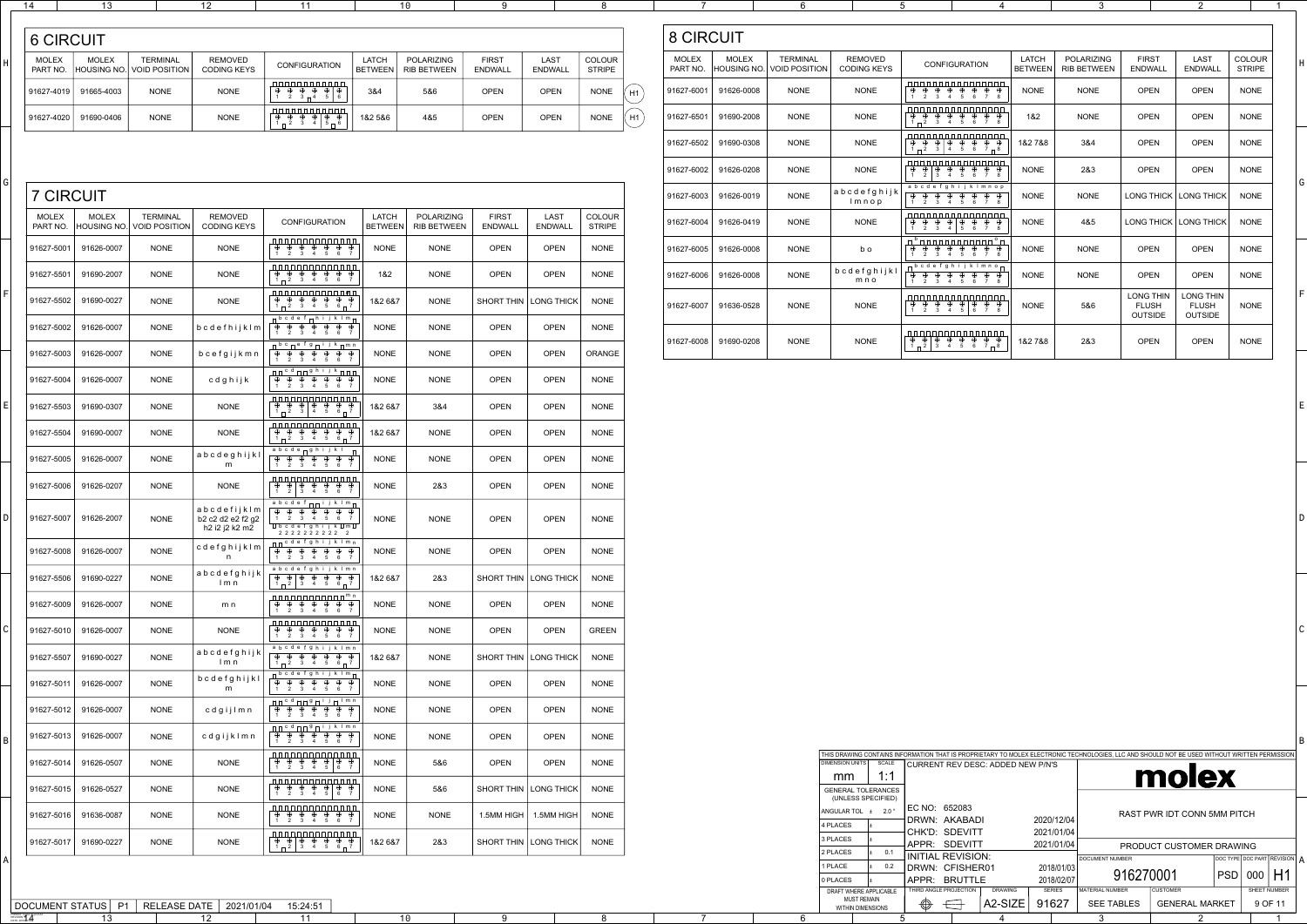| <b>MOLEX</b><br>PART NO. | <b>MOLEX</b><br>HOUSING NO. | <b>TERMINAL</b><br><b>VOID POSITION</b> | <b>REMOVED</b><br><b>CODING KEYS</b>                                                                           | <b>CONFIGURATION</b>                                                                                                                                                                                                                                                                                                                                                                                                                                                                 | <b>LATCH</b><br><b>BETWEEN</b> | <b>POLARIZING</b><br><b>RIB BETWEEN</b> | <b>FIRST</b><br><b>ENDWALL</b> | <b>LAST</b><br><b>ENDWALL</b> | <b>COLOUR</b><br><b>STRIPE</b> |
|--------------------------|-----------------------------|-----------------------------------------|----------------------------------------------------------------------------------------------------------------|--------------------------------------------------------------------------------------------------------------------------------------------------------------------------------------------------------------------------------------------------------------------------------------------------------------------------------------------------------------------------------------------------------------------------------------------------------------------------------------|--------------------------------|-----------------------------------------|--------------------------------|-------------------------------|--------------------------------|
| 91627-5001               | 91626-0007                  | <b>NONE</b>                             | <b>NONE</b>                                                                                                    | $\begin{array}{cccccccc}\n\oplus & \oplus & \oplus & \oplus & \oplus & \oplus \\ 1 & 2 & 3 & 4 & 5 & 6\n\end{array}$<br>$\oplus$<br>$\overline{7}$                                                                                                                                                                                                                                                                                                                                   | <b>NONE</b>                    | <b>NONE</b>                             | <b>OPEN</b>                    | <b>OPEN</b>                   | <b>NONE</b>                    |
| 91627-5501               | 91690-2007                  | <b>NONE</b>                             | <b>NONE</b>                                                                                                    | <u>nnnnnnnnnnnn</u><br>$\begin{array}{ccccccccc}\n\oplus & \oplus & \oplus & \oplus & \oplus & \oplus \\ 1 & 2 & 3 & 4 & 5 & 6\n\end{array}$<br>$\oplus$<br>$\overline{7}$                                                                                                                                                                                                                                                                                                           | 1&2                            | <b>NONE</b>                             | <b>OPEN</b>                    | <b>OPEN</b>                   | <b>NONE</b>                    |
| 91627-5502               | 91690-0027                  | <b>NONE</b>                             | <b>NONE</b>                                                                                                    | $\begin{array}{ccccccccccccccccc}\n\oplus & \oplus & \oplus & \oplus & \oplus & \oplus & \oplus \\ 1 & 2 & 3 & 4 & 5 & 6 & 7\n\end{array}$                                                                                                                                                                                                                                                                                                                                           | 1&2 6&7                        | <b>NONE</b>                             | <b>SHORT THIN</b>              | <b>LONG THICK</b>             | <b>NONE</b>                    |
| 91627-5002               | 91626-0007                  | <b>NONE</b>                             | bcdefhijklm                                                                                                    | $\Box$ b c d e f $\Box$ h i j k l m $\Box$<br>$\overline{\bigoplus}$<br>$\bigoplus_1$<br>$\overline{\bigoplus}$<br>$\oplus$<br>$\oplus$<br>$\oplus$<br>$\oplus$<br>$\overline{2}$ $\overline{3}$ $\overline{4}$ $\overline{5}$ $\overline{6}$<br>$\overline{7}$                                                                                                                                                                                                                      | <b>NONE</b>                    | <b>NONE</b>                             | <b>OPEN</b>                    | <b>OPEN</b>                   | <b>NONE</b>                    |
| 91627-5003               | 91626-0007                  | <b>NONE</b>                             | bcefgijkmn                                                                                                     | $\Box$ b c $\Box$ e f g $\Box$ i j k $\Box$ m n<br>$\begin{array}{c}\n\oplus \\ \oplus \\ 2 \\ 3 \\ 4\n\end{array}$<br>$\begin{array}{c}\n\oplus \\ \oplus \\ 567\n\end{array}$<br>$\overline{\bigoplus}$<br>$\oplus$<br>$\mathbf{1}$                                                                                                                                                                                                                                                | <b>NONE</b>                    | <b>NONE</b>                             | <b>OPEN</b>                    | <b>OPEN</b>                   | ORANGE                         |
| 91627-5004               | 91626-0007                  | <b>NONE</b>                             | cdghijk                                                                                                        | $\begin{array}{ccc}\n\oplus & \oplus & \oplus \\ 2 & 3 & 4\n\end{array}$<br>$\overline{\bigoplus_{1}}$<br>$\bigoplus_6$<br>$\oplus$<br>$\frac{1}{5}$                                                                                                                                                                                                                                                                                                                                 | <b>NONE</b>                    | <b>NONE</b>                             | <b>OPEN</b>                    | <b>OPEN</b>                   | <b>NONE</b>                    |
| 91627-5503               | 91690-0307                  | <b>NONE</b>                             | <b>NONE</b>                                                                                                    | $\begin{array}{c c c c c c c c} \hline \oplus & \oplus & \oplus & \oplus \\ \hline 1 & 2 & 3 & 4 & 5 \end{array}$<br>$\overline{\overset{\bigoplus}{6}} \overline{\underset{\Pi}{7}}$                                                                                                                                                                                                                                                                                                | 1&2 6&7                        | 3&4                                     | <b>OPEN</b>                    | <b>OPEN</b>                   | <b>NONE</b>                    |
| 91627-5504               | 91690-0007                  | <b>NONE</b>                             | <b>NONE</b>                                                                                                    | <u>nnnnnnnnnnnn</u><br>$\overline{\text{ }^{0}\text{ }^{0}\text{ }^{0}\text{ }^{0}\text{ }^{0}\text{ }^{0}\text{ }^{0}\text{ }^{0}\text{ }^{0}\text{ }^{0}\text{ }^{0}\text{ }^{0}\text{ }^{0}\text{ }^{0}\text{ }^{0}\text{ }^{0}\text{ }^{0}\text{ }^{0}\text{ }^{0}\text{ }^{0}\text{ }^{0}\text{ }^{0}\text{ }^{0}\text{ }^{0}\text{ }^{0}\text{ }^{0}\text{ }^{0}\text{ }^{0}\text{ }^{0}\text{ }^{0}\text{ }^{0}\text{ }^{0}\text{ }^{0}\text{ }^{0}\text{ }^{0}\text{ }^{0}\$ | 1&2 6&7                        | <b>NONE</b>                             | <b>OPEN</b>                    | <b>OPEN</b>                   | <b>NONE</b>                    |
| 91627-5005               | 91626-0007                  | <b>NONE</b>                             | abcdeghijkl<br>m                                                                                               | $\overline{a\ b\ c\ d\ e\ \overline{\bigcap}\ g\ h\ i\ j\ k\ l}$<br>$\oplus$<br>$\oplus$<br>$\oplus$<br>$\begin{array}{cccccccccccccc} \oplus & \oplus & \oplus & \oplus & \oplus \\ \mathbf{2} & \mathbf{3} & \mathbf{4} & \mathbf{5} & \mathbf{6} \end{array}$<br>1<br>$\overline{7}$                                                                                                                                                                                              | <b>NONE</b>                    | <b>NONE</b>                             | <b>OPEN</b>                    | <b>OPEN</b>                   | <b>NONE</b>                    |
| 91627-5006               | 91626-0207                  | <b>NONE</b>                             | <b>NONE</b>                                                                                                    | 00000000000000<br>$\begin{array}{c cccc}\n\hline\n\oplus & \oplus & \oplus & \oplus \\ 2 & 3 & 4 & 5 & 6\n\end{array}$<br>$\oplus$<br>$\oplus$<br>$\mathbf{1}$<br>$\overline{7}$                                                                                                                                                                                                                                                                                                     | <b>NONE</b>                    | 2&3                                     | <b>OPEN</b>                    | <b>OPEN</b>                   | <b>NONE</b>                    |
| 91627-5007               | 91626-2007                  | <b>NONE</b>                             | abcdefijklm<br>b2 c2 d2 e2 f2 g2<br>h <sub>2</sub> i <sub>2</sub> j <sub>2</sub> k <sub>2</sub> m <sub>2</sub> | a b c d e f <sub>nn</sub> ijk l m <sub>n</sub><br>$\overline{\bigoplus}$<br>$\begin{array}{cccccccc}\n\oplus & \oplus & \oplus & \oplus & \oplus & \oplus \\ 2 & 3 & 4 & 5 & 6 & 7\n\end{array}$<br>1<br>Dbcdefghijk Um U<br>2 2 2 2 2 2 2 2 2 2                                                                                                                                                                                                                                     | <b>NONE</b>                    | <b>NONE</b>                             | <b>OPEN</b>                    | <b>OPEN</b>                   | <b>NONE</b>                    |
| 91627-5008               | 91626-0007                  | <b>NONE</b>                             | cdefghijklm<br>n                                                                                               | <b>n</b> cdefghijklmn<br>$\begin{array}{cccccccc}\n\oplus & \oplus & \oplus & \oplus & \oplus & \oplus \\ 1 & 2 & 3 & 4 & 5 & 6\n\end{array}$<br>$\oplus$<br>$\overline{7}$                                                                                                                                                                                                                                                                                                          | <b>NONE</b>                    | <b>NONE</b>                             | <b>OPEN</b>                    | <b>OPEN</b>                   | <b>NONE</b>                    |
| 91627-5506               | 91690-0227                  | <b>NONE</b>                             | abcdefghijk<br>lmn                                                                                             | abcdefghijklmn                                                                                                                                                                                                                                                                                                                                                                                                                                                                       | 1&2 6&7                        | 2&3                                     | <b>SHORT THIN</b>              | <b>LONG THICK</b>             | <b>NONE</b>                    |
| 91627-5009               | 91626-0007                  | <b>NONE</b>                             | m n                                                                                                            | 000000000000 <sup>m</sup> "<br>$\oplus$<br>$\oplus$<br>$\begin{array}{ccc}\n\oplus & \oplus & \oplus \\ 5 & 6 & 7\n\end{array}$<br>$\oplus$<br>$2 \quad 3 \quad 4$                                                                                                                                                                                                                                                                                                                   | <b>NONE</b>                    | <b>NONE</b>                             | <b>OPEN</b>                    | <b>OPEN</b>                   | <b>NONE</b>                    |
| 91627-5010               | 91626-0007                  | <b>NONE</b>                             | <b>NONE</b>                                                                                                    | nnnnnnnnnnnn<br>$\oplus$<br>$\oplus$<br>$\oplus$<br>$\oplus$<br>$\oplus$<br>$\oplus$<br>$\oplus$<br>$1\ 2\ 3\ 4\ 5\ 6$<br>$\overline{7}$                                                                                                                                                                                                                                                                                                                                             | <b>NONE</b>                    | <b>NONE</b>                             | <b>OPEN</b>                    | <b>OPEN</b>                   | <b>GREEN</b>                   |
| 91627-5507               | 91690-0027                  | <b>NONE</b>                             | abcdefghijk<br>$1m$ n                                                                                          | abcdefghijklmn                                                                                                                                                                                                                                                                                                                                                                                                                                                                       | 1&2 6&7                        | <b>NONE</b>                             | <b>SHORT THIN</b>              | <b>LONG THICK</b>             | <b>NONE</b>                    |
| 91627-5011               | 91626-0007                  | <b>NONE</b>                             | bcdefghijkl<br>m                                                                                               | nbcdefghijklmn                                                                                                                                                                                                                                                                                                                                                                                                                                                                       | <b>NONE</b>                    | <b>NONE</b>                             | <b>OPEN</b>                    | <b>OPEN</b>                   | <b>NONE</b>                    |
| 91627-5012               | 91626-0007                  | <b>NONE</b>                             | cdgijlmn                                                                                                       | $\Box \Box$ $C$ d $\Box \Box$ g $\Box$ i j $\Box$ l m n<br>$\begin{array}{cccccccc}\n\oplus & \oplus & \oplus & \oplus & \oplus & \oplus \\ 2 & 3 & 4 & 5 & 6 & 7\n\end{array}$<br>$\oplus$                                                                                                                                                                                                                                                                                          | <b>NONE</b>                    | <b>NONE</b>                             | <b>OPEN</b>                    | <b>OPEN</b>                   | <b>NONE</b>                    |
| 91627-5013               | 91626-0007                  | <b>NONE</b>                             | cdgijklmn                                                                                                      | $\begin{array}{ccccccccc}\n\oplus & \oplus & \oplus & \oplus & \oplus \\ 2 & 3 & 4 & 5 & 6\n\end{array}$<br>$\overline{\overline{\overline{y}}}$<br>$\bigoplus$ 1                                                                                                                                                                                                                                                                                                                    | <b>NONE</b>                    | <b>NONE</b>                             | <b>OPEN</b>                    | <b>OPEN</b>                   | <b>NONE</b>                    |
| 91627-5014               | 91626-0507                  | <b>NONE</b>                             | <b>NONE</b>                                                                                                    | 00000000000000<br>$\begin{array}{ccc}\n\oplus & \oplus & \oplus \\ 2 & 3 & 4\n\end{array}$<br>$\begin{array}{c} \begin{array}{c} \bigoplus \\ 5 \end{array} \end{array}$<br>$\oplus$<br>$\oplus$<br>$\overline{7}$<br>$\mathbf{1}$                                                                                                                                                                                                                                                   | <b>NONE</b>                    | 5&6                                     | <b>OPEN</b>                    | <b>OPEN</b>                   | <b>NONE</b>                    |
| 91627-5015               | 91626-0527                  | <b>NONE</b>                             | <b>NONE</b>                                                                                                    | 00000000000000<br>$\oplus$<br>$\oplus$<br>$\oplus$<br>$\bigoplus$<br>$\oplus$<br>$\oplus$<br>$\oplus$<br>$1 \quad 2 \quad 3 \quad 4$<br>5 <sup>1</sup><br>6 7                                                                                                                                                                                                                                                                                                                        | <b>NONE</b>                    | 5&6                                     | <b>SHORT THIN</b>              | <b>LONG THICK</b>             | <b>NONE</b>                    |
| 91627-5016               | 91636-0087                  | <b>NONE</b>                             | <b>NONE</b>                                                                                                    | <u> nnnnnnnnnnnnn</u><br>$\begin{array}{cccccccc}\n\oplus & \oplus & \oplus & \oplus & \oplus & \oplus \\ 2 & 3 & 4 & 5 & 6 & 7\n\end{array}$<br>$\oplus$<br>1                                                                                                                                                                                                                                                                                                                       | <b>NONE</b>                    | <b>NONE</b>                             | 1.5MM HIGH                     | 1.5MM HIGH                    | <b>NONE</b>                    |
| 91627-5017               | 91690-0227                  | <b>NONE</b>                             | <b>NONE</b>                                                                                                    | <u>nnnnnnnnnnnn</u>                                                                                                                                                                                                                                                                                                                                                                                                                                                                  | 1&2 6&7                        | 2&3                                     | <b>SHORT THIN</b>              | <b>LONG THICK</b>             | <b>NONE</b>                    |

| 14                       | 13                          |                                               | 12                                   | 11                                                                                                                                                                                                                                                                                                                                                                                                                                                                                    |                                | 10                                      |                                |                               | 8                       |    |                          |                             |                                         |                               | 5                                                                                                                                                                                                                                                                                                                                                                                                                                                                               |                                                                                                     |                                |                                  |                                                    | $\overline{2}$                                     | $\overline{1}$          |
|--------------------------|-----------------------------|-----------------------------------------------|--------------------------------------|---------------------------------------------------------------------------------------------------------------------------------------------------------------------------------------------------------------------------------------------------------------------------------------------------------------------------------------------------------------------------------------------------------------------------------------------------------------------------------------|--------------------------------|-----------------------------------------|--------------------------------|-------------------------------|-------------------------|----|--------------------------|-----------------------------|-----------------------------------------|-------------------------------|---------------------------------------------------------------------------------------------------------------------------------------------------------------------------------------------------------------------------------------------------------------------------------------------------------------------------------------------------------------------------------------------------------------------------------------------------------------------------------|-----------------------------------------------------------------------------------------------------|--------------------------------|----------------------------------|----------------------------------------------------|----------------------------------------------------|-------------------------|
| <b>6 CIRCUIT</b>         |                             |                                               |                                      |                                                                                                                                                                                                                                                                                                                                                                                                                                                                                       |                                |                                         |                                |                               |                         |    | <b>8 CIRCUIT</b>         |                             |                                         |                               |                                                                                                                                                                                                                                                                                                                                                                                                                                                                                 |                                                                                                     |                                |                                  |                                                    |                                                    |                         |
| <b>MOLEX</b><br>PART NO. | <b>MOLEX</b>                | <b>TERMINAL</b><br>HOUSING NO.  VOID POSITION | <b>REMOVED</b><br><b>CODING KEYS</b> | <b>CONFIGURATION</b>                                                                                                                                                                                                                                                                                                                                                                                                                                                                  | LATCH<br><b>BETWEEN</b>        | POLARIZING<br><b>RIB BETWEEN</b>        | <b>FIRST</b><br><b>ENDWALL</b> | <b>LAST</b><br><b>ENDWALL</b> | COLOUR<br><b>STRIPE</b> |    | <b>MOLEX</b><br>PART NO. | <b>MOLEX</b><br>HOUSING NO. | <b>TERMINAL</b><br><b>VOID POSITION</b> | REMOVED<br><b>CODING KEYS</b> |                                                                                                                                                                                                                                                                                                                                                                                                                                                                                 | <b>CONFIGURATION</b>                                                                                | <b>LATCH</b><br><b>BETWEEN</b> | POLARIZING<br><b>RIB BETWEEN</b> | <b>FIRST</b><br>ENDWALL                            | <b>LAST</b><br><b>ENDWALL</b>                      | COLOUR<br><b>STRIPE</b> |
|                          | 91627-4019 91665-4003       | <b>NONE</b>                                   | <b>NONE</b>                          | 000000000000<br>$\oplus$ $\oplus$ $\oplus$ $\oplus$ $\oplus$ $\oplus$<br>1 2 3 $\sqrt{4}$ 5 6                                                                                                                                                                                                                                                                                                                                                                                         | 3&4                            | 5&6                                     | <b>OPEN</b>                    | <b>OPEN</b>                   | <b>NONE</b>             | H1 | 91627-6001               | 91626-0008                  | <b>NONE</b>                             | <b>NONE</b>                   | 0000000000000000<br>$\oplus \oplus \oplus \oplus \oplus \oplus \oplus \oplus$<br>1 2 3 4 5 6 7 8                                                                                                                                                                                                                                                                                                                                                                                |                                                                                                     | <b>NONE</b>                    | <b>NONE</b>                      | <b>OPEN</b>                                        | <b>OPEN</b>                                        | <b>NONE</b>             |
| 91627-4020               | 91690-0406                  | <b>NONE</b>                                   | <b>NONE</b>                          | <u>00000000000</u><br>$\oplus \oplus \oplus \oplus \oplus \oplus$<br>$1 \n\overline{1} \n\overline{2}$ 3 4 5 6                                                                                                                                                                                                                                                                                                                                                                        | 1&2 5&6                        | 4&5                                     | <b>OPEN</b>                    | <b>OPEN</b>                   | <b>NONE</b>             | H1 | 91627-6501               | 91690-2008                  | <b>NONE</b>                             | <b>NONE</b>                   | <u>annnnnnnnnnnnnn</u><br>$\oplus$ $\oplus$ $\oplus$ $\oplus$ $\oplus$ $\oplus$ $\oplus$<br>$1 \n\begin{bmatrix} 2 & 3 & 4 & 5 & 6 & 7 & 8 \end{bmatrix}$                                                                                                                                                                                                                                                                                                                       |                                                                                                     | 1&2                            | <b>NONE</b>                      | <b>OPEN</b>                                        | <b>OPEN</b>                                        | <b>NONE</b>             |
|                          |                             |                                               |                                      |                                                                                                                                                                                                                                                                                                                                                                                                                                                                                       |                                |                                         |                                |                               |                         |    | 91627-6502               | 91690-0308                  | <b>NONE</b>                             | <b>NONE</b>                   | n n n n n n n n n n n n n n n<br>$\oplus \oplus \oplus \oplus \oplus \oplus \oplus \oplus$                                                                                                                                                                                                                                                                                                                                                                                      | $1 \n\begin{array}{ccc ccc}\n1 & 2 & 3 & 4 & 5 & 6 & 7 & 8\n\end{array}$                            | 1&27&8                         | 3&4                              | <b>OPEN</b>                                        | <b>OPEN</b>                                        | <b>NONE</b>             |
|                          |                             |                                               |                                      |                                                                                                                                                                                                                                                                                                                                                                                                                                                                                       |                                |                                         |                                |                               |                         |    | $91627 - 6002$           | 91626-0208                  | <b>NONE</b>                             | <b>NONE</b>                   | <u>0000,000000000000</u><br>$\theta \theta \theta \theta \theta \theta \theta \theta$<br>$1 \t2 \t3 \t4 \t5 \t6 \t7 \t8$                                                                                                                                                                                                                                                                                                                                                        |                                                                                                     | <b>NONE</b>                    | 2&3                              | <b>OPEN</b>                                        | <b>OPEN</b>                                        | <b>NONE</b>             |
| <b>7 CIRCUIT</b>         |                             |                                               |                                      |                                                                                                                                                                                                                                                                                                                                                                                                                                                                                       |                                |                                         |                                |                               |                         |    | $91627 - 6003$           | 91626-0019                  | <b>NONE</b>                             | abcdefghijk<br>lmnop          | abcdefghijk Imnop<br>1 2 3 4 5 6 7 8                                                                                                                                                                                                                                                                                                                                                                                                                                            | $\oplus \quad \oplus \quad \oplus \quad \oplus \quad \oplus \quad \oplus \quad \oplus \quad \oplus$ | <b>NONE</b>                    | <b>NONE</b>                      |                                                    | LONG THICK   LONG THICK                            | <b>NONE</b>             |
| <b>MOLEX</b><br>PART NO. | <b>MOLEX</b><br>HOUSING NO. | <b>TERMINAL</b><br><b>VOID POSITION</b>       | <b>REMOVED</b><br><b>CODING KEYS</b> | <b>CONFIGURATION</b>                                                                                                                                                                                                                                                                                                                                                                                                                                                                  | <b>LATCH</b><br><b>BETWEEN</b> | <b>POLARIZING</b><br><b>RIB BETWEEN</b> | <b>FIRST</b><br>ENDWALL        | <b>LAST</b><br>ENDWALL        | COLOUR<br><b>STRIPE</b> |    | $91627 - 6004$           | 91626-0419                  | <b>NONE</b>                             | <b>NONE</b>                   | $1\quad 2\quad 3\quad 4\quad 5\quad 6\quad 7\quad 8$                                                                                                                                                                                                                                                                                                                                                                                                                            |                                                                                                     | <b>NONE</b>                    | 4&5                              | LONG THICK   LONG THICK                            |                                                    | <b>NONE</b>             |
| 91627-5001               | 91626-0007                  | <b>NONE</b>                                   | <b>NONE</b>                          | 1 2 3 4 5 6 7                                                                                                                                                                                                                                                                                                                                                                                                                                                                         | <b>NONE</b>                    | <b>NONE</b>                             | <b>OPEN</b>                    | <b>OPEN</b>                   | <b>NONE</b>             |    | $91627 - 6005$           | 91626-0008                  | <b>NONE</b>                             | b o                           | $\begin{array}{c} \mathbb{R}^{\mathfrak{b}} \cap \mathbb{R} \cap \mathbb{R} \cap \mathbb{R} \cap \mathbb{R} \cap \mathbb{R} \cap \mathbb{R} \cap \mathbb{R} \cap \mathbb{R} \cap \mathbb{R} \cap \mathbb{R} \cap \mathbb{R} \cap \mathbb{R} \cap \mathbb{R} \cap \mathbb{R} \cap \mathbb{R} \cap \mathbb{R} \cap \mathbb{R} \cap \mathbb{R} \cap \mathbb{R} \cap \mathbb{R} \cap \mathbb{R} \cap \mathbb{R} \cap \mathbb{R} \cap \mathbb{R} \cap \mathbb{R}$<br>1 2 3 4 5 6 7 8 |                                                                                                     | <b>NONE</b>                    | <b>NONE</b>                      | <b>OPEN</b>                                        | <b>OPEN</b>                                        | <b>NONE</b>             |
| 91627-5501               | 91690-2007                  | <b>NONE</b>                                   | <b>NONE</b>                          | nnnnnnnnnnnnn<br>$\qquad \qquad \oplus \quad \oplus \quad \oplus \quad \oplus \quad \oplus \quad \oplus$<br>$1\sqrt{2}$ 3 4 5 6 7                                                                                                                                                                                                                                                                                                                                                     | 1&2                            | <b>NONE</b>                             | <b>OPEN</b>                    | <b>OPEN</b>                   | <b>NONE</b>             |    | $91627 - 6006$           | 91626-0008                  | <b>NONE</b>                             | bcdefghijk<br>mno             | <sub>∏</sub> b c d e f g h i j k l m n o <sub>r</sub><br>$\overline{\theta \quad \theta \quad \theta \quad \theta \quad \theta \quad \theta \quad \theta \quad \theta \quad \theta}$<br>$1\quad 2\quad 3\quad 4\quad 5\quad 6\quad 7\quad 8$                                                                                                                                                                                                                                    |                                                                                                     | <b>NONE</b>                    | <b>NONE</b>                      | <b>OPEN</b>                                        | <b>OPEN</b>                                        | <b>NONE</b>             |
| 91627-5502               | 91690-0027                  | <b>NONE</b>                                   | <b>NONE</b>                          | <u> nannannannann</u><br>$1 \square$ 2 3 4 5 6 $\square$ 7                                                                                                                                                                                                                                                                                                                                                                                                                            | 1&2 6&7                        | <b>NONE</b>                             |                                | <b>SHORT THIN LONG THICK</b>  | <b>NONE</b>             |    | 91627-6007               | 91636-0528                  | <b>NONE</b>                             | <b>NONE</b>                   | $\begin{array}{ccccccccc}\n\textbf{1} & \textbf{1} & \textbf{1} & \textbf{1} & \textbf{1} & \textbf{1} & \textbf{1} & \textbf{1} & \textbf{1} & \textbf{1} & \textbf{1} & \textbf{1} & \textbf{1} & \textbf{1} & \textbf{1} & \textbf{1} & \textbf{1} & \textbf{1} & \textbf{1} & \textbf{1} & \textbf{1} & \textbf{1} & \textbf{1} & \textbf{1} & \textbf{1} & \textbf{1} & \textbf{1} & \textbf{1} & \textbf{1} & \textbf{1} &$<br>1 2 3 4 5 6 7 8                            |                                                                                                     | <b>NONE</b>                    | 5&6                              | <b>LONG THIN</b><br><b>FLUSH</b><br><b>OUTSIDE</b> | <b>LONG THIN</b><br><b>FLUSH</b><br><b>OUTSIDE</b> | <b>NONE</b>             |
| 91627-5002               | 91626-0007                  | <b>NONE</b>                                   | bcdefhijklm                          | ┌┌b cdef┌┐hiiklm┌<br>$\oplus \hspace{.15cm} \oplus \hspace{.15cm} \oplus \hspace{.15cm} \oplus \hspace{.15cm} \oplus \hspace{.15cm} \oplus \hspace{.15cm} \oplus$<br>2 3 4 5 6 7                                                                                                                                                                                                                                                                                                      | <b>NONE</b>                    | <b>NONE</b>                             | <b>OPEN</b>                    | <b>OPEN</b>                   | <b>NONE</b>             |    | $91627 - 6008$           | 91690-0208                  | <b>NONE</b>                             | <b>NONE</b>                   | $\oplus \oplus \oplus \oplus \oplus \oplus \oplus \oplus$                                                                                                                                                                                                                                                                                                                                                                                                                       |                                                                                                     | 1&27&8                         | 2&3                              | <b>OPEN</b>                                        | <b>OPEN</b>                                        | <b>NONE</b>             |
| $91627 - 5003$           | 91626-0007                  | <b>NONE</b>                                   | bcefgijkmn                           | <sub>⊓</sub> b c <sub>∏</sub> e f g <sub>∏</sub> i j k <sub>∏</sub> m n<br>$\boxed{\oplus\hspace{0.2cm} \oplus \hspace{0.2cm} \oplus \hspace{0.2cm} \oplus \hspace{0.2cm} \oplus \hspace{0.2cm} \oplus \hspace{0.2cm} \oplus \hspace{0.2cm} \oplus \hspace{0.2cm} \hspace{0.2cm} \oplus \hspace{0.2cm} \hspace{0.2cm} \hspace{0.2cm} \hspace{0.2cm} \oplus \hspace{0.2cm} \hspace{0.2cm} \hspace{0.2cm} \hspace{0.2cm} \hspace{0.2cm} \hspace{0.2cm} \oplus \hspace{0.2cm} \hspace{0$ | <b>NONE</b>                    | <b>NONE</b>                             | <b>OPEN</b>                    | <b>OPEN</b>                   | ORANGE                  |    |                          |                             |                                         |                               |                                                                                                                                                                                                                                                                                                                                                                                                                                                                                 |                                                                                                     |                                |                                  |                                                    |                                                    |                         |

| 14                       | 13                      |                                                     | 12                                   | 11                                                                                                                                                                                                                 |                                | 10                               | -9                             |                               |                         |    |                          |                         |                                              |                                      | 5                                                                                                                                                                                                                                                                                                                                                                      |                                | -3                                      |                                  | $\overline{2}$                   | $\overline{1}$          |
|--------------------------|-------------------------|-----------------------------------------------------|--------------------------------------|--------------------------------------------------------------------------------------------------------------------------------------------------------------------------------------------------------------------|--------------------------------|----------------------------------|--------------------------------|-------------------------------|-------------------------|----|--------------------------|-------------------------|----------------------------------------------|--------------------------------------|------------------------------------------------------------------------------------------------------------------------------------------------------------------------------------------------------------------------------------------------------------------------------------------------------------------------------------------------------------------------|--------------------------------|-----------------------------------------|----------------------------------|----------------------------------|-------------------------|
| <b>6 CIRCUIT</b>         |                         |                                                     |                                      |                                                                                                                                                                                                                    |                                |                                  |                                |                               |                         |    | <b>8 CIRCUIT</b>         |                         |                                              |                                      |                                                                                                                                                                                                                                                                                                                                                                        |                                |                                         |                                  |                                  |                         |
| <b>MOLEX</b><br>PART NO. | <b>MOLEX</b>            | <b>TERMINAL</b><br>HOUSING NO.  VOID POSITION       | <b>REMOVED</b><br><b>CODING KEYS</b> | <b>CONFIGURATION</b>                                                                                                                                                                                               | <b>LATCH</b><br><b>BETWEEN</b> | POLARIZING<br><b>RIB BETWEEN</b> | <b>FIRST</b><br><b>ENDWALL</b> | <b>LAST</b><br><b>ENDWALL</b> | COLOUR<br><b>STRIPE</b> |    | <b>MOLEX</b><br>PART NO. | <b>MOLEX</b>            | <b>TERMINAL</b><br>HOUSING NO. VOID POSITION | <b>REMOVED</b><br><b>CODING KEYS</b> | <b>CONFIGURATION</b>                                                                                                                                                                                                                                                                                                                                                   | <b>LATCH</b><br><b>BETWEEN</b> | <b>POLARIZING</b><br><b>RIB BETWEEN</b> | <b>FIRST</b><br><b>ENDWALL</b>   | <b>LAST</b><br><b>ENDWALL</b>    | COLOUR<br><b>STRIPE</b> |
|                          | 91627-4019   91665-4003 | <b>NONE</b>                                         | <b>NONE</b>                          | 1 2 3 $\begin{bmatrix} 4 & 5 \end{bmatrix}$ 6                                                                                                                                                                      | 3&4                            | 5&6                              | <b>OPEN</b>                    | <b>OPEN</b>                   | <b>NONE</b>             | H1 | 91627-6001               | 91626-0008              | <b>NONE</b>                                  | <b>NONE</b>                          | $\begin{picture}(16,15) \put(0,0){\line(1,0){10}} \put(10,0){\line(1,0){10}} \put(10,0){\line(1,0){10}} \put(10,0){\line(1,0){10}} \put(10,0){\line(1,0){10}} \put(10,0){\line(1,0){10}} \put(10,0){\line(1,0){10}} \put(10,0){\line(1,0){10}} \put(10,0){\line(1,0){10}} \put(10,0){\line(1,0){10}} \put(10,0){\line(1,0){10}} \put(10,0){\line(1$<br>1 2 3 4 5 6 7 8 | <b>NONE</b>                    | <b>NONE</b>                             | <b>OPEN</b>                      | <b>OPEN</b>                      | <b>NONE</b>             |
| 91627-4020               | 91690-0406              | <b>NONE</b>                                         | <b>NONE</b>                          | $1 \square$ 2 3 4 5 $\square$ 6                                                                                                                                                                                    | 1&2 5&6                        | 4&5                              | <b>OPEN</b>                    | <b>OPEN</b>                   | <b>NONE</b>             | H1 | 91627-6501               | 91690-2008              | <b>NONE</b>                                  | <b>NONE</b>                          | <u> 0000000000000000</u><br>$\oplus$ $\oplus$ $\oplus$ $\oplus$ $\oplus$ $\oplus$ $\oplus$<br>$1 \n\begin{bmatrix} 2 & 3 & 4 & 5 & 6 & 7 & 8 \end{bmatrix}$                                                                                                                                                                                                            | 182                            | <b>NONE</b>                             | <b>OPEN</b>                      | <b>OPEN</b>                      | <b>NONE</b>             |
|                          |                         |                                                     |                                      |                                                                                                                                                                                                                    |                                |                                  |                                |                               |                         |    | $91627 - 6502$           | 91690-0308              | <b>NONE</b>                                  | <b>NONE</b>                          | 0000000000000000<br>$\theta \theta \theta \theta \theta \theta \theta \theta$<br>$1 \n\begin{array}{ccc ccc} 1 & 2 & 3 & 4 & 5 & 6 & 7 & 8 \end{array}$                                                                                                                                                                                                                | 1&27&8                         | 3&4                                     | <b>OPEN</b>                      | <b>OPEN</b>                      | <b>NONE</b>             |
|                          |                         |                                                     |                                      |                                                                                                                                                                                                                    |                                |                                  |                                |                               |                         |    |                          | 91627-6002 91626-0208   | <b>NONE</b>                                  | <b>NONE</b>                          | 0000,000000000000<br>$\theta \theta \theta \theta \theta \theta \theta$<br>$1 \t2 \t3 \t4 \t5 \t6 \t7 \t8$                                                                                                                                                                                                                                                             | <b>NONE</b>                    | 2&3                                     | <b>OPEN</b>                      | <b>OPEN</b>                      | <b>NONE</b>             |
| <b>7 CIRCUIT</b>         |                         |                                                     |                                      |                                                                                                                                                                                                                    |                                |                                  |                                |                               |                         |    |                          | 91627-6003 91626-0019   | <b>NONE</b>                                  | abcdefghi <sup>'</sup><br>Imnop      | abcdefghijk Imnop<br>$\oplus$ $\oplus$ $\oplus$ $\oplus$ $\oplus$ $\oplus$ $\oplus$<br>1 2 3 4 5 6 7 8                                                                                                                                                                                                                                                                 | <b>NONE</b>                    | <b>NONE</b>                             |                                  | LONG THICK   LONG THICK          | <b>NONE</b>             |
| <b>MOLEX</b><br>PART NO. | <b>MOLEX</b>            | <b>TERMINAL</b><br><b>HOUSING NO. VOID POSITION</b> | <b>REMOVED</b><br><b>CODING KEYS</b> | <b>CONFIGURATION</b>                                                                                                                                                                                               | <b>LATCH</b><br><b>BETWEEN</b> | POLARIZING<br><b>RIB BETWEEN</b> | <b>FIRST</b><br><b>ENDWALL</b> | <b>LAST</b><br><b>ENDWALI</b> | COLOUR<br><b>STRIPE</b> |    |                          | 91627-6004   91626-0419 | <b>NONE</b>                                  | <b>NONE</b>                          | $1 \t2 \t3 \t4 \t5 \t6 \t7 \t8$                                                                                                                                                                                                                                                                                                                                        | <b>NONE</b>                    | 4&5                                     |                                  | <b>LONG THICK   LONG THICK</b>   | <b>NONE</b>             |
| 91627-5001               | 91626-0007              | <b>NONE</b>                                         | <b>NONE</b>                          | 00000000000000<br>$\theta$ $\theta$ $\theta$ $\theta$ $\theta$ $\theta$ $\theta$<br>1 2 3 4 5 6 7                                                                                                                  | <b>NONE</b>                    | <b>NONE</b>                      | <b>OPEN</b>                    | <b>OPEN</b>                   | <b>NONE</b>             |    |                          | 91627-6005 91626-0008   | <b>NONE</b>                                  | b o                                  | <u>n<sup>b</sup> nnnnnnnnnn<sup>o</sup>r</u><br>1 2 3 4 5 6 7 8                                                                                                                                                                                                                                                                                                        | <b>NONE</b>                    | <b>NONE</b>                             | <b>OPEN</b>                      | <b>OPEN</b>                      | <b>NONE</b>             |
| 91627-5501               | 91690-2007              | <b>NONE</b>                                         | <b>NONE</b>                          | <u>nnnnnnnnnnnn</u><br>$\oplus$ $\oplus$ $\oplus$ $\oplus$ $\oplus$ $\oplus$ $\oplus$<br>$1 \n\begin{bmatrix} 2 & 3 & 4 & 5 & 6 & 7 \end{bmatrix}$                                                                 | 1&2                            | <b>NONE</b>                      | <b>OPEN</b>                    | <b>OPEN</b>                   | <b>NONE</b>             |    | 91627-6006               | 91626-0008              | <b>NONE</b>                                  | bcdefghijk<br>mno                    | -bcdefghijklmno-<br>$\overline{\oplus} \quad \oplus \quad \oplus \quad \oplus \quad \oplus \quad \oplus \quad \oplus$<br>1 2 3 4 5 6 7 8                                                                                                                                                                                                                               | <b>NONE</b>                    | <b>NONE</b>                             | <b>OPEN</b>                      | <b>OPEN</b>                      | <b>NONE</b>             |
| 91627-5502               | 91690-0027              | <b>NONE</b>                                         | <b>NONE</b>                          | 10000000000 <b>m</b> r<br>$\oplus$ $\oplus$ $\oplus$ $\oplus$ $\oplus$ $\oplus$                                                                                                                                    | 1&2 6&7                        | <b>NONE</b>                      |                                | SHORT THIN LONG THICK         | <b>NONE</b>             |    | 91627-6007               | 91636-0528              | <b>NONE</b>                                  | <b>NONE</b>                          | $\theta \theta \theta \theta \theta \theta$<br>1 2 3 4 5 6 7 8                                                                                                                                                                                                                                                                                                         | <b>NONE</b>                    | 5&6                                     | <b>LONG THIN</b><br><b>FLUSH</b> | <b>LONG THIN</b><br><b>FLUSH</b> | <b>NONE</b>             |
|                          | 91627-5002 91626-0007   | <b>NONE</b>                                         | bcdefhijklm                          | <sub>Π</sub> bcdef <sub>Π</sub> hijklm <sub>Γ</sub><br>$\oplus \hspace{.15cm} \oplus \hspace{.15cm} \oplus \hspace{.15cm} \oplus \hspace{.15cm} \oplus \hspace{.15cm} \oplus \hspace{.15cm} \oplus$<br>2 3 4 5 6 7 | <b>NONE</b>                    | <b>NONE</b>                      | <b>OPEN</b>                    | <b>OPEN</b>                   | <b>NONE</b>             |    |                          |                         |                                              |                                      | 000000000000000<br>$\oplus \oplus \oplus \oplus \oplus \oplus \oplus \oplus$                                                                                                                                                                                                                                                                                           |                                |                                         | <b>OUTSIDE</b>                   | <b>OUTSIDE</b>                   |                         |
|                          | 91627-5003 91626-0007   | <b>NONE</b>                                         | bcefgijkmn                           | <sub>⊓</sub> bc <sub>⊓</sub> efg <sub>⊓</sub> ijk <sub>⊓</sub> mn                                                                                                                                                  | <b>NONE</b>                    | <b>NONE</b>                      | <b>OPEN</b>                    | <b>OPEN</b>                   | ORANGE                  |    |                          | 91627-6008 91690-0208   | <b>NONE</b>                                  | <b>NONE</b>                          | $1 \t1 \t2 \t3 \t4 \t5 \t6 \t7 \t18$                                                                                                                                                                                                                                                                                                                                   | 1&27&8                         | 2&3                                     | <b>OPEN</b>                      | <b>OPEN</b>                      | <b>NONE</b>             |

|                           |                                                |                    |               |                          |                                   |               | THIS DRAWING CONTAINS INFORMATION THAT IS PROPRIETARY TO MOLEX ELECTRONIC TECHNOLOGIES. LLC AND SHOULD NOT BE USED WITHOUT WRITTEN PERMISSION |                                    |                            |     |              |
|---------------------------|------------------------------------------------|--------------------|---------------|--------------------------|-----------------------------------|---------------|-----------------------------------------------------------------------------------------------------------------------------------------------|------------------------------------|----------------------------|-----|--------------|
| <b>DIMENSION UNITS</b>    |                                                | SCALE              |               |                          | CURRENT REV DESC: ADDED NEW P/N'S |               |                                                                                                                                               |                                    |                            |     |              |
| mm                        |                                                | 1:1                |               |                          |                                   |               |                                                                                                                                               | molex                              |                            |     |              |
| <b>GENERAL TOLERANCES</b> |                                                | (UNLESS SPECIFIED) |               |                          |                                   |               |                                                                                                                                               |                                    |                            |     |              |
| ANGULAR TOL ±             |                                                | $2.0\degree$       | EC NO: 652083 |                          |                                   |               |                                                                                                                                               | <b>RAST PWR IDT CONN 5MM PITCH</b> |                            |     |              |
| 4 PLACES                  |                                                |                    |               | DRWN: AKABADI            |                                   | 2020/12/04    |                                                                                                                                               |                                    |                            |     |              |
| 3 PLACES                  |                                                |                    |               | CHK'D: SDEVITT           |                                   | 2021/01/04    |                                                                                                                                               |                                    |                            |     |              |
| 2 PLACES                  |                                                | 0.1                | APPR:         | <b>SDEVITT</b>           |                                   | 2021/01/04    |                                                                                                                                               | PRODUCT CUSTOMER DRAWING           |                            |     |              |
|                           |                                                |                    |               | <b>INITIAL REVISION:</b> |                                   |               | <b>DOCUMENT NUMBER</b>                                                                                                                        |                                    | DOC TYPE DOC PART REVISION |     |              |
| 1 PLACE                   |                                                | 0.2                |               | DRWN: CFISHER01          |                                   | 2018/01/03    | 916270001                                                                                                                                     |                                    | <b>PSD</b>                 | 000 |              |
| 0 PLACES                  |                                                |                    | APPR:         | <b>BRUTTLE</b>           |                                   | 2018/02/07    |                                                                                                                                               |                                    |                            |     |              |
| DRAFT WHERE APPLICABLE    |                                                |                    |               | THIRD ANGLE PROJECTION   | <b>DRAWING</b>                    | <b>SERIES</b> | <b>MATERIAL NUMBER</b>                                                                                                                        | <b>CUSTOMER</b>                    |                            |     | SHEET NUMBER |
|                           | <b>MUST REMAIN</b><br><b>WITHIN DIMENSIONS</b> |                    | ₩             | $+\--$                   | $A2-SIZE$                         | 91627         | <b>SEE TABLES</b>                                                                                                                             | <b>GENERAL MARKET</b>              |                            |     | 9 OF 11      |
|                           |                                                | 5                  |               |                          |                                   |               |                                                                                                                                               |                                    |                            |     |              |

| റററ<br>. JUUUMENT S! ″ ⊺                  | <b>ATUS</b><br>$\sim$ $\sim$<br>$\sim$<br>5 I A I | D <sub>4</sub> | .<br>ה הי<br><b>RF</b><br><b>EASE</b><br>DA. | $202 -$<br>1/01/04<br>, , | イに・<br>5:24:51 |  |  |
|-------------------------------------------|---------------------------------------------------|----------------|----------------------------------------------|---------------------------|----------------|--|--|
| FORMAT: master-th-prod-A2<br>REVISION: HA |                                                   |                |                                              |                           |                |  |  |

A

A

B

B

C

C

D

D

E

E

F

F

7

G

G

H

H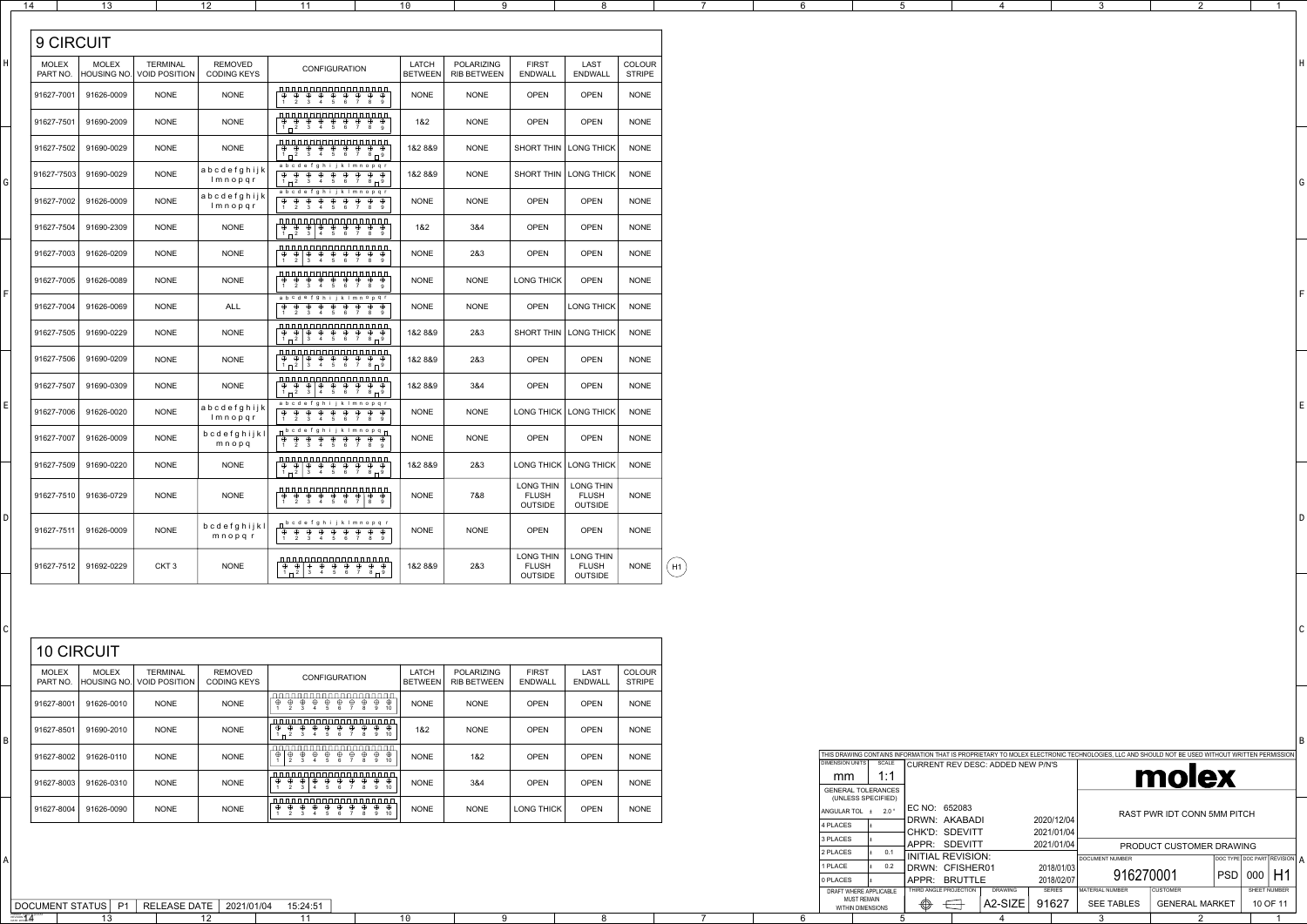| <b>10 CIRCUIT</b>              |                             |                           |                                      |                                                                                                                                                                                                                       |                                |                                         |                         |                               |                                |
|--------------------------------|-----------------------------|---------------------------|--------------------------------------|-----------------------------------------------------------------------------------------------------------------------------------------------------------------------------------------------------------------------|--------------------------------|-----------------------------------------|-------------------------|-------------------------------|--------------------------------|
| <b>MOLEX</b><br><b>PART NO</b> | <b>MOLEX</b><br>HOUSING NO. | TERMINAL<br>VOID POSITION | <b>REMOVED</b><br><b>CODING KEYS</b> | <b>CONFIGURATION</b>                                                                                                                                                                                                  | <b>LATCH</b><br><b>BETWEEN</b> | <b>POLARIZING</b><br><b>RIB BETWEEN</b> | <b>FIRST</b><br>ENDWALL | <b>LAST</b><br><b>ENDWALL</b> | <b>COLOUR</b><br><b>STRIPE</b> |
| 91627-8001                     | 91626-0010                  | <b>NONE</b>               | <b>NONE</b>                          | $\Box$ $\Box$ $\Box$<br>. - - - - - - - - - - - -<br>$\oplus$<br>$\oplus$<br>$\oplus$<br>$\oplus$<br>$\oplus$<br>$\oplus$<br>$\oplus$<br>$\oplus$<br>$\oplus$<br>$\oplus$<br>8<br>$\overline{2}$<br>3<br>9<br>10<br>6 | <b>NONE</b>                    | <b>NONE</b>                             | <b>OPEN</b>             | <b>OPEN</b>                   | <b>NONE</b>                    |
| 91627-8501                     | 91690-2010                  | <b>NONE</b>               | <b>NONE</b>                          | חחח<br>$\oplus$<br>$\oplus$<br>$\oplus$<br>$\oplus$<br>⊕<br>$\oplus$<br>$\oplus$<br>$\oplus$<br>$\oplus$<br>$\oplus$<br>3<br>R<br>$-1$ $\Box$<br>6<br>9<br>10                                                         | 1&2                            | <b>NONE</b>                             | <b>OPEN</b>             | <b>OPEN</b>                   | <b>NONE</b>                    |
| 91627-8002                     | 91626-0110                  | <b>NONE</b>               | <b>NONE</b>                          | חחחחר<br>$\oplus$<br>$\oplus$<br>$\oplus$<br>$\oplus$<br>$\oplus$<br>$\oplus$<br>$\oplus$<br>$\oplus$<br>$\oplus$<br>$\oplus$<br>$\overline{2}$<br>З<br>R<br>10<br>9                                                  | <b>NONE</b>                    | 1&2                                     | <b>OPEN</b>             | <b>OPEN</b>                   | <b>NONE</b>                    |
| 91627-8003                     | 91626-0310                  | <b>NONE</b>               | <b>NONE</b>                          | $\Box \Box \Box$<br>חחחחח<br>$\oplus$<br>$\oplus$<br>$\oplus$<br>$\oplus$<br>$\oplus$<br>$\oplus$<br>$\oplus$<br>$\oplus$<br>$\oplus$<br>$\oplus$<br>$\mathsf{R}$<br>$\overline{2}$<br>3<br>9<br>10                   | <b>NONE</b>                    | 3&4                                     | <b>OPEN</b>             | <b>OPEN</b>                   | <b>NONE</b>                    |
| 91627-8004                     | 91626-0090                  | <b>NONE</b>               | <b>NONE</b>                          | חחח<br>חחחחחו<br>$\oplus$<br>$\oplus$<br>$\oplus$<br>$\oplus$<br>$\oplus$<br>$\oplus$<br>$\oplus$<br>$\oplus$<br>$\oplus$<br>$\oplus$<br>$\overline{2}$<br>3<br>8<br>10<br>9                                          | <b>NONE</b>                    | <b>NONE</b>                             | <b>LONG THICK</b>       | <b>OPEN</b>                   | <b>NONE</b>                    |

| 14                       | 13                                 |                                         | 12                                   | 11                                                                                                                                                                                                                                                          | 10                             | 9                                       |                                                    | 8                                                  |                                |
|--------------------------|------------------------------------|-----------------------------------------|--------------------------------------|-------------------------------------------------------------------------------------------------------------------------------------------------------------------------------------------------------------------------------------------------------------|--------------------------------|-----------------------------------------|----------------------------------------------------|----------------------------------------------------|--------------------------------|
| 9 CIRCUIT                |                                    |                                         |                                      |                                                                                                                                                                                                                                                             |                                |                                         |                                                    |                                                    |                                |
| <b>MOLEX</b><br>PART NO. | <b>MOLEX</b><br><b>HOUSING NO.</b> | <b>TERMINAL</b><br><b>VOID POSITION</b> | <b>REMOVED</b><br><b>CODING KEYS</b> | <b>CONFIGURATION</b>                                                                                                                                                                                                                                        | <b>LATCH</b><br><b>BETWEEN</b> | <b>POLARIZING</b><br><b>RIB BETWEEN</b> | <b>FIRST</b><br><b>ENDWALL</b>                     | <b>LAST</b><br><b>ENDWALL</b>                      | <b>COLOUR</b><br><b>STRIPE</b> |
| 91627-7001               | 91626-0009                         | <b>NONE</b>                             | <b>NONE</b>                          | $\oplus$<br>$\oplus$<br>$\oplus$<br>$\oplus$<br>$\oplus$<br>$\oplus$<br>$\oplus$<br>$\oplus$<br>$\oplus$<br>2<br>$\overline{\mathbf{3}}$<br>5<br>6<br>$\overline{7}$<br>8<br>$\overline{4}$<br>9                                                            | <b>NONE</b>                    | <b>NONE</b>                             | <b>OPEN</b>                                        | <b>OPEN</b>                                        | <b>NONE</b>                    |
| 91627-7501               | 91690-2009                         | <b>NONE</b>                             | <b>NONE</b>                          | $\oplus$<br>$\oplus$<br>$\oplus$<br>$\oplus$<br>$\oplus$<br>$\oplus$<br>$\oplus$<br>$\oplus$<br>$\oplus$<br>$1\sqrt{2}$ 3 4 5 6 7 8<br>9                                                                                                                    | 1&2                            | <b>NONE</b>                             | <b>OPEN</b>                                        | <b>OPEN</b>                                        | <b>NONE</b>                    |
| 91627-7502               | 91690-0029                         | <b>NONE</b>                             | <b>NONE</b>                          | A A A A A A A A A A A A A A A A A<br>$\oplus$<br>$\oplus$<br>$\oplus$<br>$\oplus$<br>$\oplus$<br>$\oplus$<br>$\oplus$<br>$\oplus$<br>$\oplus$<br>$1 \n\begin{bmatrix} 2 & 3 & 4 & 5 & 6 & 7 \end{bmatrix}$<br>$8 \square$ 9                                 | 1&28&9                         | <b>NONE</b>                             | SHORT THIN                                         | <b>LONG THICK</b>                                  | <b>NONE</b>                    |
| 91627-'7503              | 91690-0029                         | <b>NONE</b>                             | abcdefghijk<br>Imnopqr               | abcdefghijklmnopqr<br>$\oplus$                                                                                                                                                                                                                              | 1&28&9                         | <b>NONE</b>                             | <b>SHORT THIN</b>                                  | <b>LONG THICK</b>                                  | <b>NONE</b>                    |
| 91627-7002               | 91626-0009                         | <b>NONE</b>                             | abcdefghijk<br>Imnopqr               | abcdefghijklmnopqr<br>$\oplus$<br>$\oplus$<br>$8 \overline{9}$                                                                                                                                                                                              | <b>NONE</b>                    | <b>NONE</b>                             | <b>OPEN</b>                                        | <b>OPEN</b>                                        | <b>NONE</b>                    |
| 91627-7504               | 91690-2309                         | <b>NONE</b>                             | <b>NONE</b>                          | $\oplus$<br>$\oplus$<br>$\bigoplus$ $\bigoplus$<br>$\oplus$<br>$\oplus$<br>$\oplus$<br>$\oplus$<br>$\oplus$<br>$1 \n\overline{)2}$ $3 \n\overline{)4}$ $5 \n\overline{)6}$ $7 \n\overline{)8}$<br>9                                                         | 1&2                            | 3&4                                     | <b>OPEN</b>                                        | <b>OPEN</b>                                        | <b>NONE</b>                    |
| 91627-7003               | 91626-0209                         | <b>NONE</b>                             | <b>NONE</b>                          | 8888<br>$\overline{\frac{\oplus}{2}}$<br>$\overline{\bigoplus}$<br>$\oplus$<br>$\oplus$<br>$\oplus$<br>$\frac{1}{7}$<br>$\oplus$<br>$\oplus$<br>$\oplus$<br>$5\overline{)}$<br>$6\phantom{.}6$<br>$\mathbf{3}$<br>8<br>$\mathbf{1}$<br>$\overline{4}$<br>-9 | <b>NONE</b>                    | 2&3                                     | <b>OPEN</b>                                        | <b>OPEN</b>                                        | <b>NONE</b>                    |
| 91627-7005               | 91626-0089                         | <b>NONE</b>                             | <b>NONE</b>                          | $\oplus$<br>$\oplus$<br>$\oplus$<br>$\begin{array}{ccc}\n\oplus & \oplus & \oplus \\ 5 & 6 & 7\n\end{array}$<br>$\oplus$<br>$\oplus$<br>$\oplus$<br>$2 \quad 3$<br>$\frac{6}{4}$<br>8<br>9                                                                  | <b>NONE</b>                    | <b>NONE</b>                             | <b>LONG THICK</b>                                  | <b>OPEN</b>                                        | <b>NONE</b>                    |
| 91627-7004               | 91626-0069                         | <b>NONE</b>                             | <b>ALL</b>                           | a b c d e f g h i j k l m n o p q r<br>$\oplus$<br>$\oplus$<br>$\oplus$<br>$\oplus$<br>$\oplus$<br>$\oplus$<br>$\oplus$<br>$\oplus$<br>$\oplus$<br>$1 \quad 2 \quad 3 \quad 4 \quad 5 \quad 6 \quad 7$<br>8 9                                               | <b>NONE</b>                    | <b>NONE</b>                             | <b>OPEN</b>                                        | <b>LONG THICK</b>                                  | <b>NONE</b>                    |
| 91627-7505               | 91690-0229                         | <b>NONE</b>                             | <b>NONE</b>                          | $\oplus$ $\oplus$                                                                                                                                                                                                                                           | 1&28&9                         | 2&3                                     | SHORT THIN                                         | <b>LONG THICK</b>                                  | <b>NONE</b>                    |
| 91627-7506               | 91690-0209                         | <b>NONE</b>                             | <b>NONE</b>                          | 00000000000000000                                                                                                                                                                                                                                           | 1&28&9                         | 2&3                                     | <b>OPEN</b>                                        | <b>OPEN</b>                                        | <b>NONE</b>                    |
| 91627-7507               | 91690-0309                         | <b>NONE</b>                             | <b>NONE</b>                          | $\oplus$ $\oplus$<br>$\bigoplus$ $\bigoplus$<br>$\oplus$<br>$\oplus$<br>$\oplus$<br>$\oplus$ $\oplus$<br>$1 \n\begin{array}{ccc ccc}\n1 & 2 & 3 & 4 & 5 & 6 & 7 & 8\n\end{array}$                                                                           | 1&28&9                         | 3&4                                     | <b>OPEN</b>                                        | <b>OPEN</b>                                        | <b>NONE</b>                    |
| 91627-7006               | 91626-0020                         | <b>NONE</b>                             | abcdefghijk<br>Imnopqr               | abcdefghijklmnopqr<br>$\oplus$ $\oplus$                                                                                                                                                                                                                     | <b>NONE</b>                    | <b>NONE</b>                             | <b>LONG THICK</b>                                  | <b>LONG THICK</b>                                  | <b>NONE</b>                    |
| 91627-7007               | 91626-0009                         | <b>NONE</b>                             | bcdefghijkl<br>m n o p q             | $\Box$ b c d e f g h i j k l m n o p q $\Box$<br>$\oplus$ $\oplus$                                                                                                                                                                                          | <b>NONE</b>                    | <b>NONE</b>                             | <b>OPEN</b>                                        | <b>OPEN</b>                                        | <b>NONE</b>                    |
| 91627-7509               | 91690-0220                         | <b>NONE</b>                             | <b>NONE</b>                          | $\overline{\bigoplus}$                                                                                                                                                                                                                                      | 1&28&9                         | 2&3                                     | <b>LONG THICK</b>                                  | <b>LONG THICK</b>                                  | <b>NONE</b>                    |
| 91627-7510               | 91636-0729                         | <b>NONE</b>                             | <b>NONE</b>                          | <u> 00000000000000000</u><br>$\begin{array}{cccccccc}\n\oplus & \oplus & \oplus & \oplus & \oplus & \oplus \\ 1 & 2 & 3 & 4 & 5 & 6\n\end{array}$<br>$\begin{array}{c c}\n\oplus & \oplus \\ 7 & 8 & 9\n\end{array}$                                        | <b>NONE</b>                    | 7&8                                     | <b>LONG THIN</b><br><b>FLUSH</b><br><b>OUTSIDE</b> | <b>LONG THIN</b><br><b>FLUSH</b><br><b>OUTSIDE</b> | <b>NONE</b>                    |
| 91627-7511               | 91626-0009                         | <b>NONE</b>                             | bcdefghijkl<br>mnopqr                | nb c d e f g h i j k l m n o p q r<br>$\theta$ $\theta$                                                                                                                                                                                                     | <b>NONE</b>                    | <b>NONE</b>                             | <b>OPEN</b>                                        | <b>OPEN</b>                                        | <b>NONE</b>                    |
| 91627-7512               | 91692-0229                         | CKT <sub>3</sub>                        | <b>NONE</b>                          | <u> 00000000000000000</u><br>$\begin{array}{c ccccccccc}\n\oplus & \oplus & + & \oplus & \oplus & \oplus & \oplus & \oplus \\ 1 & 2 & 3 & 4 & 5 & 6 & 7 & 8 & 9\n\end{array}$                                                                               | 1&28&9                         | 2&3                                     | <b>LONG THIN</b><br><b>FLUSH</b><br><b>OUTSIDE</b> | <b>LONG THIN</b><br><b>FLUSH</b><br><b>OUTSIDE</b> | <b>NONE</b>                    |

| <b>MOLEX</b><br>PART NO. | <b>MOLEX</b><br>HOUSING NO. | <b>TERMINAL</b><br><b>VOID POSITION</b>      | REMOVED<br><b>CODING KEYS</b>            | <b>CONFIGURATION</b>                                                                                                                                                                                                                                                                                                                                                                                                                        | <b>LATCH</b><br><b>BETWEEN</b> | POLARIZING<br><b>RIB BETWEEN</b> | <b>FIRST</b><br><b>ENDWALL</b>       | <b>LAST</b><br><b>ENDWALL</b>                      | <b>COLOUR</b><br><b>STRIPE</b> |                                                                                                                                                                                                                                                                                                                                                                                                                                                                            |
|--------------------------|-----------------------------|----------------------------------------------|------------------------------------------|---------------------------------------------------------------------------------------------------------------------------------------------------------------------------------------------------------------------------------------------------------------------------------------------------------------------------------------------------------------------------------------------------------------------------------------------|--------------------------------|----------------------------------|--------------------------------------|----------------------------------------------------|--------------------------------|----------------------------------------------------------------------------------------------------------------------------------------------------------------------------------------------------------------------------------------------------------------------------------------------------------------------------------------------------------------------------------------------------------------------------------------------------------------------------|
| 91627-7001               | $91626 - 0009$              | <b>NONE</b>                                  | <b>NONE</b>                              | 000000000000000000<br>$\oplus$ $\oplus$ $\oplus$ $\oplus$ $\oplus$ $\oplus$ $\oplus$ $\oplus$<br>1 2 3 4 5 6 7 8 9                                                                                                                                                                                                                                                                                                                          | <b>NONE</b>                    | <b>NONE</b>                      | <b>OPEN</b>                          | <b>OPEN</b>                                        | <b>NONE</b>                    |                                                                                                                                                                                                                                                                                                                                                                                                                                                                            |
| 91627-7501               | 91690-2009                  | <b>NONE</b>                                  | <b>NONE</b>                              | 000000000000000000<br>$\oplus$ $\oplus$ $\oplus$ $\oplus$ $\oplus$ $\oplus$ $\oplus$ $\oplus$<br>$1 \n\begin{bmatrix} 2 & 3 & 4 & 5 & 6 & 7 & 8 & 9 \end{bmatrix}$                                                                                                                                                                                                                                                                          | 182                            | <b>NONE</b>                      | <b>OPEN</b>                          | <b>OPEN</b>                                        | <b>NONE</b>                    |                                                                                                                                                                                                                                                                                                                                                                                                                                                                            |
|                          | 91627-7502 91690-0029       | <b>NONE</b>                                  | <b>NONE</b>                              | 000000000000000000<br>$1\sqrt{2}$ 3 4 5 6 7 8 $\sqrt{9}$                                                                                                                                                                                                                                                                                                                                                                                    | 1&28&9                         | <b>NONE</b>                      |                                      | <b>SHORT THIN   LONG THICK</b>                     | <b>NONE</b>                    |                                                                                                                                                                                                                                                                                                                                                                                                                                                                            |
|                          | 91627-'7503   91690-0029    | <b>NONE</b>                                  | abcdefghijl<br>Imnopqr                   | a b c d e f g h i j k l m n o p q r<br>$\oplus$ $\oplus$ $\oplus$ $\oplus$ $\oplus$ $\oplus$ $\oplus$ $\oplus$<br>$1\degree$ 1 $\degree$ 3 4 5 6 7 8 $\degree$ 9                                                                                                                                                                                                                                                                            | 1&28&9                         | <b>NONE</b>                      |                                      | <b>SHORT THIN   LONG THICK</b>                     | <b>NONE</b>                    |                                                                                                                                                                                                                                                                                                                                                                                                                                                                            |
|                          | 91627-7002 91626-0009       | <b>NONE</b>                                  | abcdefghijk<br>Imnopqr                   | a b c d e f g h i j k l m n o p q r<br>$\oplus \hspace{1.2em} \oplus \hspace{1.2em} \oplus \hspace{1.2em} \oplus \hspace{1.2em} \oplus \hspace{1.2em} \oplus \hspace{1.2em} \oplus \hspace{1.2em} \oplus \hspace{1.2em} \oplus$<br>1 2 3 4 5 6 7 8 9                                                                                                                                                                                        | <b>NONE</b>                    | <b>NONE</b>                      | <b>OPEN</b>                          | <b>OPEN</b>                                        | <b>NONE</b>                    |                                                                                                                                                                                                                                                                                                                                                                                                                                                                            |
|                          | 91627-7504 91690-2309       | <b>NONE</b>                                  | <b>NONE</b>                              | $\oplus$ $\oplus$ $\oplus$ $\oplus$ $\oplus$ $\oplus$ $\oplus$ $\oplus$<br>$1\sqrt{2}$ 3 4 5 6 7 8 9                                                                                                                                                                                                                                                                                                                                        | 1&2                            | 3&4                              | <b>OPEN</b>                          | <b>OPEN</b>                                        | <b>NONE</b>                    |                                                                                                                                                                                                                                                                                                                                                                                                                                                                            |
| 91627-7003               | 91626-0209                  | <b>NONE</b>                                  | <b>NONE</b>                              | <u>nnonanananananana</u><br>$\oplus \oplus \oplus \oplus \oplus \oplus \oplus \oplus \oplus$<br>$1 \t2 \t3 \t4 \t5 \t6 \t7 \t8 \t9$                                                                                                                                                                                                                                                                                                         | <b>NONE</b>                    | 2&3                              | <b>OPEN</b>                          | <b>OPEN</b>                                        | <b>NONE</b>                    |                                                                                                                                                                                                                                                                                                                                                                                                                                                                            |
| 91627-7005               | 91626-0089                  | <b>NONE</b>                                  | <b>NONE</b>                              | <u>nananananananana</u><br>$\oplus$ $\oplus$ $\oplus$ $\oplus$ $\oplus$ $\oplus$ $\oplus$ $\oplus$<br>1 2 3 4 5 6 7 8 9                                                                                                                                                                                                                                                                                                                     | <b>NONE</b>                    | <b>NONE</b>                      | <b>LONG THICK</b>                    | <b>OPEN</b>                                        | <b>NONE</b>                    |                                                                                                                                                                                                                                                                                                                                                                                                                                                                            |
|                          | 91627-7004 91626-0069       | <b>NONE</b>                                  | ALL                                      | a b c d e f g h i j k l m n o p q r<br>$\oplus$ $\oplus$ $\oplus$ $\oplus$ $\oplus$ $\oplus$ $\oplus$<br>1 2 3 4 5 6 7 8 9                                                                                                                                                                                                                                                                                                                  | <b>NONE</b>                    | <b>NONE</b>                      | <b>OPEN</b>                          | <b>LONG THICK</b>                                  | <b>NONE</b>                    |                                                                                                                                                                                                                                                                                                                                                                                                                                                                            |
|                          | 91627-7505 91690-0229       | <b>NONE</b>                                  | <b>NONE</b>                              | nnnnnnnnnnnnnnnnn<br>$\overline{\theta \quad \theta \quad \theta \quad \theta \quad \theta \quad \theta \quad \theta \quad \theta \quad \theta \quad \theta}$<br>$1 \n\begin{array}{ccc}\n1 & 2 & 3 & 4 & 5 & 6 & 7 & 8\n\end{array}$                                                                                                                                                                                                       | 1&28&9                         | 2&3                              |                                      | <b>SHORT THIN   LONG THICK</b>                     | <b>NONE</b>                    |                                                                                                                                                                                                                                                                                                                                                                                                                                                                            |
| 91627-7506               | 91690-0209                  | <b>NONE</b>                                  | <b>NONE</b>                              | $\theta \theta   \theta \theta \theta \theta \theta \theta \theta \theta$<br>$1 \n\begin{array}{ccc ccc}\n1 & 2 & 3 & 4 & 5 & 6 & 7 & 8\n\end{array}$                                                                                                                                                                                                                                                                                       | 1&28&9                         | 2&3                              | <b>OPEN</b>                          | <b>OPEN</b>                                        | <b>NONE</b>                    |                                                                                                                                                                                                                                                                                                                                                                                                                                                                            |
|                          | 91627-7507 91690-0309       | <b>NONE</b>                                  | <b>NONE</b>                              | n n n n n n n n n n n n n n n n<br>$\oplus \oplus \oplus \oplus \oplus \oplus \oplus \oplus \oplus$<br>$1 \n\begin{bmatrix} 2 & 3 & 4 & 5 & 6 & 7 & 8 \n\end{bmatrix}$                                                                                                                                                                                                                                                                      | 1&28&9                         | 3&4                              | <b>OPEN</b>                          | <b>OPEN</b>                                        | <b>NONE</b>                    |                                                                                                                                                                                                                                                                                                                                                                                                                                                                            |
| 91627-7006               | 91626-0020                  | <b>NONE</b>                                  | $ $ a b c d e f g h i j k $ $<br>Imnopqr | a b c d e f g h i j k l m n o p q r<br>1 2 3 4 5 6 7 8 9                                                                                                                                                                                                                                                                                                                                                                                    | <b>NONE</b>                    | <b>NONE</b>                      |                                      | LONG THICK   LONG THICK                            | <b>NONE</b>                    |                                                                                                                                                                                                                                                                                                                                                                                                                                                                            |
| 91627-7007               | 91626-0009                  | <b>NONE</b>                                  | bcdefghijkl<br>mnopq                     | <sub>Π</sub> b c d e f g h i j k l m n o p q <sub>Π</sub><br>1 2 3 4 5 6 7 8 9                                                                                                                                                                                                                                                                                                                                                              | <b>NONE</b>                    | <b>NONE</b>                      | <b>OPEN</b>                          | <b>OPEN</b>                                        | <b>NONE</b>                    |                                                                                                                                                                                                                                                                                                                                                                                                                                                                            |
|                          | 91627-7509 91690-0220       | <b>NONE</b>                                  | <b>NONE</b>                              | <u>0000,00000000000000</u><br>$\theta \theta \theta \theta \theta \theta \theta \theta \theta$<br>$\Box$ $\Box$ 2 3 4 5 6 7 8 $\Box$ 9                                                                                                                                                                                                                                                                                                      | 1&28&9                         | 2&3                              |                                      | LONG THICK LONG THICK                              | <b>NONE</b>                    |                                                                                                                                                                                                                                                                                                                                                                                                                                                                            |
|                          | 91627-7510 91636-0729       | <b>NONE</b>                                  | <b>NONE</b>                              |                                                                                                                                                                                                                                                                                                                                                                                                                                             | <b>NONE</b>                    | 7&8                              | LONG THIN<br><b>FLUSH</b>            | <b>LONG THIN</b><br><b>FLUSH</b>                   | <b>NONE</b>                    |                                                                                                                                                                                                                                                                                                                                                                                                                                                                            |
|                          |                             |                                              | bcdefghijkl                              | $1 \t2 \t3 \t4 \t5 \t6 \t7 \t8 \t9$<br><sub>∏</sub> b c d e f g h i j k l m n o p q r                                                                                                                                                                                                                                                                                                                                                       |                                |                                  | <b>OUTSIDE</b>                       | OUTSIDE                                            |                                |                                                                                                                                                                                                                                                                                                                                                                                                                                                                            |
|                          | 91627-7511 91626-0009       | <b>NONE</b>                                  | mnopq r                                  | $\oplus$ $\oplus$ $\oplus$ $\oplus$ $\oplus$ $\oplus$ $\oplus$ $\oplus$<br>1 2 3 4 5 6 7 8 9                                                                                                                                                                                                                                                                                                                                                | <b>NONE</b>                    | <b>NONE</b>                      | <b>OPEN</b>                          | <b>OPEN</b>                                        | <b>NONE</b>                    |                                                                                                                                                                                                                                                                                                                                                                                                                                                                            |
|                          | 91627-7512 91692-0229       | CKT <sub>3</sub>                             | <b>NONE</b>                              | $\begin{array}{ccccccccc}\n\texttt{minminminminminmin} & \mathbb{Q} & \mathbb{Q} & \mathbb{Q} & \mathbb{Q} & \mathbb{Q} & \mathbb{Q} & \mathbb{Q} & \mathbb{Q} & \mathbb{Q} & \mathbb{Q} & \mathbb{Q} & \mathbb{Q} & \mathbb{Q} & \mathbb{Q} & \mathbb{Q} & \mathbb{Q} & \mathbb{Q} & \mathbb{Q} & \mathbb{Q} & \mathbb{Q} & \mathbb{Q} & \mathbb{Q} & \mathbb{Q} & \mathbb{Q} & \mathbb{Q} & \mathbb{Q} & \mathbb{Q} & \mathbb{Q} & \math$ | 1&28&9                         | 2&3                              | LONG THIN<br><b>FLUSH</b><br>OUTSIDE | <b>LONG THIN</b><br><b>FLUSH</b><br><b>OUTSIDE</b> | <b>NONE</b>                    |                                                                                                                                                                                                                                                                                                                                                                                                                                                                            |
|                          |                             |                                              |                                          |                                                                                                                                                                                                                                                                                                                                                                                                                                             |                                |                                  |                                      |                                                    |                                |                                                                                                                                                                                                                                                                                                                                                                                                                                                                            |
|                          |                             |                                              |                                          |                                                                                                                                                                                                                                                                                                                                                                                                                                             |                                |                                  |                                      |                                                    |                                |                                                                                                                                                                                                                                                                                                                                                                                                                                                                            |
| <b>10 CIRCUIT</b>        |                             |                                              |                                          |                                                                                                                                                                                                                                                                                                                                                                                                                                             |                                |                                  |                                      |                                                    |                                |                                                                                                                                                                                                                                                                                                                                                                                                                                                                            |
| <b>MOLEX</b><br>PART NO. | <b>MOLEX</b>                | <b>TERMINAL</b><br>HOUSING NO. VOID POSITION | REMOVED<br><b>CODING KEYS</b>            | <b>CONFIGURATION</b>                                                                                                                                                                                                                                                                                                                                                                                                                        | LATCH<br><b>BETWEEN</b>        | POLARIZING<br><b>RIB BETWEEN</b> | <b>FIRST</b><br><b>ENDWALL</b>       | <b>LAST</b><br><b>ENDWALL</b>                      | COLOUR<br><b>STRIPE</b>        |                                                                                                                                                                                                                                                                                                                                                                                                                                                                            |
| 91627-8001               | 91626-0010                  | <b>NONE</b>                                  | <b>NONE</b>                              | <u>utor utari mutar da da da d</u><br>1 2 3 4 5 6 7 8 9 10                                                                                                                                                                                                                                                                                                                                                                                  | <b>NONE</b>                    | <b>NONE</b>                      | OPEN                                 | <b>OPEN</b>                                        | <b>NONE</b>                    |                                                                                                                                                                                                                                                                                                                                                                                                                                                                            |
| 91627-8501               | 91690-2010                  | <b>NONE</b>                                  | <b>NONE</b>                              | $1 \n\begin{array}{cccccccccccc}\n1 & 2 & 3 & 4 & 5 & 6 & 7 & 8 & 9 & 10\n\end{array}$                                                                                                                                                                                                                                                                                                                                                      | 1&2                            | <b>NONE</b>                      | <b>OPEN</b>                          | <b>OPEN</b>                                        | <b>NONE</b>                    |                                                                                                                                                                                                                                                                                                                                                                                                                                                                            |
|                          | 91627-8002 91626-0110       | <b>NONE</b>                                  | <b>NONE</b>                              | 00000000000000000000                                                                                                                                                                                                                                                                                                                                                                                                                        | <b>NONE</b>                    | 1&2                              | <b>OPEN</b>                          | <b>OPEN</b>                                        | <b>NONE</b>                    | THIS DRAWING CONTAINS INFORMATION THAT IS PROPRIETARY TO MOLEX ELECTRONIC TECHNOLOGIES, LLC AND SHOULD NOT BE USED WITHOUT WRITTEN PERMISSION<br>DIMENSION UNITS SCALE<br>CURRENT REV DESC: ADDED NEW P/N'S                                                                                                                                                                                                                                                                |
|                          | 91627-8003 91626-0310       | <b>NONE</b>                                  | <b>NONE</b>                              | $1 \t2 \t3 \t4 \t5 \t6 \t7 \t8 \t9 \t10$                                                                                                                                                                                                                                                                                                                                                                                                    | <b>NONE</b>                    | 3&4                              | OPEN                                 | <b>OPEN</b>                                        | <b>NONE</b>                    | molex<br>1:1<br>mm<br><b>GENERAL TOLERANCES</b>                                                                                                                                                                                                                                                                                                                                                                                                                            |
| 91627-8004               | 91626-0090                  | <b>NONE</b>                                  | <b>NONE</b>                              | nnnnnnnnnnnnnnnnnn<br>$\oplus$ $\oplus$ $\oplus$ $\oplus$ $\oplus$ $\oplus$ $\oplus$ $\oplus$ $\oplus$<br>1 2 3 4 5 6 7 8 9 10                                                                                                                                                                                                                                                                                                              | <b>NONE</b>                    | <b>NONE</b>                      | <b>LONG THICK</b>                    | <b>OPEN</b>                                        | <b>NONE</b>                    | (UNLESS SPECIFIED)<br>EC NO: 652083<br>ANGULAR TOL $\pm$ 2.0°<br>RAST PWR IDT CONN 5MM PITCH<br>DRWN: AKABADI<br>2020/12/04                                                                                                                                                                                                                                                                                                                                                |
|                          |                             |                                              |                                          |                                                                                                                                                                                                                                                                                                                                                                                                                                             |                                |                                  |                                      |                                                    |                                | 4 PLACES<br>CHK'D: SDEVITT<br>2021/01/04<br>3 PLACES<br>APPR: SDEVITT<br>2021/01/04<br>PRODUCT CUSTOMER DRAWING                                                                                                                                                                                                                                                                                                                                                            |
|                          |                             |                                              |                                          |                                                                                                                                                                                                                                                                                                                                                                                                                                             |                                |                                  |                                      |                                                    |                                | $2$ PLACES<br>0.1<br><b>INITIAL REVISION:</b><br>DOC TYPE DOC PART REVISION<br><b>DOCUMENT NUMBER</b><br>1 PLACE<br>0.2<br>2018/01/03<br>DRWN: CFISHER01                                                                                                                                                                                                                                                                                                                   |
|                          |                             |                                              |                                          |                                                                                                                                                                                                                                                                                                                                                                                                                                             |                                |                                  |                                      |                                                    |                                | 916270001<br>$ PSD $ 000 $ H1$<br>2018/02/07<br>0 PLACES<br>APPR: BRUTTLE<br><b>MATERIAL NUMBER</b><br><b>CUSTOMER</b><br>THIRD ANGLE PROJECTION<br>DRAWING<br><b>SERIES</b><br>DRAFT WHERE APPLICABLE                                                                                                                                                                                                                                                                     |
|                          | DOCUMENT STATUS   P1        | RELEASE DATE                                 | 2021/01/04                               | 15:24:51                                                                                                                                                                                                                                                                                                                                                                                                                                    |                                |                                  |                                      |                                                    |                                | <b>MUST REMAIN</b><br>$A2-SIZE$<br>$\bigoplus$<br>$\begin{picture}(120,20) \put(0,0){\dashbox{0.5}(120,0){ }} \put(15,0){\dashbox{0.5}(120,0){ }} \put(15,0){\dashbox{0.5}(120,0){ }} \put(15,0){\dashbox{0.5}(120,0){ }} \put(15,0){\dashbox{0.5}(120,0){ }} \put(15,0){\dashbox{0.5}(120,0){ }} \put(15,0){\dashbox{0.5}(120,0){ }} \put(15,0){\dashbox{0.5}(120,0){ }} \put(15,0){\dashbox{0.5}(120,0){ }} \put$<br>91627<br><b>SEE TABLES</b><br><b>GENERAL MARKET</b> |

1 2

3 4